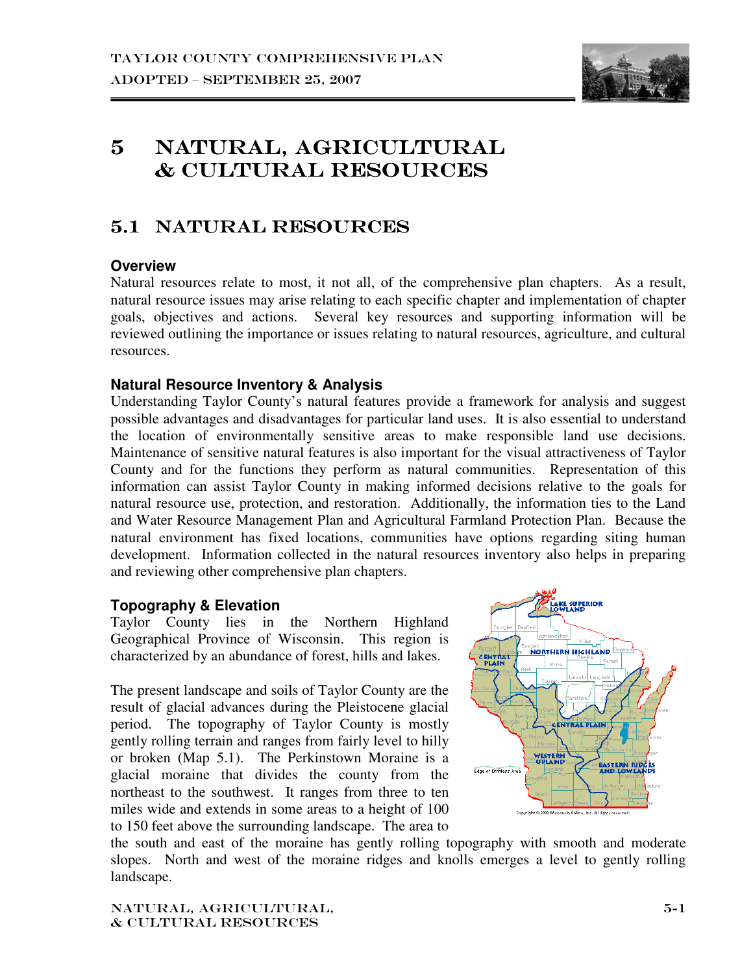

# 5 NATURAL, AGRICULTURAL  $\&$  CULTURAL RESOURCES

# 5.1 NATURAL RESOURCES

## **Overview**

Natural resources relate to most, it not all, of the comprehensive plan chapters. As a result, natural resource issues may arise relating to each specific chapter and implementation of chapter goals, objectives and actions. Several key resources and supporting information will be reviewed outlining the importance or issues relating to natural resources, agriculture, and cultural resources.

## **Natural Resource Inventory & Analysis**

Understanding Taylor County's natural features provide a framework for analysis and suggest possible advantages and disadvantages for particular land uses. It is also essential to understand the location of environmentally sensitive areas to make responsible land use decisions. Maintenance of sensitive natural features is also important for the visual attractiveness of Taylor County and for the functions they perform as natural communities. Representation of this information can assist Taylor County in making informed decisions relative to the goals for natural resource use, protection, and restoration. Additionally, the information ties to the Land and Water Resource Management Plan and Agricultural Farmland Protection Plan. Because the natural environment has fixed locations, communities have options regarding siting human development. Information collected in the natural resources inventory also helps in preparing and reviewing other comprehensive plan chapters.

## **Topography & Elevation**

Taylor County lies in the Northern Highland Geographical Province of Wisconsin. This region is characterized by an abundance of forest, hills and lakes.

The present landscape and soils of Taylor County are the result of glacial advances during the Pleistocene glacial period. The topography of Taylor County is mostly gently rolling terrain and ranges from fairly level to hilly or broken (Map 5.1). The Perkinstown Moraine is a glacial moraine that divides the county from the northeast to the southwest. It ranges from three to ten miles wide and extends in some areas to a height of 100 to 150 feet above the surrounding landscape. The area to



the south and east of the moraine has gently rolling topography with smooth and moderate slopes. North and west of the moraine ridges and knolls emerges a level to gently rolling landscape.

Natural, agricultural, & cultural resources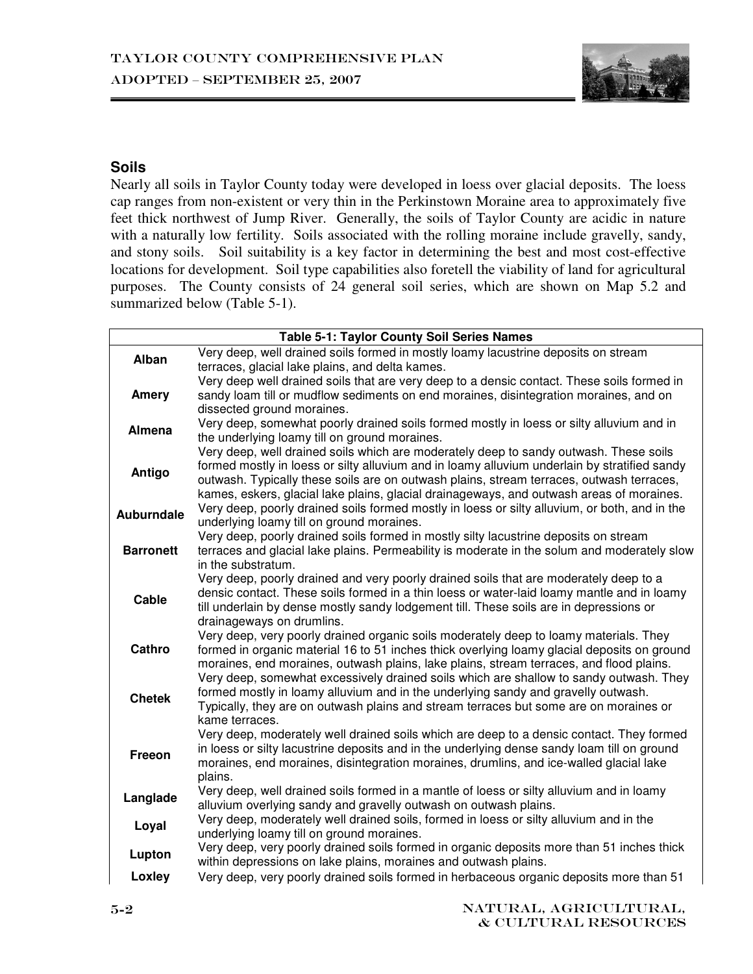

## **Soils**

Nearly all soils in Taylor County today were developed in loess over glacial deposits. The loess cap ranges from non-existent or very thin in the Perkinstown Moraine area to approximately five feet thick northwest of Jump River. Generally, the soils of Taylor County are acidic in nature with a naturally low fertility. Soils associated with the rolling moraine include gravelly, sandy, and stony soils. Soil suitability is a key factor in determining the best and most cost-effective locations for development. Soil type capabilities also foretell the viability of land for agricultural purposes. The County consists of 24 general soil series, which are shown on Map 5.2 and summarized below (Table 5-1).

|                   | <b>Table 5-1: Taylor County Soil Series Names</b>                                                                 |
|-------------------|-------------------------------------------------------------------------------------------------------------------|
| Alban             | Very deep, well drained soils formed in mostly loamy lacustrine deposits on stream                                |
|                   | terraces, glacial lake plains, and delta kames.                                                                   |
|                   | Very deep well drained soils that are very deep to a densic contact. These soils formed in                        |
| Amery             | sandy loam till or mudflow sediments on end moraines, disintegration moraines, and on                             |
|                   | dissected ground moraines.                                                                                        |
| <b>Almena</b>     | Very deep, somewhat poorly drained soils formed mostly in loess or silty alluvium and in                          |
|                   | the underlying loamy till on ground moraines.                                                                     |
|                   | Very deep, well drained soils which are moderately deep to sandy outwash. These soils                             |
| Antigo            | formed mostly in loess or silty alluvium and in loamy alluvium underlain by stratified sandy                      |
|                   | outwash. Typically these soils are on outwash plains, stream terraces, outwash terraces,                          |
|                   | kames, eskers, glacial lake plains, glacial drainageways, and outwash areas of moraines.                          |
| <b>Auburndale</b> | Very deep, poorly drained soils formed mostly in loess or silty alluvium, or both, and in the                     |
|                   | underlying loamy till on ground moraines.                                                                         |
| <b>Barronett</b>  | Very deep, poorly drained soils formed in mostly silty lacustrine deposits on stream                              |
|                   | terraces and glacial lake plains. Permeability is moderate in the solum and moderately slow<br>in the substratum. |
|                   | Very deep, poorly drained and very poorly drained soils that are moderately deep to a                             |
|                   | densic contact. These soils formed in a thin loess or water-laid loamy mantle and in loamy                        |
| Cable             | till underlain by dense mostly sandy lodgement till. These soils are in depressions or                            |
|                   | drainageways on drumlins.                                                                                         |
|                   | Very deep, very poorly drained organic soils moderately deep to loamy materials. They                             |
| Cathro            | formed in organic material 16 to 51 inches thick overlying loamy glacial deposits on ground                       |
|                   | moraines, end moraines, outwash plains, lake plains, stream terraces, and flood plains.                           |
|                   | Very deep, somewhat excessively drained soils which are shallow to sandy outwash. They                            |
| <b>Chetek</b>     | formed mostly in loamy alluvium and in the underlying sandy and gravelly outwash.                                 |
|                   | Typically, they are on outwash plains and stream terraces but some are on moraines or                             |
|                   | kame terraces.                                                                                                    |
|                   | Very deep, moderately well drained soils which are deep to a densic contact. They formed                          |
| Freeon            | in loess or silty lacustrine deposits and in the underlying dense sandy loam till on ground                       |
|                   | moraines, end moraines, disintegration moraines, drumlins, and ice-walled glacial lake                            |
|                   | plains.                                                                                                           |
| Langlade          | Very deep, well drained soils formed in a mantle of loess or silty alluvium and in loamy                          |
|                   | alluvium overlying sandy and gravelly outwash on outwash plains.                                                  |
| Loyal             | Very deep, moderately well drained soils, formed in loess or silty alluvium and in the                            |
|                   | underlying loamy till on ground moraines.                                                                         |
| Lupton            | Very deep, very poorly drained soils formed in organic deposits more than 51 inches thick                         |
|                   | within depressions on lake plains, moraines and outwash plains.                                                   |
| Loxley            | Very deep, very poorly drained soils formed in herbaceous organic deposits more than 51                           |
|                   |                                                                                                                   |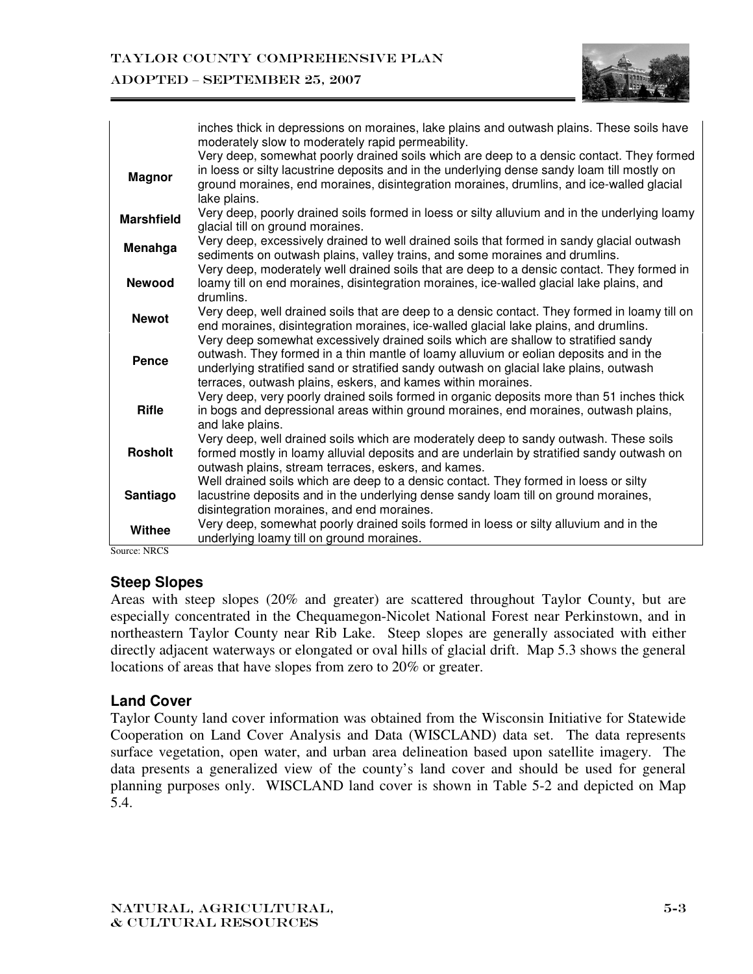#### ADOPTED – SEPTEMBER 25, 2007



|                   | inches thick in depressions on moraines, lake plains and outwash plains. These soils have<br>moderately slow to moderately rapid permeability.                                                                                                                              |
|-------------------|-----------------------------------------------------------------------------------------------------------------------------------------------------------------------------------------------------------------------------------------------------------------------------|
| <b>Magnor</b>     | Very deep, somewhat poorly drained soils which are deep to a densic contact. They formed<br>in loess or silty lacustrine deposits and in the underlying dense sandy loam till mostly on                                                                                     |
|                   | ground moraines, end moraines, disintegration moraines, drumlins, and ice-walled glacial<br>lake plains.                                                                                                                                                                    |
| <b>Marshfield</b> | Very deep, poorly drained soils formed in loess or silty alluvium and in the underlying loamy<br>glacial till on ground moraines.                                                                                                                                           |
| Menahga           | Very deep, excessively drained to well drained soils that formed in sandy glacial outwash<br>sediments on outwash plains, valley trains, and some moraines and drumlins.                                                                                                    |
| <b>Newood</b>     | Very deep, moderately well drained soils that are deep to a densic contact. They formed in<br>loamy till on end moraines, disintegration moraines, ice-walled glacial lake plains, and<br>drumlins.                                                                         |
| <b>Newot</b>      | Very deep, well drained soils that are deep to a densic contact. They formed in loamy till on<br>end moraines, disintegration moraines, ice-walled glacial lake plains, and drumlins.<br>Very deep somewhat excessively drained soils which are shallow to stratified sandy |
| Pence             | outwash. They formed in a thin mantle of loamy alluvium or eolian deposits and in the<br>underlying stratified sand or stratified sandy outwash on glacial lake plains, outwash<br>terraces, outwash plains, eskers, and kames within moraines.                             |
| <b>Rifle</b>      | Very deep, very poorly drained soils formed in organic deposits more than 51 inches thick<br>in bogs and depressional areas within ground moraines, end moraines, outwash plains,<br>and lake plains.                                                                       |
| <b>Rosholt</b>    | Very deep, well drained soils which are moderately deep to sandy outwash. These soils<br>formed mostly in loamy alluvial deposits and are underlain by stratified sandy outwash on<br>outwash plains, stream terraces, eskers, and kames.                                   |
| Santiago          | Well drained soils which are deep to a densic contact. They formed in loess or silty<br>lacustrine deposits and in the underlying dense sandy loam till on ground moraines,<br>disintegration moraines, and end moraines.                                                   |
| Withee            | Very deep, somewhat poorly drained soils formed in loess or silty alluvium and in the<br>underlying loamy till on ground moraines.                                                                                                                                          |

Source: NRCS

## **Steep Slopes**

Areas with steep slopes (20% and greater) are scattered throughout Taylor County, but are especially concentrated in the Chequamegon-Nicolet National Forest near Perkinstown, and in northeastern Taylor County near Rib Lake. Steep slopes are generally associated with either directly adjacent waterways or elongated or oval hills of glacial drift. Map 5.3 shows the general locations of areas that have slopes from zero to 20% or greater.

#### **Land Cover**

Taylor County land cover information was obtained from the Wisconsin Initiative for Statewide Cooperation on Land Cover Analysis and Data (WISCLAND) data set. The data represents surface vegetation, open water, and urban area delineation based upon satellite imagery. The data presents a generalized view of the county's land cover and should be used for general planning purposes only. WISCLAND land cover is shown in Table 5-2 and depicted on Map 5.4.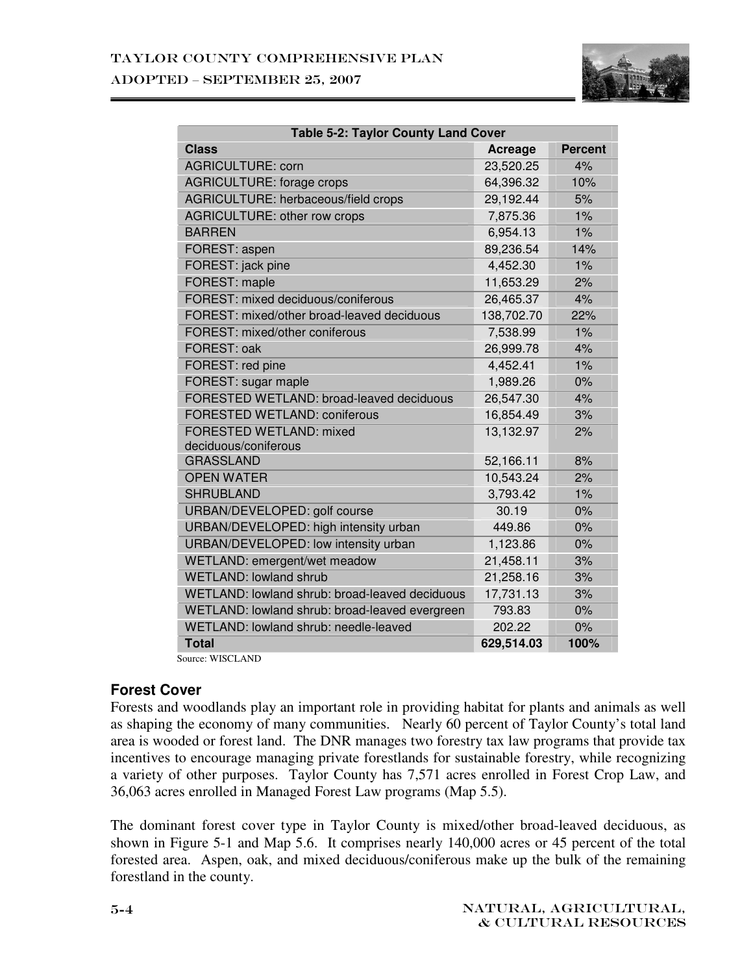

| <b>Table 5-2: Taylor County Land Cover</b>     |                |                |  |  |  |
|------------------------------------------------|----------------|----------------|--|--|--|
| <b>Class</b>                                   | <b>Acreage</b> | <b>Percent</b> |  |  |  |
| <b>AGRICULTURE: corn</b>                       | 23,520.25      | 4%             |  |  |  |
| <b>AGRICULTURE: forage crops</b>               | 64,396.32      | 10%            |  |  |  |
| AGRICULTURE: herbaceous/field crops            | 29,192.44      | 5%             |  |  |  |
| <b>AGRICULTURE: other row crops</b>            | 7,875.36       | 1%             |  |  |  |
| <b>BARREN</b>                                  | 6,954.13       | $1\%$          |  |  |  |
| FOREST: aspen                                  | 89,236.54      | 14%            |  |  |  |
| FOREST: jack pine                              | 4,452.30       | 1%             |  |  |  |
| FOREST: maple                                  | 11,653.29      | 2%             |  |  |  |
| FOREST: mixed deciduous/coniferous             | 26,465.37      | 4%             |  |  |  |
| FOREST: mixed/other broad-leaved deciduous     | 138,702.70     | 22%            |  |  |  |
| FOREST: mixed/other coniferous                 | 7,538.99       | $1\%$          |  |  |  |
| FOREST: oak                                    | 26,999.78      | 4%             |  |  |  |
| FOREST: red pine                               | 4,452.41       | 1%             |  |  |  |
| FOREST: sugar maple                            | 1,989.26       | 0%             |  |  |  |
| FORESTED WETLAND: broad-leaved deciduous       | 26,547.30      | 4%             |  |  |  |
| FORESTED WETLAND: coniferous                   | 16,854.49      | 3%             |  |  |  |
| FORESTED WETLAND: mixed                        | 13,132.97      | 2%             |  |  |  |
| deciduous/coniferous                           |                |                |  |  |  |
| <b>GRASSLAND</b>                               | 52,166.11      | 8%             |  |  |  |
| <b>OPEN WATER</b>                              | 10,543.24      | 2%             |  |  |  |
| <b>SHRUBLAND</b>                               | 3,793.42       | 1%             |  |  |  |
| URBAN/DEVELOPED: golf course                   | 30.19          | 0%             |  |  |  |
| URBAN/DEVELOPED: high intensity urban          | 449.86         | 0%             |  |  |  |
| URBAN/DEVELOPED: low intensity urban           | 1,123.86       | 0%             |  |  |  |
| WETLAND: emergent/wet meadow                   | 21,458.11      | 3%             |  |  |  |
| <b>WETLAND: lowland shrub</b>                  | 21,258.16      | 3%             |  |  |  |
| WETLAND: lowland shrub: broad-leaved deciduous | 17,731.13      | 3%             |  |  |  |
| WETLAND: lowland shrub: broad-leaved evergreen | 793.83         | 0%             |  |  |  |
| WETLAND: lowland shrub: needle-leaved          | 202.22         | 0%             |  |  |  |
| <b>Total</b>                                   | 629,514.03     | 100%           |  |  |  |

Source: WISCLAND

#### **Forest Cover**

Forests and woodlands play an important role in providing habitat for plants and animals as well as shaping the economy of many communities. Nearly 60 percent of Taylor County's total land area is wooded or forest land. The DNR manages two forestry tax law programs that provide tax incentives to encourage managing private forestlands for sustainable forestry, while recognizing a variety of other purposes. Taylor County has 7,571 acres enrolled in Forest Crop Law, and 36,063 acres enrolled in Managed Forest Law programs (Map 5.5).

The dominant forest cover type in Taylor County is mixed/other broad-leaved deciduous, as shown in Figure 5-1 and Map 5.6. It comprises nearly 140,000 acres or 45 percent of the total forested area. Aspen, oak, and mixed deciduous/coniferous make up the bulk of the remaining forestland in the county.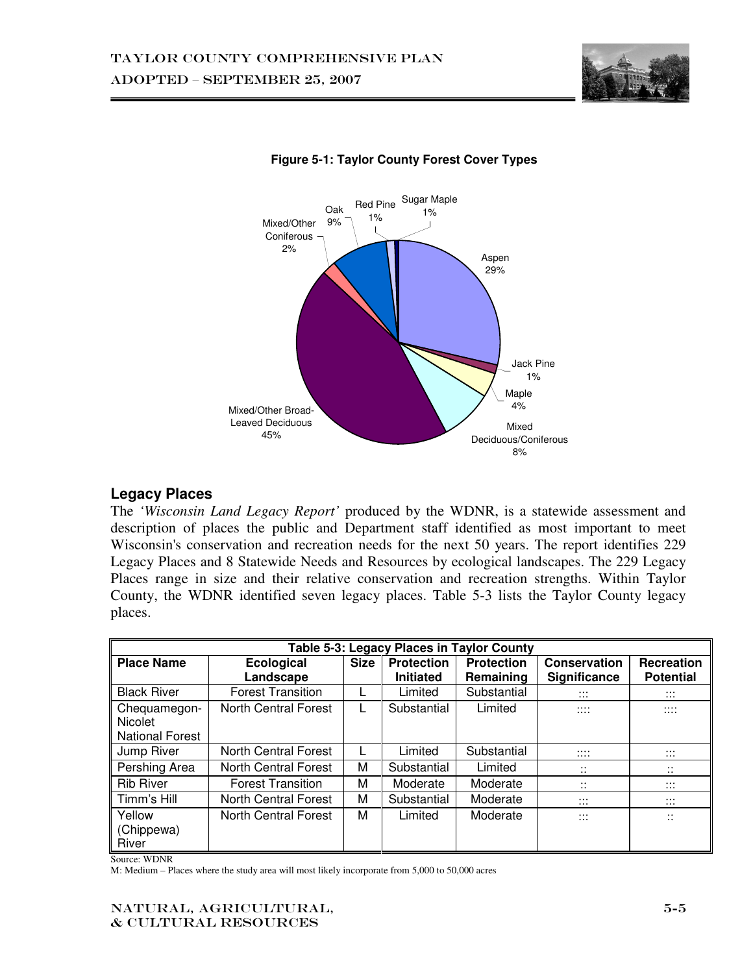



#### **Figure 5-1: Taylor County Forest Cover Types**

## **Legacy Places**

The *'Wisconsin Land Legacy Report'* produced by the WDNR, is a statewide assessment and description of places the public and Department staff identified as most important to meet Wisconsin's conservation and recreation needs for the next 50 years. The report identifies 229 Legacy Places and 8 Statewide Needs and Resources by ecological landscapes. The 229 Legacy Places range in size and their relative conservation and recreation strengths. Within Taylor County, the WDNR identified seven legacy places. Table 5-3 lists the Taylor County legacy places.

| Table 5-3: Legacy Places in Taylor County         |                             |             |                   |                   |                                       |                                       |
|---------------------------------------------------|-----------------------------|-------------|-------------------|-------------------|---------------------------------------|---------------------------------------|
| <b>Place Name</b>                                 | <b>Ecological</b>           | <b>Size</b> | <b>Protection</b> | <b>Protection</b> | Conservation                          | <b>Recreation</b>                     |
|                                                   | Landscape                   |             | <b>Initiated</b>  | Remaining         | Significance                          | <b>Potential</b>                      |
| <b>Black River</b>                                | <b>Forest Transition</b>    |             | Limited           | Substantial       | $\cdots$<br>$\cdots$                  | $\cdots$<br>$\ddots$                  |
| Chequamegon-<br>Nicolet<br><b>National Forest</b> | <b>North Central Forest</b> | L           | Substantial       | Limited           | $\cdots$<br>$\cdots$                  | <br>.                                 |
| Jump River                                        | North Central Forest        |             | Limited           | Substantial       | $\cdots$<br>$\cdots$                  | $\cdots$<br>$\cdots$                  |
| Pershing Area                                     | <b>North Central Forest</b> | М           | Substantial       | Limited           | $\cdot \cdot$<br>$\ddot{\phantom{0}}$ | <br>$\ddot{\phantom{a}}$              |
| <b>Rib River</b>                                  | <b>Forest Transition</b>    | М           | Moderate          | Moderate          | <br>$\ddot{\phantom{a}}$              | $\cdots$<br>$\cdots$                  |
| Timm's Hill                                       | North Central Forest        | М           | Substantial       | Moderate          | $\cdots$<br>$\cdots$                  | $\cdots$<br>$\cdots$                  |
| Yellow<br>(Chippewa)<br>River                     | North Central Forest        | м           | Limited           | Moderate          | $\cdots$<br>$\cdots$                  | $\cdot \cdot$<br>$\ddot{\phantom{0}}$ |

Source: WDNR

M: Medium – Places where the study area will most likely incorporate from 5,000 to 50,000 acres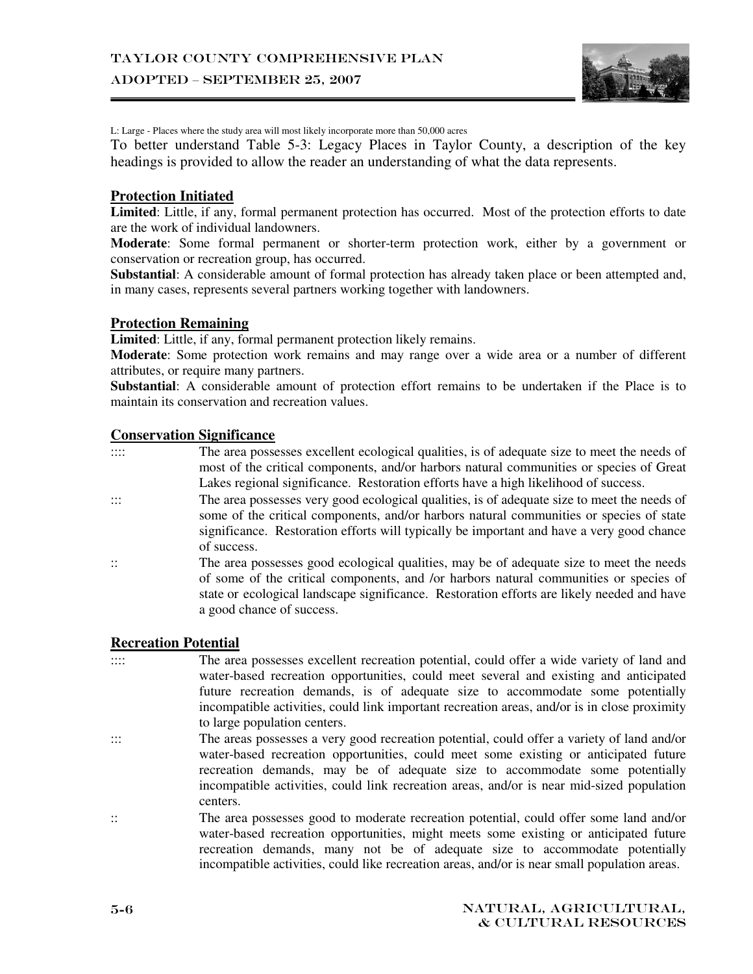#### ADOPTED – SEPTEMBER 25, 2007



L: Large - Places where the study area will most likely incorporate more than 50,000 acres

To better understand Table 5-3: Legacy Places in Taylor County, a description of the key headings is provided to allow the reader an understanding of what the data represents.

#### **Protection Initiated**

**Limited**: Little, if any, formal permanent protection has occurred. Most of the protection efforts to date are the work of individual landowners.

**Moderate**: Some formal permanent or shorter-term protection work, either by a government or conservation or recreation group, has occurred.

**Substantial**: A considerable amount of formal protection has already taken place or been attempted and, in many cases, represents several partners working together with landowners.

#### **Protection Remaining**

**Limited**: Little, if any, formal permanent protection likely remains.

**Moderate**: Some protection work remains and may range over a wide area or a number of different attributes, or require many partners.

**Substantial**: A considerable amount of protection effort remains to be undertaken if the Place is to maintain its conservation and recreation values.

#### **Conservation Significance**

- :::: The area possesses excellent ecological qualities, is of adequate size to meet the needs of most of the critical components, and/or harbors natural communities or species of Great Lakes regional significance. Restoration efforts have a high likelihood of success.
- ::: The area possesses very good ecological qualities, is of adequate size to meet the needs of some of the critical components, and/or harbors natural communities or species of state significance. Restoration efforts will typically be important and have a very good chance of success.
- :: The area possesses good ecological qualities, may be of adequate size to meet the needs of some of the critical components, and /or harbors natural communities or species of state or ecological landscape significance. Restoration efforts are likely needed and have a good chance of success.

#### **Recreation Potential**

- :::: The area possesses excellent recreation potential, could offer a wide variety of land and water-based recreation opportunities, could meet several and existing and anticipated future recreation demands, is of adequate size to accommodate some potentially incompatible activities, could link important recreation areas, and/or is in close proximity to large population centers.
- ::: The areas possesses a very good recreation potential, could offer a variety of land and/or water-based recreation opportunities, could meet some existing or anticipated future recreation demands, may be of adequate size to accommodate some potentially incompatible activities, could link recreation areas, and/or is near mid-sized population centers.
- :: The area possesses good to moderate recreation potential, could offer some land and/or water-based recreation opportunities, might meets some existing or anticipated future recreation demands, many not be of adequate size to accommodate potentially incompatible activities, could like recreation areas, and/or is near small population areas.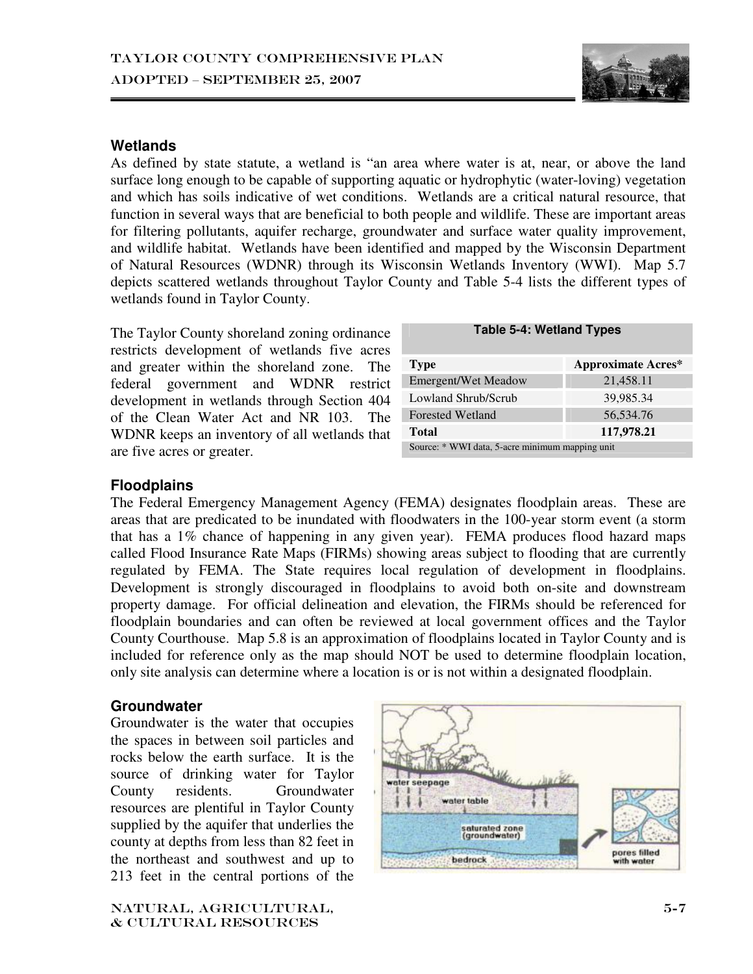

#### **Wetlands**

As defined by state statute, a wetland is "an area where water is at, near, or above the land surface long enough to be capable of supporting aquatic or hydrophytic (water-loving) vegetation and which has soils indicative of wet conditions. Wetlands are a critical natural resource, that function in several ways that are beneficial to both people and wildlife. These are important areas for filtering pollutants, aquifer recharge, groundwater and surface water quality improvement, and wildlife habitat. Wetlands have been identified and mapped by the Wisconsin Department of Natural Resources (WDNR) through its Wisconsin Wetlands Inventory (WWI). Map 5.7 depicts scattered wetlands throughout Taylor County and Table 5-4 lists the different types of wetlands found in Taylor County.

The Taylor County shoreland zoning ordinance restricts development of wetlands five acres and greater within the shoreland zone. The federal government and WDNR restrict development in wetlands through Section 404 of the Clean Water Act and NR 103. The WDNR keeps an inventory of all wetlands that are five acres or greater.

| <b>Type</b>                                     | <b>Approximate Acres*</b> |  |  |
|-------------------------------------------------|---------------------------|--|--|
| Emergent/Wet Meadow                             | 21,458.11                 |  |  |
| Lowland Shrub/Scrub                             | 39,985.34                 |  |  |
| <b>Forested Wetland</b>                         | 56,534.76                 |  |  |
| Total                                           | 117,978.21                |  |  |
| Source: * WWI data, 5-acre minimum mapping unit |                           |  |  |

#### **Floodplains**

The Federal Emergency Management Agency (FEMA) designates floodplain areas. These are areas that are predicated to be inundated with floodwaters in the 100-year storm event (a storm that has a  $1\%$  chance of happening in any given year). FEMA produces flood hazard maps called Flood Insurance Rate Maps (FIRMs) showing areas subject to flooding that are currently regulated by FEMA. The State requires local regulation of development in floodplains. Development is strongly discouraged in floodplains to avoid both on-site and downstream property damage. For official delineation and elevation, the FIRMs should be referenced for floodplain boundaries and can often be reviewed at local government offices and the Taylor County Courthouse. Map 5.8 is an approximation of floodplains located in Taylor County and is included for reference only as the map should NOT be used to determine floodplain location, only site analysis can determine where a location is or is not within a designated floodplain.

#### **Groundwater**

Groundwater is the water that occupies the spaces in between soil particles and rocks below the earth surface. It is the source of drinking water for Taylor County residents. Groundwater resources are plentiful in Taylor County supplied by the aquifer that underlies the county at depths from less than 82 feet in the northeast and southwest and up to 213 feet in the central portions of the

Natural, agricultural, & cultural resources

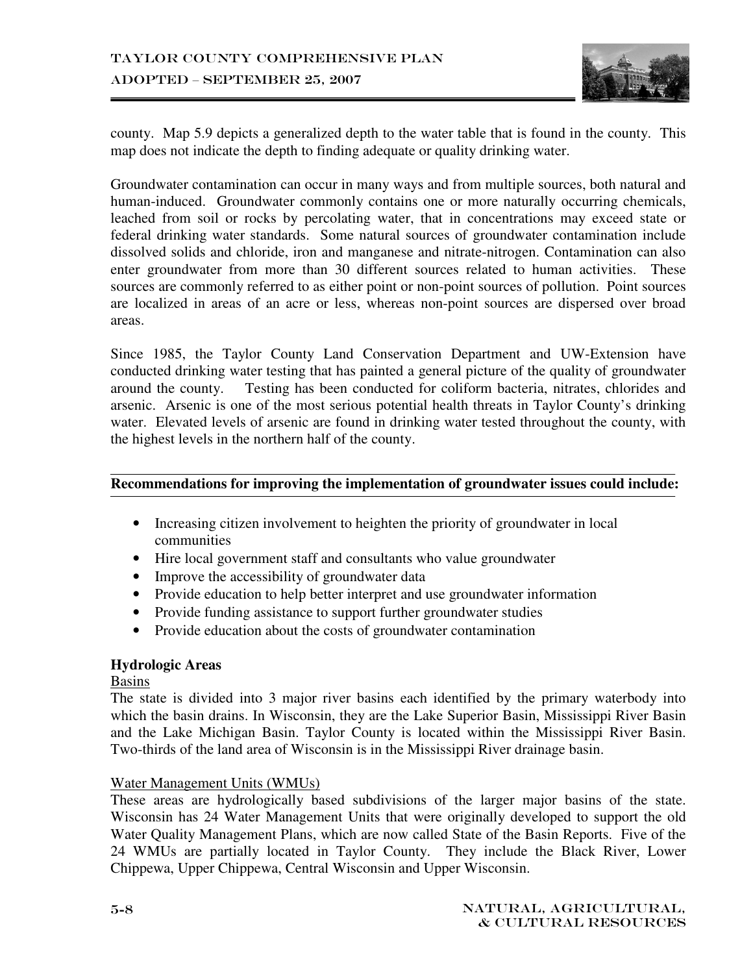

county. Map 5.9 depicts a generalized depth to the water table that is found in the county. This map does not indicate the depth to finding adequate or quality drinking water.

Groundwater contamination can occur in many ways and from multiple sources, both natural and human-induced. Groundwater commonly contains one or more naturally occurring chemicals, leached from soil or rocks by percolating water, that in concentrations may exceed state or federal drinking water standards. Some natural sources of groundwater contamination include dissolved solids and chloride, iron and manganese and nitrate-nitrogen. Contamination can also enter groundwater from more than 30 different sources related to human activities. These sources are commonly referred to as either point or non-point sources of pollution. Point sources are localized in areas of an acre or less, whereas non-point sources are dispersed over broad areas.

Since 1985, the Taylor County Land Conservation Department and UW-Extension have conducted drinking water testing that has painted a general picture of the quality of groundwater around the county. Testing has been conducted for coliform bacteria, nitrates, chlorides and arsenic. Arsenic is one of the most serious potential health threats in Taylor County's drinking water. Elevated levels of arsenic are found in drinking water tested throughout the county, with the highest levels in the northern half of the county.

#### **Recommendations for improving the implementation of groundwater issues could include:**

- Increasing citizen involvement to heighten the priority of groundwater in local communities
- Hire local government staff and consultants who value groundwater
- Improve the accessibility of groundwater data
- Provide education to help better interpret and use groundwater information
- Provide funding assistance to support further groundwater studies
- Provide education about the costs of groundwater contamination

#### **Hydrologic Areas**

Basins

The state is divided into 3 major river basins each identified by the primary waterbody into which the basin drains. In Wisconsin, they are the Lake Superior Basin, Mississippi River Basin and the Lake Michigan Basin. Taylor County is located within the Mississippi River Basin. Two-thirds of the land area of Wisconsin is in the Mississippi River drainage basin.

#### Water Management Units (WMUs)

These areas are hydrologically based subdivisions of the larger major basins of the state. Wisconsin has 24 Water Management Units that were originally developed to support the old Water Quality Management Plans, which are now called State of the Basin Reports. Five of the 24 WMUs are partially located in Taylor County. They include the Black River, Lower Chippewa, Upper Chippewa, Central Wisconsin and Upper Wisconsin.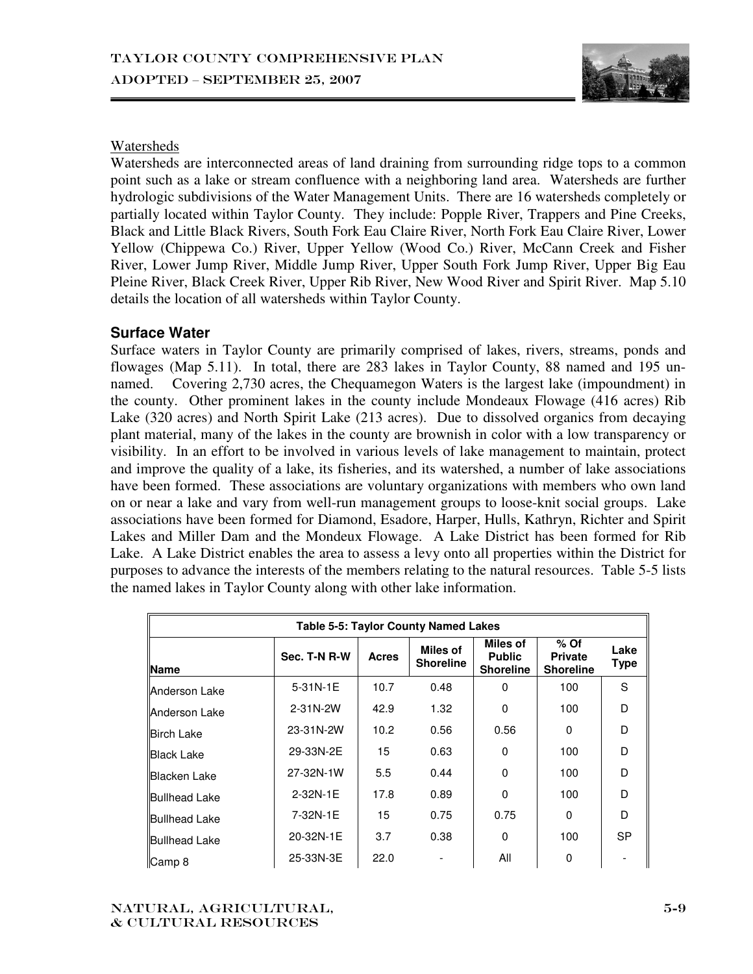

#### Watersheds

Watersheds are interconnected areas of land draining from surrounding ridge tops to a common point such as a lake or stream confluence with a neighboring land area. Watersheds are further hydrologic subdivisions of the Water Management Units. There are 16 watersheds completely or partially located within Taylor County. They include: Popple River, Trappers and Pine Creeks, Black and Little Black Rivers, South Fork Eau Claire River, North Fork Eau Claire River, Lower Yellow (Chippewa Co.) River, Upper Yellow (Wood Co.) River, McCann Creek and Fisher River, Lower Jump River, Middle Jump River, Upper South Fork Jump River, Upper Big Eau Pleine River, Black Creek River, Upper Rib River, New Wood River and Spirit River. Map 5.10 details the location of all watersheds within Taylor County.

#### **Surface Water**

Surface waters in Taylor County are primarily comprised of lakes, rivers, streams, ponds and flowages (Map 5.11). In total, there are 283 lakes in Taylor County, 88 named and 195 unnamed. Covering 2,730 acres, the Chequamegon Waters is the largest lake (impoundment) in the county. Other prominent lakes in the county include Mondeaux Flowage (416 acres) Rib Lake (320 acres) and North Spirit Lake (213 acres). Due to dissolved organics from decaying plant material, many of the lakes in the county are brownish in color with a low transparency or visibility. In an effort to be involved in various levels of lake management to maintain, protect and improve the quality of a lake, its fisheries, and its watershed, a number of lake associations have been formed. These associations are voluntary organizations with members who own land on or near a lake and vary from well-run management groups to loose-knit social groups. Lake associations have been formed for Diamond, Esadore, Harper, Hulls, Kathryn, Richter and Spirit Lakes and Miller Dam and the Mondeux Flowage. A Lake District has been formed for Rib Lake. A Lake District enables the area to assess a levy onto all properties within the District for purposes to advance the interests of the members relating to the natural resources. Table 5-5 lists the named lakes in Taylor County along with other lake information.

| <b>Table 5-5: Taylor County Named Lakes</b> |              |              |                              |                                               |                                              |                     |
|---------------------------------------------|--------------|--------------|------------------------------|-----------------------------------------------|----------------------------------------------|---------------------|
| <b>Name</b>                                 | Sec. T-N R-W | <b>Acres</b> | Miles of<br><b>Shoreline</b> | Miles of<br><b>Public</b><br><b>Shoreline</b> | $%$ Of<br><b>Private</b><br><b>Shoreline</b> | Lake<br><b>Type</b> |
| Anderson Lake                               | 5-31N-1E     | 10.7         | 0.48                         | 0                                             | 100                                          | S                   |
| Anderson Lake                               | 2-31N-2W     | 42.9         | 1.32                         | $\Omega$                                      | 100                                          | D                   |
| <b>Birch Lake</b>                           | 23-31N-2W    | 10.2         | 0.56                         | 0.56                                          | $\Omega$                                     | D                   |
| <b>Black Lake</b>                           | 29-33N-2E    | 15           | 0.63                         | 0                                             | 100                                          | D                   |
| <b>Blacken Lake</b>                         | 27-32N-1W    | 5.5          | 0.44                         | $\Omega$                                      | 100                                          | D                   |
| <b>Bullhead Lake</b>                        | 2-32N-1E     | 17.8         | 0.89                         | 0                                             | 100                                          | D                   |
| Bullhead Lake                               | 7-32N-1E     | 15           | 0.75                         | 0.75                                          | 0                                            | D                   |
| <b>Bullhead Lake</b>                        | 20-32N-1E    | 3.7          | 0.38                         | 0                                             | 100                                          | <b>SP</b>           |
| Camp 8                                      | 25-33N-3E    | 22.0         |                              | All                                           | 0                                            |                     |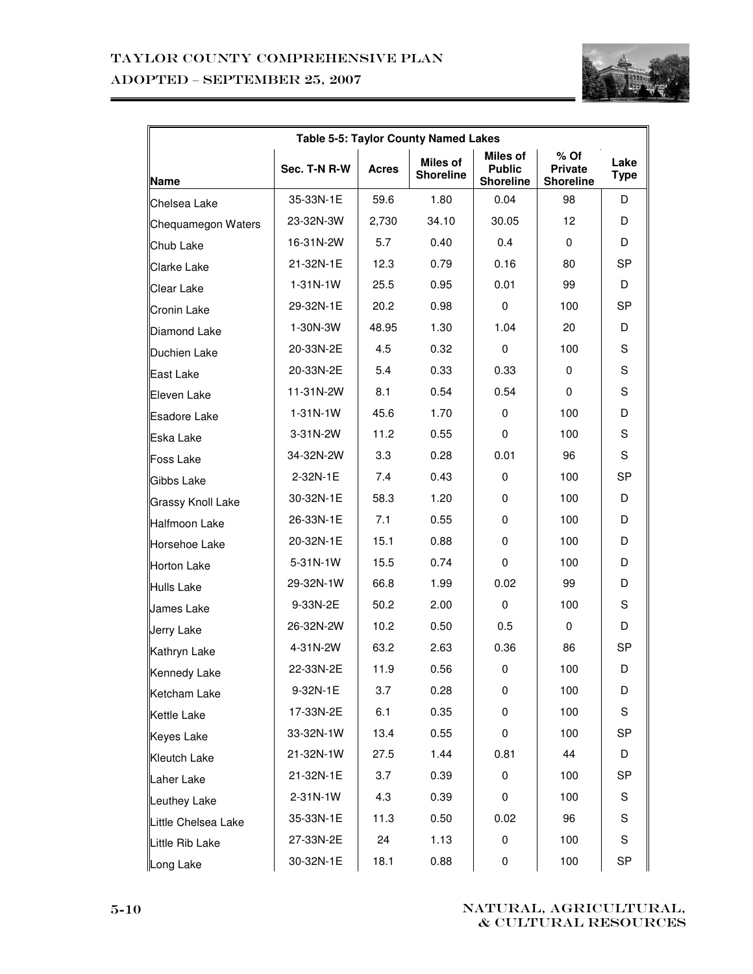## Taylor County Comprehensive Plan ADOPTED – SEPTEMBER 25, 2007



| Table 5-5: Taylor County Named Lakes |                |              |                                     |                                                      |                                              |                     |
|--------------------------------------|----------------|--------------|-------------------------------------|------------------------------------------------------|----------------------------------------------|---------------------|
| Name                                 | Sec. T-N R-W   | <b>Acres</b> | <b>Miles of</b><br><b>Shoreline</b> | <b>Miles of</b><br><b>Public</b><br><b>Shoreline</b> | $%$ Of<br><b>Private</b><br><b>Shoreline</b> | Lake<br><b>Type</b> |
| Chelsea Lake                         | 35-33N-1E      | 59.6         | 1.80                                | 0.04                                                 | 98                                           | D                   |
| Chequamegon Waters                   | 23-32N-3W      | 2,730        | 34.10                               | 30.05                                                | 12                                           | D                   |
| Chub Lake                            | 16-31N-2W      | 5.7          | 0.40                                | 0.4                                                  | 0                                            | D                   |
| <b>Clarke Lake</b>                   | 21-32N-1E      | 12.3         | 0.79                                | 0.16                                                 | 80                                           | SP                  |
| <b>Clear Lake</b>                    | $1 - 31N - 1W$ | 25.5         | 0.95                                | 0.01                                                 | 99                                           | D                   |
| <b>Cronin Lake</b>                   | 29-32N-1E      | 20.2         | 0.98                                | $\mathbf 0$                                          | 100                                          | <b>SP</b>           |
| Diamond Lake                         | 1-30N-3W       | 48.95        | 1.30                                | 1.04                                                 | 20                                           | D                   |
| Duchien Lake                         | 20-33N-2E      | 4.5          | 0.32                                | $\mathbf 0$                                          | 100                                          | S                   |
| East Lake                            | 20-33N-2E      | 5.4          | 0.33                                | 0.33                                                 | 0                                            | S                   |
| Eleven Lake                          | 11-31N-2W      | 8.1          | 0.54                                | 0.54                                                 | $\mathbf 0$                                  | S                   |
| <b>Esadore Lake</b>                  | $1 - 31N - 1W$ | 45.6         | 1.70                                | $\mathbf 0$                                          | 100                                          | D                   |
| Eska Lake                            | 3-31N-2W       | 11.2         | 0.55                                | 0                                                    | 100                                          | S                   |
| <b>Foss Lake</b>                     | 34-32N-2W      | 3.3          | 0.28                                | 0.01                                                 | 96                                           | S                   |
| Gibbs Lake                           | 2-32N-1E       | 7.4          | 0.43                                | 0                                                    | 100                                          | SP                  |
| <b>Grassy Knoll Lake</b>             | 30-32N-1E      | 58.3         | 1.20                                | 0                                                    | 100                                          | D                   |
| Halfmoon Lake                        | 26-33N-1E      | 7.1          | 0.55                                | 0                                                    | 100                                          | D                   |
| Horsehoe Lake                        | 20-32N-1E      | 15.1         | 0.88                                | 0                                                    | 100                                          | D                   |
| Horton Lake                          | 5-31N-1W       | 15.5         | 0.74                                | $\mathbf 0$                                          | 100                                          | D                   |
| Hulls Lake                           | 29-32N-1W      | 66.8         | 1.99                                | 0.02                                                 | 99                                           | D                   |
| James Lake                           | 9-33N-2E       | 50.2         | 2.00                                | $\mathbf 0$                                          | 100                                          | S                   |
| Jerry Lake                           | 26-32N-2W      | 10.2         | 0.50                                | 0.5                                                  | 0                                            | D                   |
| Kathryn Lake                         | 4-31N-2W       | 63.2         | 2.63                                | 0.36                                                 | 86                                           | SP                  |
| <b>Kennedy Lake</b>                  | 22-33N-2E      | 11.9         | 0.56                                | $\mathbf 0$                                          | 100                                          | D                   |
| Ketcham Lake                         | 9-32N-1E       | 3.7          | 0.28                                | 0                                                    | 100                                          | D                   |
| Kettle Lake                          | 17-33N-2E      | 6.1          | 0.35                                | 0                                                    | 100                                          | S                   |
| Keyes Lake                           | 33-32N-1W      | 13.4         | 0.55                                | 0                                                    | 100                                          | SP                  |
| <b>Kleutch Lake</b>                  | 21-32N-1W      | 27.5         | 1.44                                | 0.81                                                 | 44                                           | D                   |
| Laher Lake                           | 21-32N-1E      | 3.7          | 0.39                                | 0                                                    | 100                                          | SP                  |
| Leuthey Lake                         | 2-31N-1W       | 4.3          | 0.39                                | 0                                                    | 100                                          | S                   |
| Little Chelsea Lake                  | 35-33N-1E      | 11.3         | 0.50                                | 0.02                                                 | 96                                           | S                   |
| Little Rib Lake                      | 27-33N-2E      | 24           | 1.13                                | 0                                                    | 100                                          | S                   |
| Long Lake                            | 30-32N-1E      | 18.1         | 0.88                                | 0                                                    | 100                                          | SP                  |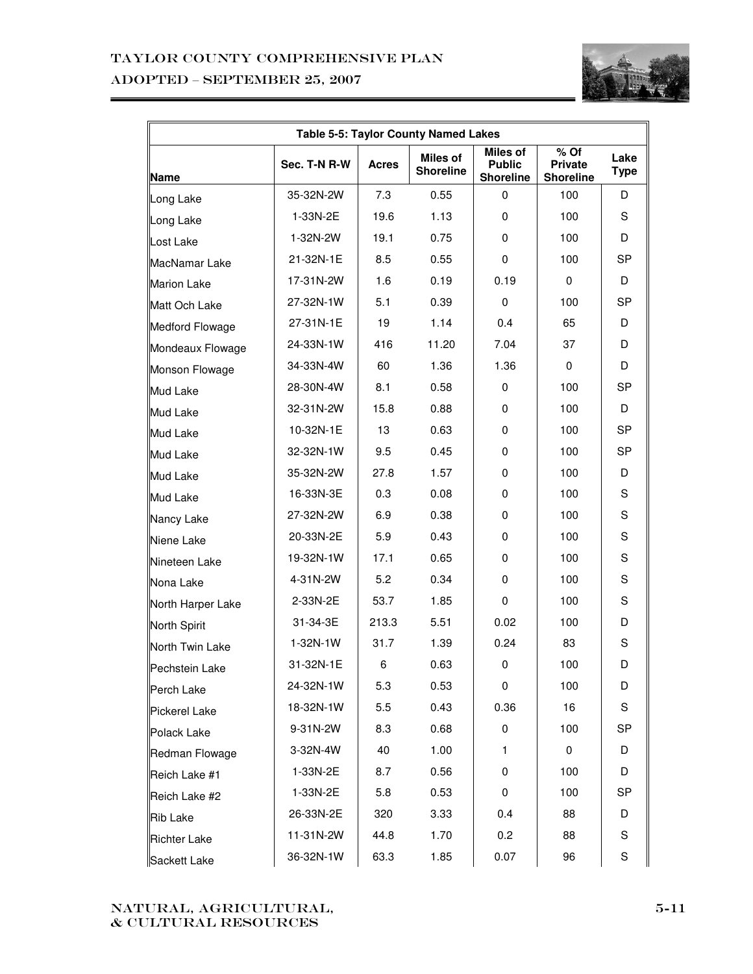## Taylor County Comprehensive Plan ADOPTED – SEPTEMBER 25, 2007



| <b>Table 5-5: Taylor County Named Lakes</b> |              |              |                                     |                                                      |                                            |                     |
|---------------------------------------------|--------------|--------------|-------------------------------------|------------------------------------------------------|--------------------------------------------|---------------------|
| <b>Name</b>                                 | Sec. T-N R-W | <b>Acres</b> | <b>Miles of</b><br><b>Shoreline</b> | <b>Miles of</b><br><b>Public</b><br><b>Shoreline</b> | % Of<br><b>Private</b><br><b>Shoreline</b> | Lake<br><b>Type</b> |
| Long Lake                                   | 35-32N-2W    | 7.3          | 0.55                                | 0                                                    | 100                                        | D                   |
| Long Lake                                   | 1-33N-2E     | 19.6         | 1.13                                | 0                                                    | 100                                        | S                   |
| Lost Lake                                   | 1-32N-2W     | 19.1         | 0.75                                | 0                                                    | 100                                        | D                   |
| MacNamar Lake                               | 21-32N-1E    | 8.5          | 0.55                                | $\mathbf 0$                                          | 100                                        | <b>SP</b>           |
| <b>Marion Lake</b>                          | 17-31N-2W    | 1.6          | 0.19                                | 0.19                                                 | $\mathbf 0$                                | D                   |
| Matt Och Lake                               | 27-32N-1W    | 5.1          | 0.39                                | 0                                                    | 100                                        | SP                  |
| Medford Flowage                             | 27-31N-1E    | 19           | 1.14                                | 0.4                                                  | 65                                         | D                   |
| Mondeaux Flowage                            | 24-33N-1W    | 416          | 11.20                               | 7.04                                                 | 37                                         | D                   |
| Monson Flowage                              | 34-33N-4W    | 60           | 1.36                                | 1.36                                                 | $\mathbf 0$                                | D                   |
| <b>Mud Lake</b>                             | 28-30N-4W    | 8.1          | 0.58                                | 0                                                    | 100                                        | <b>SP</b>           |
| Mud Lake                                    | 32-31N-2W    | 15.8         | 0.88                                | 0                                                    | 100                                        | D                   |
| <b>Mud Lake</b>                             | 10-32N-1E    | 13           | 0.63                                | 0                                                    | 100                                        | <b>SP</b>           |
| Mud Lake                                    | 32-32N-1W    | 9.5          | 0.45                                | 0                                                    | 100                                        | <b>SP</b>           |
| Mud Lake                                    | 35-32N-2W    | 27.8         | 1.57                                | 0                                                    | 100                                        | D                   |
| Mud Lake                                    | 16-33N-3E    | 0.3          | 0.08                                | 0                                                    | 100                                        | S                   |
| Nancy Lake                                  | 27-32N-2W    | 6.9          | 0.38                                | 0                                                    | 100                                        | S                   |
| Niene Lake                                  | 20-33N-2E    | 5.9          | 0.43                                | 0                                                    | 100                                        | S                   |
| Nineteen Lake                               | 19-32N-1W    | 17.1         | 0.65                                | 0                                                    | 100                                        | S                   |
| Nona Lake                                   | 4-31N-2W     | 5.2          | 0.34                                | 0                                                    | 100                                        | S                   |
| North Harper Lake                           | 2-33N-2E     | 53.7         | 1.85                                | 0                                                    | 100                                        | S                   |
| North Spirit                                | 31-34-3E     | 213.3        | 5.51                                | 0.02                                                 | 100                                        | D                   |
| North Twin Lake                             | 1-32N-1W     | 31.7         | 1.39                                | 0.24                                                 | 83                                         | S                   |
| Pechstein Lake                              | 31-32N-1E    | 6            | 0.63                                | 0                                                    | 100                                        | D                   |
| Perch Lake                                  | 24-32N-1W    | 5.3          | 0.53                                | 0                                                    | 100                                        | D                   |
| Pickerel Lake                               | 18-32N-1W    | 5.5          | 0.43                                | 0.36                                                 | 16                                         | S                   |
| Polack Lake                                 | 9-31N-2W     | 8.3          | 0.68                                | 0                                                    | 100                                        | SP                  |
| Redman Flowage                              | 3-32N-4W     | 40           | 1.00                                | $\mathbf{1}$                                         | 0                                          | D                   |
| Reich Lake #1                               | 1-33N-2E     | 8.7          | 0.56                                | 0                                                    | 100                                        | D                   |
| Reich Lake #2                               | 1-33N-2E     | 5.8          | 0.53                                | 0                                                    | 100                                        | SP                  |
| Rib Lake                                    | 26-33N-2E    | 320          | 3.33                                | 0.4                                                  | 88                                         | D                   |
| <b>Richter Lake</b>                         | 11-31N-2W    | 44.8         | 1.70                                | 0.2                                                  | 88                                         | S                   |
| Sackett Lake                                | 36-32N-1W    | 63.3         | 1.85                                | 0.07                                                 | 96                                         | S                   |

#### Natural, agricultural,  $\&$  CULTURAL RESOURCES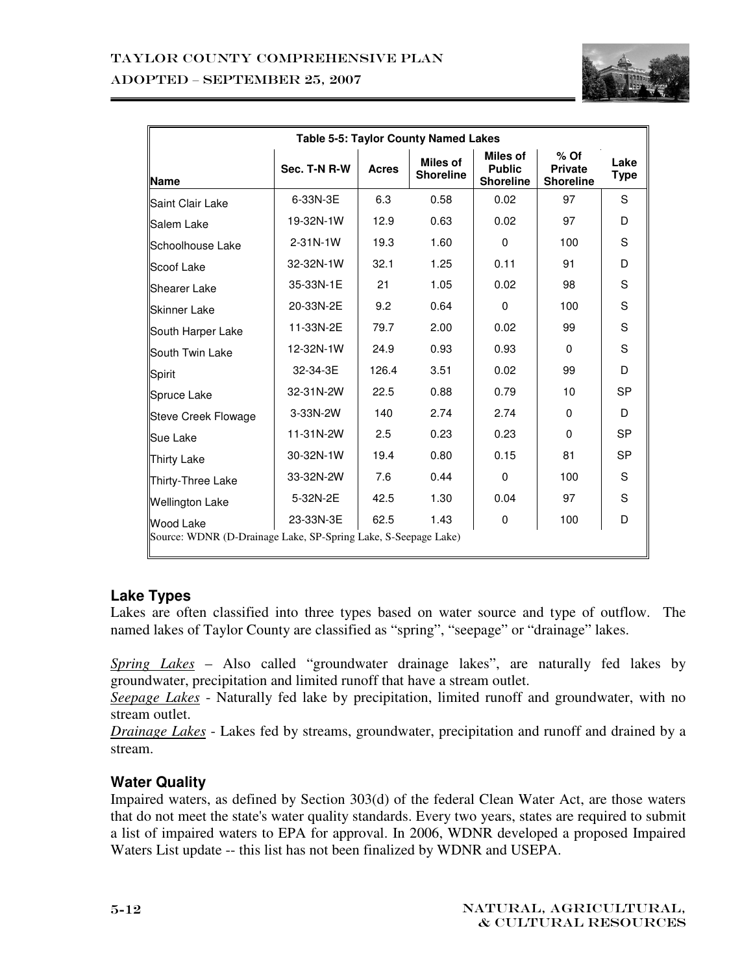

| Table 5-5: Taylor County Named Lakes                                        |                |              |                                     |                                               |                                              |              |
|-----------------------------------------------------------------------------|----------------|--------------|-------------------------------------|-----------------------------------------------|----------------------------------------------|--------------|
| Name                                                                        | Sec. T-N R-W   | <b>Acres</b> | <b>Miles of</b><br><b>Shoreline</b> | Miles of<br><b>Public</b><br><b>Shoreline</b> | $%$ Of<br><b>Private</b><br><b>Shoreline</b> | Lake<br>Type |
| Saint Clair Lake                                                            | 6-33N-3E       | 6.3          | 0.58                                | 0.02                                          | 97                                           | S            |
| Salem Lake                                                                  | 19-32N-1W      | 12.9         | 0.63                                | 0.02                                          | 97                                           | D            |
| Schoolhouse Lake                                                            | $2 - 31N - 1W$ | 19.3         | 1.60                                | $\Omega$                                      | 100                                          | S            |
| Scoof Lake                                                                  | 32-32N-1W      | 32.1         | 1.25                                | 0.11                                          | 91                                           | D            |
| <b>Shearer Lake</b>                                                         | 35-33N-1E      | 21           | 1.05                                | 0.02                                          | 98                                           | S            |
| <b>Skinner Lake</b>                                                         | 20-33N-2E      | 9.2          | 0.64                                | $\Omega$                                      | 100                                          | S            |
| South Harper Lake                                                           | 11-33N-2E      | 79.7         | 2.00                                | 0.02                                          | 99                                           | S            |
| South Twin Lake                                                             | 12-32N-1W      | 24.9         | 0.93                                | 0.93                                          | $\Omega$                                     | S            |
| Spirit                                                                      | 32-34-3E       | 126.4        | 3.51                                | 0.02                                          | 99                                           | D            |
| Spruce Lake                                                                 | 32-31N-2W      | 22.5         | 0.88                                | 0.79                                          | 10                                           | <b>SP</b>    |
| <b>Steve Creek Flowage</b>                                                  | 3-33N-2W       | 140          | 2.74                                | 2.74                                          | $\Omega$                                     | D            |
| Sue Lake                                                                    | 11-31N-2W      | 2.5          | 0.23                                | 0.23                                          | $\Omega$                                     | <b>SP</b>    |
| Thirty Lake                                                                 | 30-32N-1W      | 19.4         | 0.80                                | 0.15                                          | 81                                           | <b>SP</b>    |
| Thirty-Three Lake                                                           | 33-32N-2W      | 7.6          | 0.44                                | $\Omega$                                      | 100                                          | S            |
| <b>Wellington Lake</b>                                                      | 5-32N-2E       | 42.5         | 1.30                                | 0.04                                          | 97                                           | S            |
| Wood Lake<br>Source: WDNR (D-Drainage Lake, SP-Spring Lake, S-Seepage Lake) | 23-33N-3E      | 62.5         | 1.43                                | 0                                             | 100                                          | D            |

## **Lake Types**

Lakes are often classified into three types based on water source and type of outflow. The named lakes of Taylor County are classified as "spring", "seepage" or "drainage" lakes.

*Spring Lakes* – Also called "groundwater drainage lakes", are naturally fed lakes by groundwater, precipitation and limited runoff that have a stream outlet.

*Seepage Lakes* - Naturally fed lake by precipitation, limited runoff and groundwater, with no stream outlet.

*Drainage Lakes* - Lakes fed by streams, groundwater, precipitation and runoff and drained by a stream.

## **Water Quality**

Impaired waters, as defined by Section 303(d) of the federal Clean Water Act, are those waters that do not meet the state's water quality standards. Every two years, states are required to submit a list of impaired waters to EPA for approval. In 2006, WDNR developed a proposed Impaired Waters List update -- this list has not been finalized by WDNR and USEPA.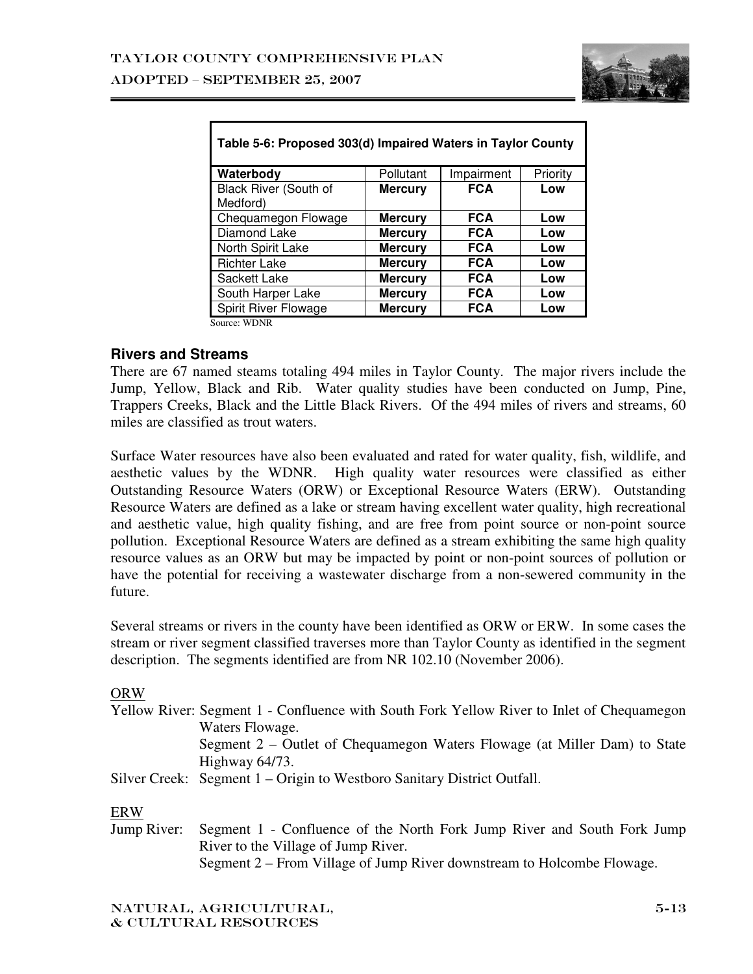

| Table 5-6: Proposed 303(d) Impaired Waters in Taylor County |                |            |          |
|-------------------------------------------------------------|----------------|------------|----------|
| Waterbody                                                   | Pollutant      | Impairment | Priority |
| Black River (South of<br>Medford)                           | <b>Mercury</b> | <b>FCA</b> | Low      |
| Chequamegon Flowage                                         | <b>Mercury</b> | <b>FCA</b> | Low      |
| Diamond Lake                                                | <b>Mercury</b> | <b>FCA</b> | Low      |
| North Spirit Lake                                           | <b>Mercury</b> | <b>FCA</b> | Low      |
| <b>Richter Lake</b>                                         | <b>Mercury</b> | <b>FCA</b> | Low      |
| Sackett Lake                                                | <b>Mercury</b> | <b>FCA</b> | Low      |
| South Harper Lake                                           | <b>Mercury</b> | <b>FCA</b> | Low      |
| Spirit River Flowage                                        | <b>Mercury</b> | <b>FCA</b> | Low      |
| Source: WDNR                                                |                |            |          |

## **Rivers and Streams**

There are 67 named steams totaling 494 miles in Taylor County. The major rivers include the Jump, Yellow, Black and Rib. Water quality studies have been conducted on Jump, Pine, Trappers Creeks, Black and the Little Black Rivers. Of the 494 miles of rivers and streams, 60 miles are classified as trout waters.

Surface Water resources have also been evaluated and rated for water quality, fish, wildlife, and aesthetic values by the WDNR. High quality water resources were classified as either Outstanding Resource Waters (ORW) or Exceptional Resource Waters (ERW). Outstanding Resource Waters are defined as a lake or stream having excellent water quality, high recreational and aesthetic value, high quality fishing, and are free from point source or non-point source pollution. Exceptional Resource Waters are defined as a stream exhibiting the same high quality resource values as an ORW but may be impacted by point or non-point sources of pollution or have the potential for receiving a wastewater discharge from a non-sewered community in the future.

Several streams or rivers in the county have been identified as ORW or ERW. In some cases the stream or river segment classified traverses more than Taylor County as identified in the segment description. The segments identified are from NR 102.10 (November 2006).

#### ORW

|             | Yellow River: Segment 1 - Confluence with South Fork Yellow River to Inlet of Chequamegon |
|-------------|-------------------------------------------------------------------------------------------|
|             | Waters Flowage.                                                                           |
|             | Segment 2 – Outlet of Chequamegon Waters Flowage (at Miller Dam) to State                 |
|             | Highway 64/73.                                                                            |
|             | Silver Creek: Segment 1 – Origin to Westboro Sanitary District Outfall.                   |
| <b>ERW</b>  |                                                                                           |
| Jump River: | Segment 1 - Confluence of the North Fork Jump River and South Fork Jump                   |
|             | River to the Village of Jump River.                                                       |

Segment 2 – From Village of Jump River downstream to Holcombe Flowage.

Natural, agricultural, & cultural resources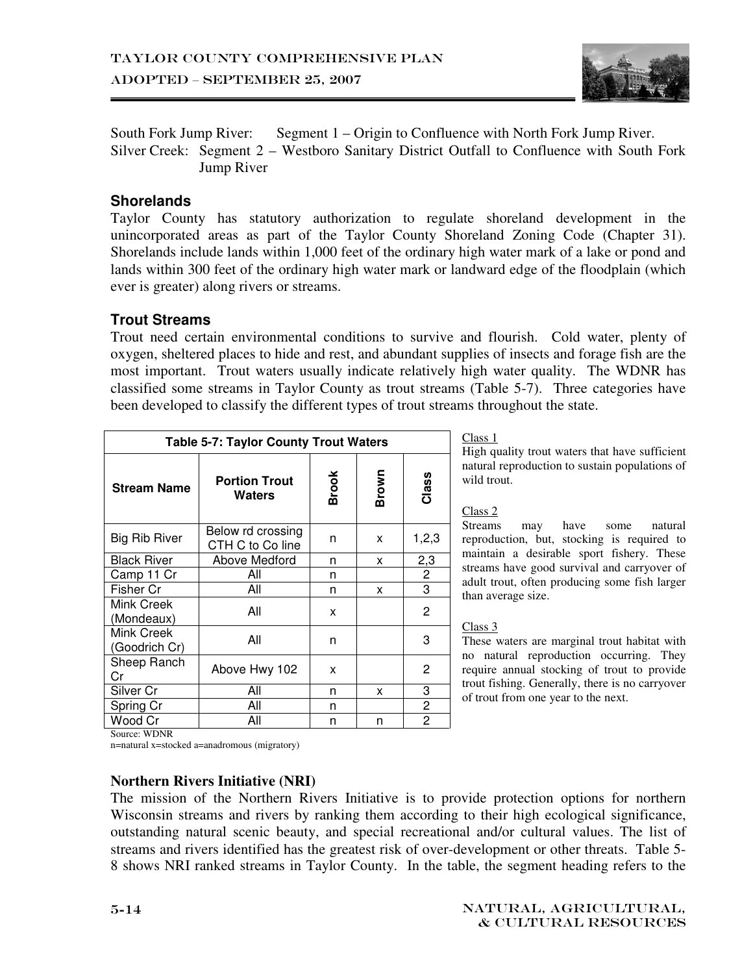

South Fork Jump River: Segment 1 – Origin to Confluence with North Fork Jump River. Silver Creek: Segment 2 – Westboro Sanitary District Outfall to Confluence with South Fork Jump River

## **Shorelands**

Taylor County has statutory authorization to regulate shoreland development in the unincorporated areas as part of the Taylor County Shoreland Zoning Code (Chapter 31). Shorelands include lands within 1,000 feet of the ordinary high water mark of a lake or pond and lands within 300 feet of the ordinary high water mark or landward edge of the floodplain (which ever is greater) along rivers or streams.

#### **Trout Streams**

Trout need certain environmental conditions to survive and flourish. Cold water, plenty of oxygen, sheltered places to hide and rest, and abundant supplies of insects and forage fish are the most important. Trout waters usually indicate relatively high water quality. The WDNR has classified some streams in Taylor County as trout streams (Table 5-7). Three categories have been developed to classify the different types of trout streams throughout the state.

| <b>Table 5-7: Taylor County Trout Waters</b> |                                       |              |              |                |
|----------------------------------------------|---------------------------------------|--------------|--------------|----------------|
| <b>Stream Name</b>                           | <b>Portion Trout</b><br>Waters        | <b>Brook</b> | <b>Brown</b> | Class          |
| <b>Big Rib River</b>                         | Below rd crossing<br>CTH C to Co line | n            | x            | 1,2,3          |
| <b>Black River</b>                           | Above Medford                         | n            | x            | 2,3            |
| Camp 11 Cr                                   | Αll                                   | n            |              | $\overline{2}$ |
| Fisher Cr                                    | All                                   | n            | x            | 3              |
| Mink Creek<br>(Mondeaux)                     | All                                   | x            |              | 2              |
| Mink Creek<br>(Goodrich Cr)                  | All                                   | n            |              | 3              |
| Sheep Ranch<br>Cr                            | Above Hwy 102                         | x            |              | 2              |
| Silver Cr                                    | All                                   | n            | x            | 3              |
| Spring Cr                                    | All                                   | n            |              | 2              |
| Wood Cr<br>Course WDND                       | All                                   | n            | n            | 2              |

Class 1

High quality trout waters that have sufficient natural reproduction to sustain populations of wild trout.

#### Class 2

Streams may have some natural reproduction, but, stocking is required to maintain a desirable sport fishery. These streams have good survival and carryover of adult trout, often producing some fish larger than average size.

#### Class 3

These waters are marginal trout habitat with no natural reproduction occurring. They require annual stocking of trout to provide trout fishing. Generally, there is no carryover of trout from one year to the next.

Source: WDNR

n=natural x=stocked a=anadromous (migratory)

#### **Northern Rivers Initiative (NRI)**

The mission of the Northern Rivers Initiative is to provide protection options for northern Wisconsin streams and rivers by ranking them according to their high ecological significance, outstanding natural scenic beauty, and special recreational and/or cultural values. The list of streams and rivers identified has the greatest risk of over-development or other threats. Table 5- 8 shows NRI ranked streams in Taylor County. In the table, the segment heading refers to the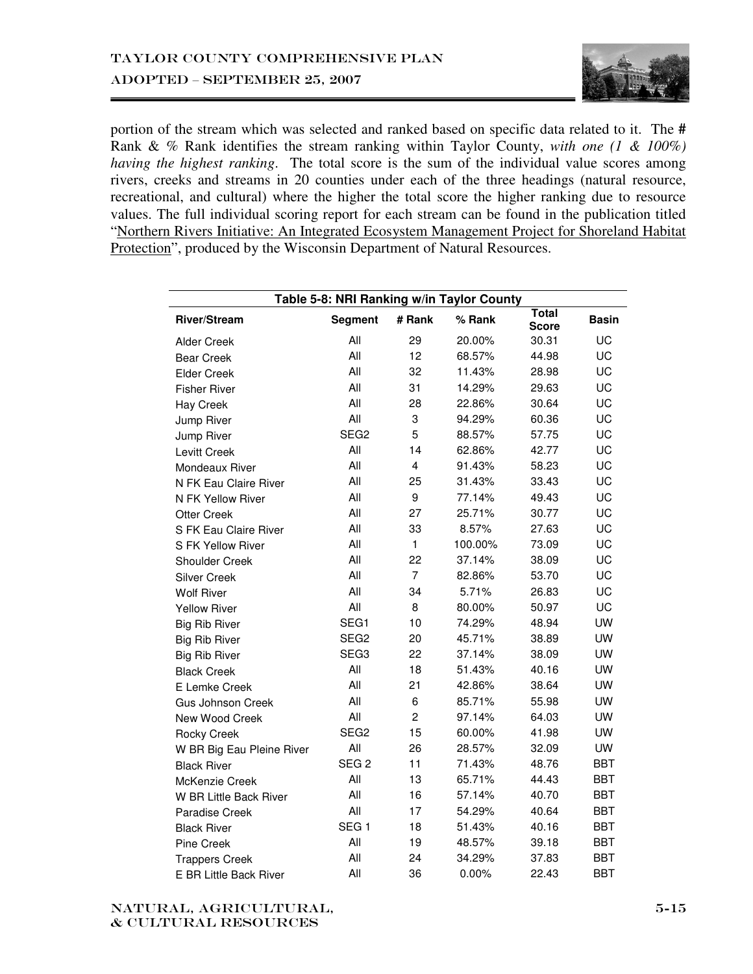

portion of the stream which was selected and ranked based on specific data related to it. The **#**  Rank & % Rank identifies the stream ranking within Taylor County, *with one (1 & 100%) having the highest ranking*. The total score is the sum of the individual value scores among rivers, creeks and streams in 20 counties under each of the three headings (natural resource, recreational, and cultural) where the higher the total score the higher ranking due to resource values. The full individual scoring report for each stream can be found in the publication titled "Northern Rivers Initiative: An Integrated Ecosystem Management Project for Shoreland Habitat Protection", produced by the Wisconsin Department of Natural Resources.

| Table 5-8: NRI Ranking w/in Taylor County |                  |                |         |                              |              |
|-------------------------------------------|------------------|----------------|---------|------------------------------|--------------|
| <b>River/Stream</b>                       | <b>Segment</b>   | # Rank         | % Rank  | <b>Total</b><br><b>Score</b> | <b>Basin</b> |
| <b>Alder Creek</b>                        | All              | 29             | 20.00%  | 30.31                        | UC           |
| <b>Bear Creek</b>                         | All              | 12             | 68.57%  | 44.98                        | UC           |
| <b>Elder Creek</b>                        | All              | 32             | 11.43%  | 28.98                        | UC           |
| <b>Fisher River</b>                       | All              | 31             | 14.29%  | 29.63                        | UC           |
| <b>Hay Creek</b>                          | All              | 28             | 22.86%  | 30.64                        | UC           |
| Jump River                                | All              | 3              | 94.29%  | 60.36                        | UC           |
| Jump River                                | SEG <sub>2</sub> | 5              | 88.57%  | 57.75                        | UC           |
| Levitt Creek                              | All              | 14             | 62.86%  | 42.77                        | UC           |
| Mondeaux River                            | All              | 4              | 91.43%  | 58.23                        | UC           |
| N FK Eau Claire River                     | All              | 25             | 31.43%  | 33.43                        | UC           |
| N FK Yellow River                         | All              | 9              | 77.14%  | 49.43                        | UC           |
| <b>Otter Creek</b>                        | All              | 27             | 25.71%  | 30.77                        | UC           |
| S FK Eau Claire River                     | All              | 33             | 8.57%   | 27.63                        | UC           |
| S FK Yellow River                         | All              | $\mathbf{1}$   | 100.00% | 73.09                        | UC           |
| <b>Shoulder Creek</b>                     | All              | 22             | 37.14%  | 38.09                        | UC           |
| <b>Silver Creek</b>                       | All              | $\overline{7}$ | 82.86%  | 53.70                        | UC           |
| <b>Wolf River</b>                         | All              | 34             | 5.71%   | 26.83                        | UC           |
| <b>Yellow River</b>                       | All              | 8              | 80.00%  | 50.97                        | UC           |
| <b>Big Rib River</b>                      | SEG1             | 10             | 74.29%  | 48.94                        | <b>UW</b>    |
| <b>Big Rib River</b>                      | SEG <sub>2</sub> | 20             | 45.71%  | 38.89                        | <b>UW</b>    |
| <b>Big Rib River</b>                      | SEG3             | 22             | 37.14%  | 38.09                        | <b>UW</b>    |
| <b>Black Creek</b>                        | All              | 18             | 51.43%  | 40.16                        | <b>UW</b>    |
| E Lemke Creek                             | All              | 21             | 42.86%  | 38.64                        | <b>UW</b>    |
| <b>Gus Johnson Creek</b>                  | All              | 6              | 85.71%  | 55.98                        | <b>UW</b>    |
| New Wood Creek                            | All              | $\overline{c}$ | 97.14%  | 64.03                        | UW           |
| Rocky Creek                               | SEG <sub>2</sub> | 15             | 60.00%  | 41.98                        | UW           |
| W BR Big Eau Pleine River                 | All              | 26             | 28.57%  | 32.09                        | <b>UW</b>    |
| <b>Black River</b>                        | SEG <sub>2</sub> | 11             | 71.43%  | 48.76                        | BBT          |
| McKenzie Creek                            | All              | 13             | 65.71%  | 44.43                        | BBT          |
| W BR Little Back River                    | All              | 16             | 57.14%  | 40.70                        | BBT          |
| <b>Paradise Creek</b>                     | All              | 17             | 54.29%  | 40.64                        | BBT          |
| <b>Black River</b>                        | SEG <sub>1</sub> | 18             | 51.43%  | 40.16                        | BBT          |
| <b>Pine Creek</b>                         | All              | 19             | 48.57%  | 39.18                        | BBT          |
| <b>Trappers Creek</b>                     | All              | 24             | 34.29%  | 37.83                        | BBT          |
| E BR Little Back River                    | All              | 36             | 0.00%   | 22.43                        | <b>BBT</b>   |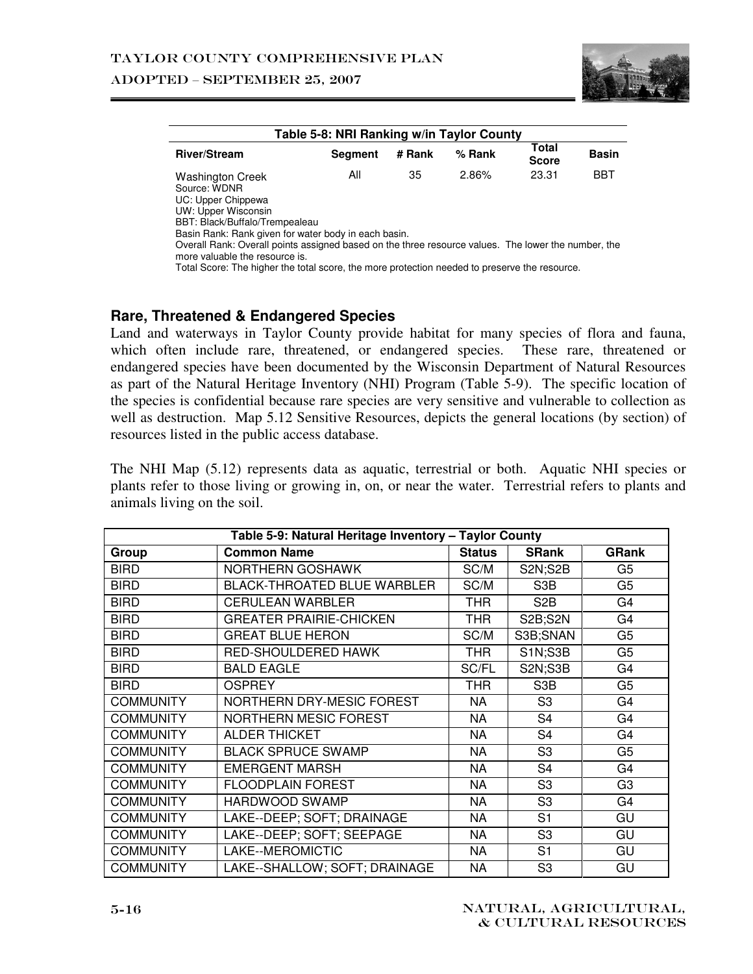

| Table 5-8: NRI Ranking w/in Taylor County                                                           |                |        |          |                       |              |  |
|-----------------------------------------------------------------------------------------------------|----------------|--------|----------|-----------------------|--------------|--|
| <b>River/Stream</b>                                                                                 | <b>Segment</b> | # Rank | $%$ Rank | Total<br><b>Score</b> | <b>Basin</b> |  |
| Washington Creek                                                                                    | All            | 35     | 2.86%    | 23.31                 | <b>BBT</b>   |  |
| Source: WDNR                                                                                        |                |        |          |                       |              |  |
| UC: Upper Chippewa                                                                                  |                |        |          |                       |              |  |
| UW: Upper Wisconsin                                                                                 |                |        |          |                       |              |  |
| BBT: Black/Buffalo/Trempealeau                                                                      |                |        |          |                       |              |  |
| Basin Rank: Rank given for water body in each basin.                                                |                |        |          |                       |              |  |
| Overall Rank: Overall points assigned based on the three resource values. The lower the number, the |                |        |          |                       |              |  |
| more valuable the resource is.                                                                      |                |        |          |                       |              |  |
| Total Score: The higher the total score, the more protection needed to preserve the resource.       |                |        |          |                       |              |  |

#### **Rare, Threatened & Endangered Species**

Land and waterways in Taylor County provide habitat for many species of flora and fauna, which often include rare, threatened, or endangered species. These rare, threatened or endangered species have been documented by the Wisconsin Department of Natural Resources as part of the Natural Heritage Inventory (NHI) Program (Table 5-9). The specific location of the species is confidential because rare species are very sensitive and vulnerable to collection as well as destruction. Map 5.12 Sensitive Resources, depicts the general locations (by section) of resources listed in the public access database.

The NHI Map (5.12) represents data as aquatic, terrestrial or both. Aquatic NHI species or plants refer to those living or growing in, on, or near the water. Terrestrial refers to plants and animals living on the soil.

| Table 5-9: Natural Heritage Inventory - Taylor County |                                    |               |                  |                |  |
|-------------------------------------------------------|------------------------------------|---------------|------------------|----------------|--|
| Group                                                 | <b>Common Name</b>                 | <b>Status</b> | <b>SRank</b>     | <b>GRank</b>   |  |
| <b>BIRD</b>                                           | NORTHERN GOSHAWK                   | SC/M          | <b>S2N;S2B</b>   | G5             |  |
| <b>BIRD</b>                                           | <b>BLACK-THROATED BLUE WARBLER</b> | SC/M          | S <sub>3</sub> B | G <sub>5</sub> |  |
| <b>BIRD</b>                                           | <b>CERULEAN WARBLER</b>            | THR           | S <sub>2</sub> B | G4             |  |
| <b>BIRD</b>                                           | <b>GREATER PRAIRIE-CHICKEN</b>     | THR           | S2B;S2N          | G4             |  |
| <b>BIRD</b>                                           | <b>GREAT BLUE HERON</b>            | SC/M          | S3B;SNAN         | G <sub>5</sub> |  |
| <b>BIRD</b>                                           | RED-SHOULDERED HAWK                | THR           | <b>S1N;S3B</b>   | G5             |  |
| <b>BIRD</b>                                           | <b>BALD EAGLE</b>                  | SC/FL         | S2N;S3B          | G4             |  |
| <b>BIRD</b>                                           | <b>OSPREY</b>                      | THR           | S <sub>3</sub> B | G <sub>5</sub> |  |
| <b>COMMUNITY</b>                                      | NORTHERN DRY-MESIC FOREST          | NA            | S <sub>3</sub>   | G4             |  |
| <b>COMMUNITY</b>                                      | <b>NORTHERN MESIC FOREST</b>       | <b>NA</b>     | S <sub>4</sub>   | G <sub>4</sub> |  |
| <b>COMMUNITY</b>                                      | <b>ALDER THICKET</b>               | NA            | S <sub>4</sub>   | G4             |  |
| <b>COMMUNITY</b>                                      | <b>BLACK SPRUCE SWAMP</b>          | <b>NA</b>     | S <sub>3</sub>   | G <sub>5</sub> |  |
| <b>COMMUNITY</b>                                      | <b>EMERGENT MARSH</b>              | <b>NA</b>     | S <sub>4</sub>   | G4             |  |
| <b>COMMUNITY</b>                                      | <b>FLOODPLAIN FOREST</b>           | <b>NA</b>     | S <sub>3</sub>   | G <sub>3</sub> |  |
| <b>COMMUNITY</b>                                      | HARDWOOD SWAMP                     | NA            | S <sub>3</sub>   | G4             |  |
| <b>COMMUNITY</b>                                      | LAKE--DEEP; SOFT; DRAINAGE         | NA            | S <sub>1</sub>   | GU             |  |
| <b>COMMUNITY</b>                                      | LAKE--DEEP; SOFT; SEEPAGE          | NA            | S <sub>3</sub>   | GU             |  |
| <b>COMMUNITY</b>                                      | LAKE--MEROMICTIC                   | NA            | S <sub>1</sub>   | GU             |  |
| <b>COMMUNITY</b>                                      | LAKE--SHALLOW; SOFT; DRAINAGE      | NA            | S <sub>3</sub>   | GU             |  |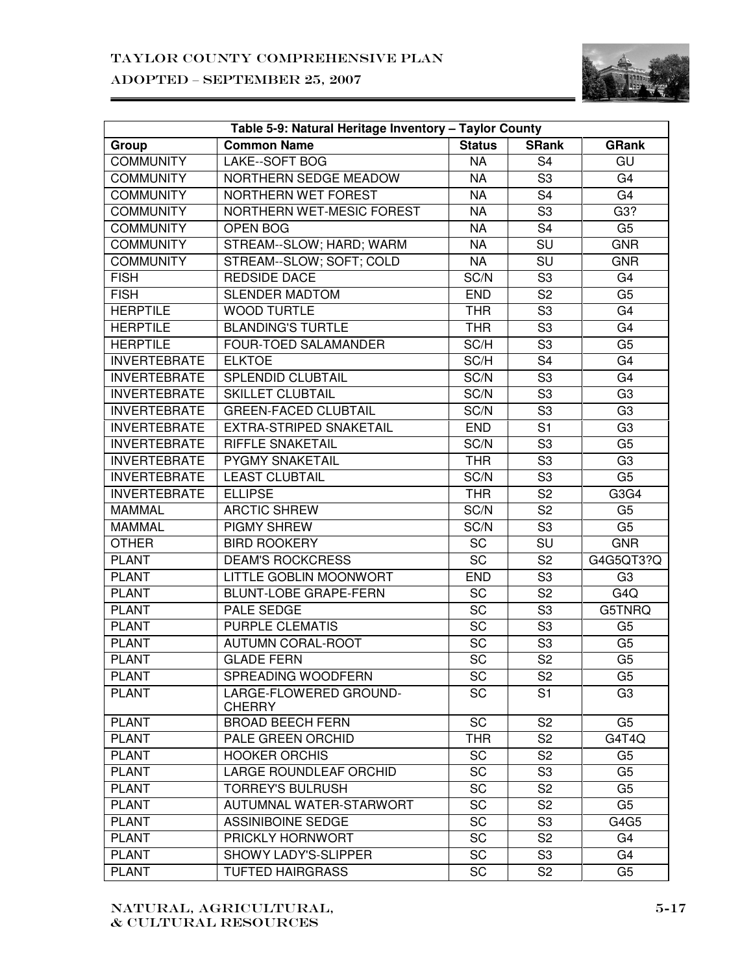

| Table 5-9: Natural Heritage Inventory - Taylor County |                                         |                 |                          |                  |  |
|-------------------------------------------------------|-----------------------------------------|-----------------|--------------------------|------------------|--|
| Group                                                 | <b>Common Name</b>                      | <b>Status</b>   | <b>SRank</b>             | <b>GRank</b>     |  |
| <b>COMMUNITY</b>                                      | <b>LAKE--SOFT BOG</b>                   | <b>NA</b>       | $\overline{\mathsf{S}4}$ | GU               |  |
| <b>COMMUNITY</b>                                      | NORTHERN SEDGE MEADOW                   | <b>NA</b>       | $\overline{\mathsf{S3}}$ | G <sub>4</sub>   |  |
| <b>COMMUNITY</b>                                      | NORTHERN WET FOREST                     | <b>NA</b>       | $\overline{\mathsf{S}4}$ | G4               |  |
| <b>COMMUNITY</b>                                      | NORTHERN WET-MESIC FOREST               | <b>NA</b>       | $\overline{\mathsf{S3}}$ | G3?              |  |
| <b>COMMUNITY</b>                                      | <b>OPEN BOG</b>                         | <b>NA</b>       | $\overline{\mathsf{S}4}$ | G <sub>5</sub>   |  |
| <b>COMMUNITY</b>                                      | STREAM--SLOW; HARD; WARM                | <b>NA</b>       | $\overline{\mathsf{SU}}$ | <b>GNR</b>       |  |
| <b>COMMUNITY</b>                                      | STREAM--SLOW; SOFT; COLD                | <b>NA</b>       | $\overline{\mathsf{SU}}$ | <b>GNR</b>       |  |
| <b>FISH</b>                                           | <b>REDSIDE DACE</b>                     | SC/N            | $\overline{\mathsf{S3}}$ | G <sub>4</sub>   |  |
| <b>FISH</b>                                           | <b>SLENDER MADTOM</b>                   | <b>END</b>      | $\overline{\mathsf{S2}}$ | G <sub>5</sub>   |  |
| <b>HERPTILE</b>                                       | <b>WOOD TURTLE</b>                      | <b>THR</b>      | $\overline{\mathsf{S3}}$ | G <sub>4</sub>   |  |
| <b>HERPTILE</b>                                       | <b>BLANDING'S TURTLE</b>                | <b>THR</b>      | $\overline{\mathsf{S3}}$ | G <sub>4</sub>   |  |
| <b>HERPTILE</b>                                       | <b>FOUR-TOED SALAMANDER</b>             | SC/H            | $\overline{\mathsf{S3}}$ | G <sub>5</sub>   |  |
| <b>INVERTEBRATE</b>                                   | <b>ELKTOE</b>                           | SC/H            | $\overline{\mathsf{S}4}$ | G4               |  |
| <b>INVERTEBRATE</b>                                   | <b>SPLENDID CLUBTAIL</b>                | SC/N            | $\overline{\mathsf{S3}}$ | G4               |  |
| <b>INVERTEBRATE</b>                                   | <b>SKILLET CLUBTAIL</b>                 | SC/N            | S <sub>3</sub>           | G <sub>3</sub>   |  |
| <b>INVERTEBRATE</b>                                   | <b>GREEN-FACED CLUBTAIL</b>             | SC/N            | $\overline{\mathsf{S3}}$ | G <sub>3</sub>   |  |
| <b>INVERTEBRATE</b>                                   | <b>EXTRA-STRIPED SNAKETAIL</b>          | <b>END</b>      | $\overline{S1}$          | G <sub>3</sub>   |  |
| <b>INVERTEBRATE</b>                                   | <b>RIFFLE SNAKETAIL</b>                 | SC/N            | $\overline{\mathsf{S3}}$ | G <sub>5</sub>   |  |
| <b>INVERTEBRATE</b>                                   | <b>PYGMY SNAKETAIL</b>                  | <b>THR</b>      | S <sub>3</sub>           | G <sub>3</sub>   |  |
| <b>INVERTEBRATE</b>                                   | <b>LEAST CLUBTAIL</b>                   | SC/N            | $\overline{\mathsf{S3}}$ | G <sub>5</sub>   |  |
| <b>INVERTEBRATE</b>                                   | <b>ELLIPSE</b>                          | <b>THR</b>      | $\overline{\mathsf{S2}}$ | G3G4             |  |
| <b>MAMMAL</b>                                         | <b>ARCTIC SHREW</b>                     | SC/N            | $\overline{\mathsf{S2}}$ | G <sub>5</sub>   |  |
| <b>MAMMAL</b>                                         | <b>PIGMY SHREW</b>                      | SC/N            | S <sub>3</sub>           | G <sub>5</sub>   |  |
| <b>OTHER</b>                                          | <b>BIRD ROOKERY</b>                     | $\overline{SC}$ | $\overline{\text{SU}}$   | <b>GNR</b>       |  |
| <b>PLANT</b>                                          | <b>DEAM'S ROCKCRESS</b>                 |                 | $\overline{\mathsf{S2}}$ | G4G5QT3?Q        |  |
| <b>PLANT</b>                                          | LITTLE GOBLIN MOONWORT                  | <b>END</b>      | S3                       | G <sub>3</sub>   |  |
| <b>PLANT</b>                                          | <b>BLUNT-LOBE GRAPE-FERN</b>            | $\overline{SC}$ | S <sub>2</sub>           | G <sub>4</sub> Q |  |
| <b>PLANT</b>                                          | <b>PALE SEDGE</b>                       | $\overline{SC}$ | S <sub>3</sub>           | G5TNRQ           |  |
| <b>PLANT</b>                                          | <b>PURPLE CLEMATIS</b>                  | $\overline{SC}$ | S <sub>3</sub>           | G <sub>5</sub>   |  |
| <b>PLANT</b>                                          | <b>AUTUMN CORAL-ROOT</b>                | $\overline{SC}$ | $\overline{\mathsf{S3}}$ | G <sub>5</sub>   |  |
| <b>PLANT</b>                                          | <b>GLADE FERN</b>                       | $\overline{SC}$ | $\overline{\mathsf{S2}}$ | G <sub>5</sub>   |  |
| <b>PLANT</b>                                          | SPREADING WOODFERN                      | SC              | S2                       | G5               |  |
| <b>PLANT</b>                                          | LARGE-FLOWERED GROUND-<br><b>CHERRY</b> | <b>SC</b>       | S <sub>1</sub>           | G <sub>3</sub>   |  |
| <b>PLANT</b>                                          | <b>BROAD BEECH FERN</b>                 | <b>SC</b>       | S <sub>2</sub>           | G <sub>5</sub>   |  |
| <b>PLANT</b>                                          | PALE GREEN ORCHID                       | <b>THR</b>      | S <sub>2</sub>           | G4T4Q            |  |
| <b>PLANT</b>                                          | <b>HOOKER ORCHIS</b>                    | <b>SC</b>       | S <sub>2</sub>           | G <sub>5</sub>   |  |
| <b>PLANT</b>                                          | LARGE ROUNDLEAF ORCHID                  | <b>SC</b>       | S <sub>3</sub>           | G <sub>5</sub>   |  |
| <b>PLANT</b>                                          | <b>TORREY'S BULRUSH</b>                 | SC              | S <sub>2</sub>           | G <sub>5</sub>   |  |
| <b>PLANT</b>                                          | AUTUMNAL WATER-STARWORT                 | SC              | S <sub>2</sub>           | G <sub>5</sub>   |  |
| <b>PLANT</b>                                          | <b>ASSINIBOINE SEDGE</b>                | SC              | S <sub>3</sub>           | G4G5             |  |
| <b>PLANT</b>                                          | PRICKLY HORNWORT                        | <b>SC</b>       | S <sub>2</sub>           | G4               |  |
| <b>PLANT</b>                                          | SHOWY LADY'S-SLIPPER                    | SC              | S <sub>3</sub>           | G4               |  |
| <b>PLANT</b>                                          | <b>TUFTED HAIRGRASS</b>                 | SC              | S <sub>2</sub>           | G <sub>5</sub>   |  |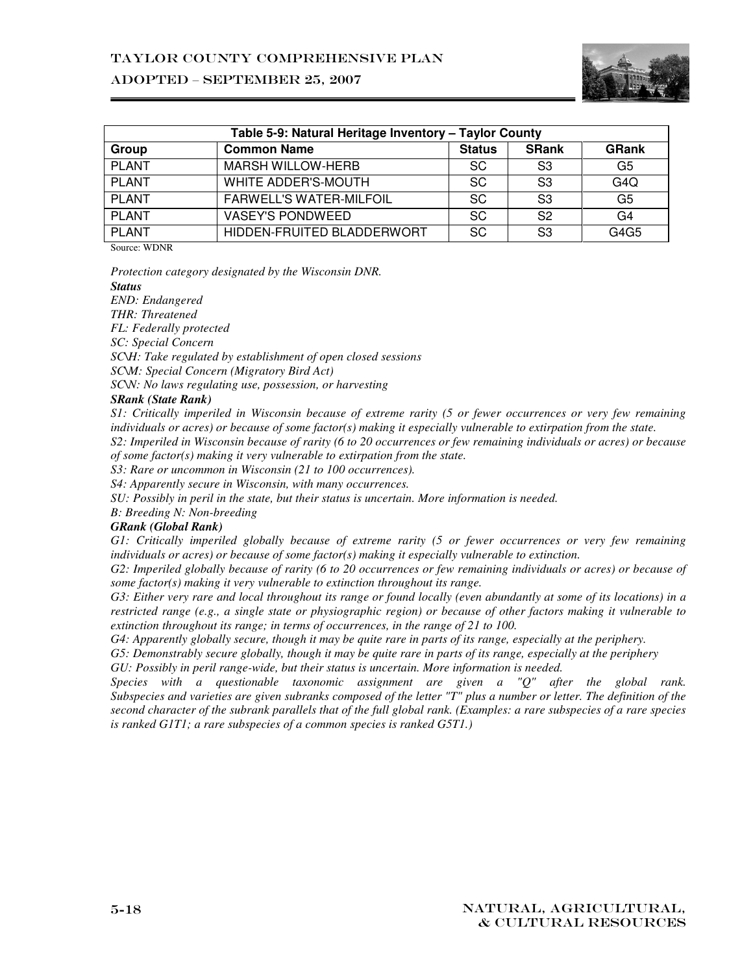

| Table 5-9: Natural Heritage Inventory - Taylor County |                                |               |                |              |  |
|-------------------------------------------------------|--------------------------------|---------------|----------------|--------------|--|
| Group                                                 | <b>Common Name</b>             | <b>Status</b> | <b>SRank</b>   | <b>GRank</b> |  |
| <b>PLANT</b>                                          | <b>MARSH WILLOW-HERB</b>       | <b>SC</b>     | S3             | G5           |  |
| <b>PLANT</b>                                          | WHITE ADDER'S-MOUTH            | SC            | S <sub>3</sub> | G4Q          |  |
| <b>PLANT</b>                                          | <b>FARWELL'S WATER-MILFOIL</b> | <b>SC</b>     | S <sub>3</sub> | G5           |  |
| <b>PLANT</b>                                          | <b>VASEY'S PONDWEED</b>        | <b>SC</b>     | S <sub>2</sub> | G4           |  |
| <b>PLANT</b>                                          | HIDDEN-FRUITED BLADDERWORT     | <b>SC</b>     | S <sub>3</sub> | G4G5         |  |

Source: WDNR

*Protection category designated by the Wisconsin DNR.* 

*Status* 

*END: Endangered* 

*THR: Threatened* 

*FL: Federally protected* 

*SC: Special Concern* 

*SC\H: Take regulated by establishment of open closed sessions* 

*SC\M: Special Concern (Migratory Bird Act)* 

*SC\N: No laws regulating use, possession, or harvesting* 

#### *SRank (State Rank)*

*S1: Critically imperiled in Wisconsin because of extreme rarity (5 or fewer occurrences or very few remaining individuals or acres) or because of some factor(s) making it especially vulnerable to extirpation from the state.* 

*S2: Imperiled in Wisconsin because of rarity (6 to 20 occurrences or few remaining individuals or acres) or because of some factor(s) making it very vulnerable to extirpation from the state.* 

*S3: Rare or uncommon in Wisconsin (21 to 100 occurrences).* 

*S4: Apparently secure in Wisconsin, with many occurrences.* 

*SU: Possibly in peril in the state, but their status is uncertain. More information is needed.* 

*B: Breeding N: Non-breeding* 

#### *GRank (Global Rank)*

*G1: Critically imperiled globally because of extreme rarity (5 or fewer occurrences or very few remaining individuals or acres) or because of some factor(s) making it especially vulnerable to extinction.* 

*G2: Imperiled globally because of rarity (6 to 20 occurrences or few remaining individuals or acres) or because of some factor(s) making it very vulnerable to extinction throughout its range.* 

*G3: Either very rare and local throughout its range or found locally (even abundantly at some of its locations) in a restricted range (e.g., a single state or physiographic region) or because of other factors making it vulnerable to extinction throughout its range; in terms of occurrences, in the range of 21 to 100.* 

*G4: Apparently globally secure, though it may be quite rare in parts of its range, especially at the periphery.* 

*G5: Demonstrably secure globally, though it may be quite rare in parts of its range, especially at the periphery GU: Possibly in peril range-wide, but their status is uncertain. More information is needed.* 

*Species with a questionable taxonomic assignment are given a "Q" after the global rank. Subspecies and varieties are given subranks composed of the letter "T" plus a number or letter. The definition of the second character of the subrank parallels that of the full global rank. (Examples: a rare subspecies of a rare species is ranked G1T1; a rare subspecies of a common species is ranked G5T1.)*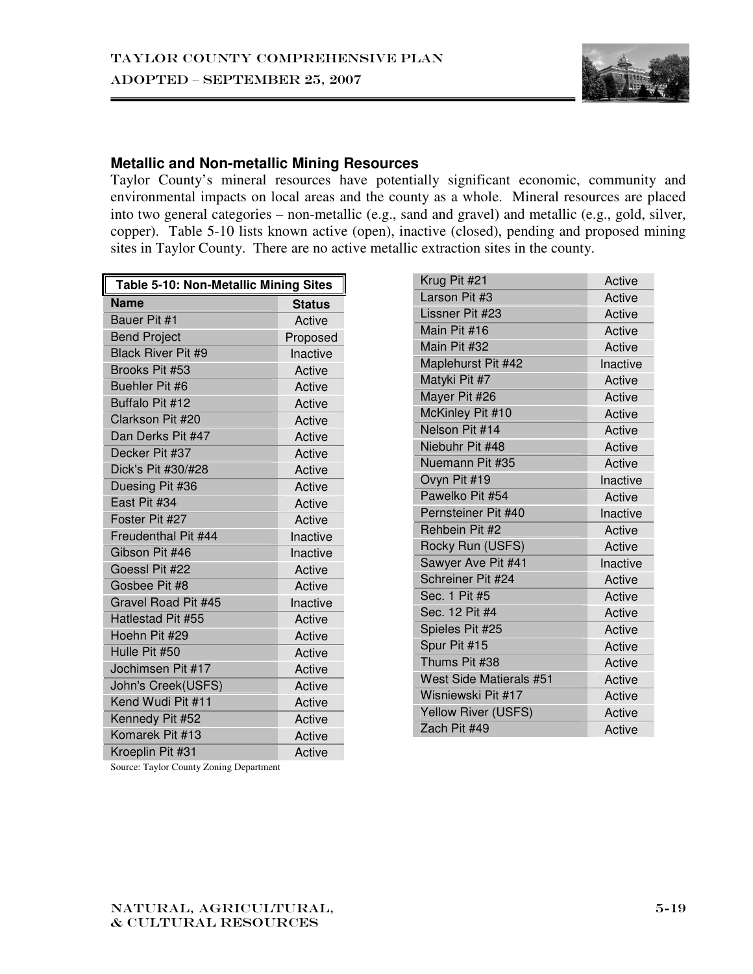

#### **Metallic and Non-metallic Mining Resources**

Taylor County's mineral resources have potentially significant economic, community and environmental impacts on local areas and the county as a whole. Mineral resources are placed into two general categories – non-metallic (e.g., sand and gravel) and metallic (e.g., gold, silver, copper). Table 5-10 lists known active (open), inactive (closed), pending and proposed mining sites in Taylor County. There are no active metallic extraction sites in the county.

| <b>Table 5-10: Non-Metallic Mining Sites</b> |               |  |  |  |
|----------------------------------------------|---------------|--|--|--|
| <b>Name</b>                                  | <b>Status</b> |  |  |  |
| Bauer Pit #1                                 | Active        |  |  |  |
| <b>Bend Project</b>                          | Proposed      |  |  |  |
| <b>Black River Pit #9</b>                    | Inactive      |  |  |  |
| Brooks Pit #53                               | Active        |  |  |  |
| Buehler Pit #6                               | Active        |  |  |  |
| Buffalo Pit #12                              | Active        |  |  |  |
| Clarkson Pit #20                             | Active        |  |  |  |
| Dan Derks Pit #47                            | Active        |  |  |  |
| Decker Pit #37                               | Active        |  |  |  |
| Dick's Pit #30/#28                           | Active        |  |  |  |
| Duesing Pit #36                              | Active        |  |  |  |
| East Pit #34                                 | Active        |  |  |  |
| Foster Pit #27                               | Active        |  |  |  |
| Freudenthal Pit #44                          | Inactive      |  |  |  |
| Gibson Pit #46                               | Inactive      |  |  |  |
| Goessl Pit #22                               | Active        |  |  |  |
| Gosbee Pit #8                                | Active        |  |  |  |
| Gravel Road Pit #45                          | Inactive      |  |  |  |
| Hatlestad Pit #55                            | Active        |  |  |  |
| Hoehn Pit #29                                | Active        |  |  |  |
| Hulle Pit #50                                | Active        |  |  |  |
| Jochimsen Pit #17                            | Active        |  |  |  |
| John's Creek(USFS)                           | Active        |  |  |  |
| Kend Wudi Pit #11                            | Active        |  |  |  |
| Kennedy Pit #52                              | Active        |  |  |  |
| Komarek Pit #13                              | Active        |  |  |  |
| Kroeplin Pit #31                             | Active        |  |  |  |

| Krug Pit #21            | Active   |
|-------------------------|----------|
| Larson Pit #3           | Active   |
| Lissner Pit #23         | Active   |
| Main Pit #16            | Active   |
| Main Pit #32            | Active   |
| Maplehurst Pit #42      | Inactive |
| Matyki Pit #7           | Active   |
| Mayer Pit #26           | Active   |
| McKinley Pit #10        | Active   |
| Nelson Pit #14          | Active   |
| Niebuhr Pit #48         | Active   |
| Nuemann Pit #35         | Active   |
| Ovyn Pit #19            | Inactive |
| Pawelko Pit #54         | Active   |
| Pernsteiner Pit #40     | Inactive |
| Rehbein Pit #2          | Active   |
| Rocky Run (USFS)        | Active   |
| Sawyer Ave Pit #41      | Inactive |
| Schreiner Pit #24       | Active   |
| Sec. 1 Pit #5           | Active   |
| Sec. 12 Pit #4          | Active   |
| Spieles Pit #25         | Active   |
| Spur Pit #15            | Active   |
| Thums Pit #38           | Active   |
| West Side Matierals #51 | Active   |
| Wisniewski Pit #17      | Active   |
| Yellow River (USFS)     | Active   |
| Zach Pit #49            | Active   |

Source: Taylor County Zoning Department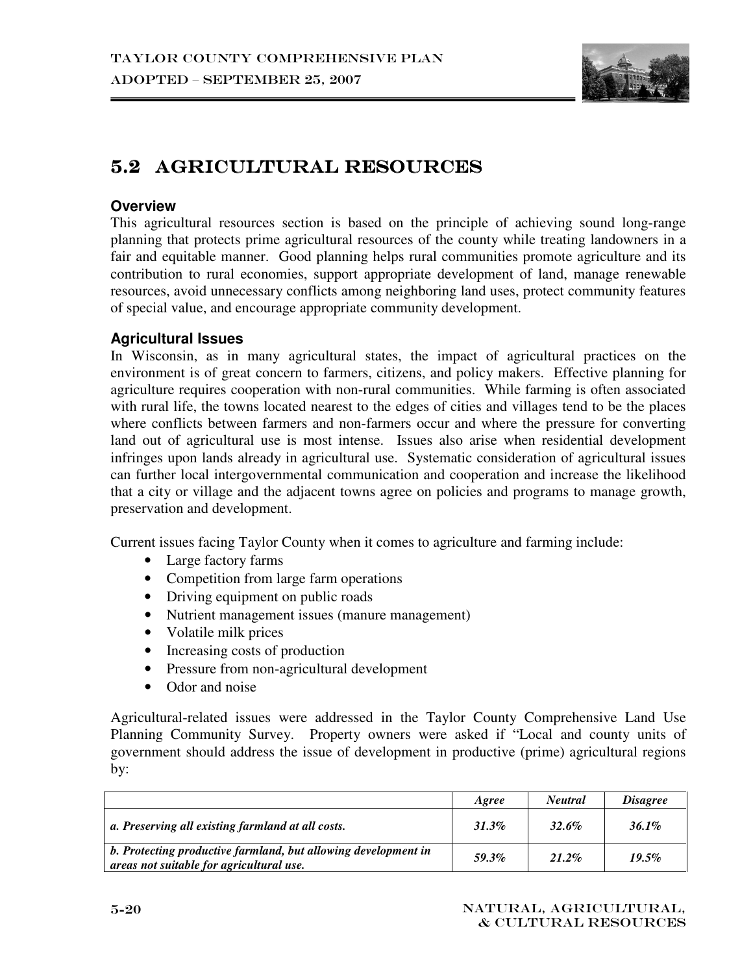

# 5.2 AGRICULTURAL RESOURCES

## **Overview**

This agricultural resources section is based on the principle of achieving sound long-range planning that protects prime agricultural resources of the county while treating landowners in a fair and equitable manner. Good planning helps rural communities promote agriculture and its contribution to rural economies, support appropriate development of land, manage renewable resources, avoid unnecessary conflicts among neighboring land uses, protect community features of special value, and encourage appropriate community development.

## **Agricultural Issues**

In Wisconsin, as in many agricultural states, the impact of agricultural practices on the environment is of great concern to farmers, citizens, and policy makers. Effective planning for agriculture requires cooperation with non-rural communities. While farming is often associated with rural life, the towns located nearest to the edges of cities and villages tend to be the places where conflicts between farmers and non-farmers occur and where the pressure for converting land out of agricultural use is most intense. Issues also arise when residential development infringes upon lands already in agricultural use. Systematic consideration of agricultural issues can further local intergovernmental communication and cooperation and increase the likelihood that a city or village and the adjacent towns agree on policies and programs to manage growth, preservation and development.

Current issues facing Taylor County when it comes to agriculture and farming include:

- Large factory farms
- Competition from large farm operations
- Driving equipment on public roads
- Nutrient management issues (manure management)
- Volatile milk prices
- Increasing costs of production
- Pressure from non-agricultural development
- Odor and noise

Agricultural-related issues were addressed in the Taylor County Comprehensive Land Use Planning Community Survey. Property owners were asked if "Local and county units of government should address the issue of development in productive (prime) agricultural regions by:

|                                                                                                            | Agree    | <b>Neutral</b> | <i><b>Disagree</b></i> |
|------------------------------------------------------------------------------------------------------------|----------|----------------|------------------------|
| a. Preserving all existing farmland at all costs.                                                          | $31.3\%$ | 32.6%          | 36.1%                  |
| b. Protecting productive farmland, but allowing development in<br>areas not suitable for agricultural use. | 59.3%    | 21.2%          | 19.5%                  |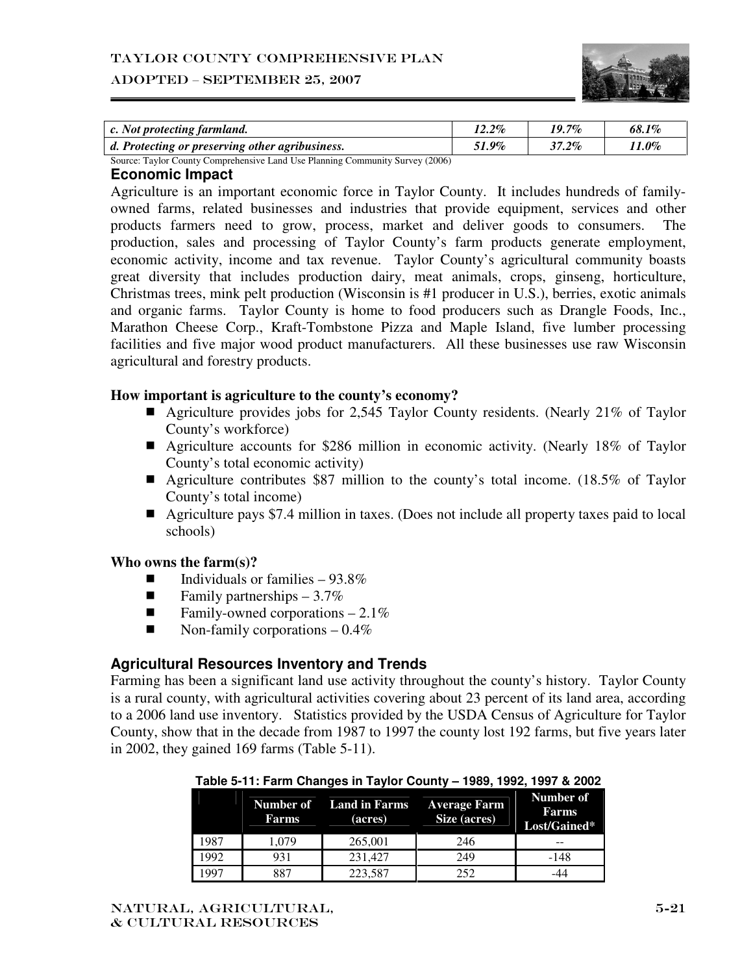#### Taylor County Comprehensive Plan

#### ADOPTED – SEPTEMBER 25, 2007



| c. Not protecting farmland.                                                                                                                                                                                                                                                                                                  | $12.2\%$ | $19.7\%$ | 68.1% |
|------------------------------------------------------------------------------------------------------------------------------------------------------------------------------------------------------------------------------------------------------------------------------------------------------------------------------|----------|----------|-------|
| d. Protecting or preserving other agribusiness.                                                                                                                                                                                                                                                                              | 51.9%    | $37.2\%$ | 11.0% |
| $R_{\text{2}}$ , $R_{\text{2}}$ , $R_{\text{2}}$ , $R_{\text{2}}$ , $R_{\text{2}}$ , $R_{\text{2}}$ , $R_{\text{2}}$ , $R_{\text{2}}$ , $R_{\text{2}}$ , $R_{\text{2}}$ , $R_{\text{2}}$ , $R_{\text{2}}$ , $R_{\text{2}}$ , $R_{\text{2}}$ , $R_{\text{2}}$ , $R_{\text{2}}$ , $R_{\text{2}}$ , $R_{\text{2}}$ , $R_{\text$ |          |          |       |

Source: Taylor County Comprehensive Land Use Planning Community Survey (2006)

#### **Economic Impact**

Agriculture is an important economic force in Taylor County. It includes hundreds of familyowned farms, related businesses and industries that provide equipment, services and other products farmers need to grow, process, market and deliver goods to consumers. The production, sales and processing of Taylor County's farm products generate employment, economic activity, income and tax revenue. Taylor County's agricultural community boasts great diversity that includes production dairy, meat animals, crops, ginseng, horticulture, Christmas trees, mink pelt production (Wisconsin is #1 producer in U.S.), berries, exotic animals and organic farms. Taylor County is home to food producers such as Drangle Foods, Inc., Marathon Cheese Corp., Kraft-Tombstone Pizza and Maple Island, five lumber processing facilities and five major wood product manufacturers. All these businesses use raw Wisconsin agricultural and forestry products.

#### **How important is agriculture to the county's economy?**

- Agriculture provides jobs for 2,545 Taylor County residents. (Nearly 21% of Taylor County's workforce)
- Agriculture accounts for \$286 million in economic activity. (Nearly 18% of Taylor County's total economic activity)
- Agriculture contributes \$87 million to the county's total income. (18.5% of Taylor County's total income)
- Agriculture pays \$7.4 million in taxes. (Does not include all property taxes paid to local schools)

#### **Who owns the farm(s)?**

- Individuals or families 93.8%
- **E** Family partnerships  $-3.7\%$
- **Family-owned corporations 2.1%**
- $\blacksquare$  Non-family corporations 0.4%

#### **Agricultural Resources Inventory and Trends**

Farming has been a significant land use activity throughout the county's history. Taylor County is a rural county, with agricultural activities covering about 23 percent of its land area, according to a 2006 land use inventory. Statistics provided by the USDA Census of Agriculture for Taylor County, show that in the decade from 1987 to 1997 the county lost 192 farms, but five years later in 2002, they gained 169 farms (Table 5-11).

|      | Number of<br>Farms | <b>Land in Farms</b><br>(acres) | <b>Average Farm</b><br>Size (acres) | Number of<br>Farms<br>Lost/Gained* |
|------|--------------------|---------------------------------|-------------------------------------|------------------------------------|
| 1987 | 1.079              | 265,001                         | 246                                 | --                                 |
| 1992 | 931                | 231.427                         | 249                                 | -148                               |
| 997  | 887                | 223.587                         | 252                                 | -44                                |

#### **Table 5-11: Farm Changes in Taylor County – 1989, 1992, 1997 & 2002**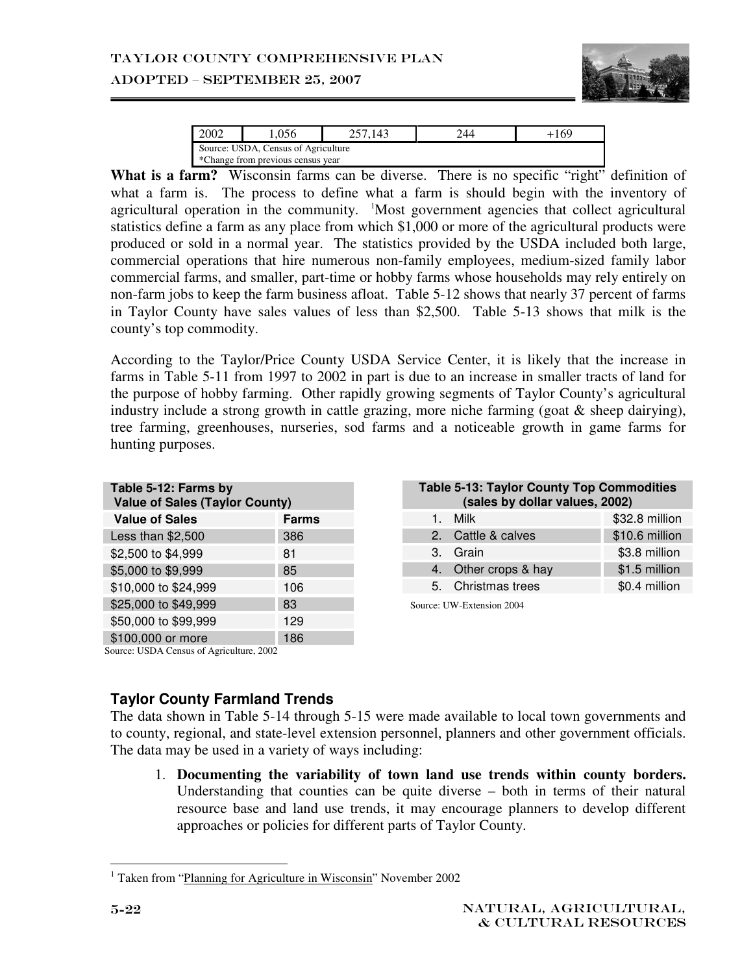

#### ADOPTED – SEPTEMBER 25, 2007

| 2002                                |                                   | 143 |  | 169 |  |  |  |  |
|-------------------------------------|-----------------------------------|-----|--|-----|--|--|--|--|
| Source: USDA, Census of Agriculture |                                   |     |  |     |  |  |  |  |
|                                     | *Change from previous census year |     |  |     |  |  |  |  |

What is a farm? Wisconsin farms can be diverse. There is no specific "right" definition of what a farm is. The process to define what a farm is should begin with the inventory of agricultural operation in the community. <sup>1</sup>Most government agencies that collect agricultural statistics define a farm as any place from which \$1,000 or more of the agricultural products were produced or sold in a normal year. The statistics provided by the USDA included both large, commercial operations that hire numerous non-family employees, medium-sized family labor commercial farms, and smaller, part-time or hobby farms whose households may rely entirely on non-farm jobs to keep the farm business afloat. Table 5-12 shows that nearly 37 percent of farms in Taylor County have sales values of less than \$2,500. Table 5-13 shows that milk is the county's top commodity.

According to the Taylor/Price County USDA Service Center, it is likely that the increase in farms in Table 5-11 from 1997 to 2002 in part is due to an increase in smaller tracts of land for the purpose of hobby farming. Other rapidly growing segments of Taylor County's agricultural industry include a strong growth in cattle grazing, more niche farming (goat & sheep dairying), tree farming, greenhouses, nurseries, sod farms and a noticeable growth in game farms for hunting purposes.

| Table 5-12: Farms by<br><b>Value of Sales (Taylor County)</b>          |              |
|------------------------------------------------------------------------|--------------|
| <b>Value of Sales</b>                                                  | <b>Farms</b> |
| Less than \$2,500                                                      | 386          |
| \$2,500 to \$4,999                                                     | 81           |
| \$5,000 to \$9,999                                                     | 85           |
| \$10,000 to \$24,999                                                   | 106          |
| \$25,000 to \$49,999                                                   | 83           |
| \$50,000 to \$99,999                                                   | 129          |
| \$100,000 or more<br>$S_{\text{out}}$ IISDA Conque of Agriculture 2002 | 186          |

| <b>Table 5-13: Taylor County Top Commodities</b><br>(sales by dollar values, 2002) |                           |                |  |  |  |
|------------------------------------------------------------------------------------|---------------------------|----------------|--|--|--|
| $1_{-}$                                                                            | Milk                      | \$32.8 million |  |  |  |
|                                                                                    | 2. Cattle & calves        | \$10.6 million |  |  |  |
|                                                                                    | 3. Grain                  | \$3.8 million  |  |  |  |
|                                                                                    | 4. Other crops & hay      | \$1.5 million  |  |  |  |
|                                                                                    | 5. Christmas trees        | \$0.4 million  |  |  |  |
|                                                                                    | Source: UW-Extension 2004 |                |  |  |  |

#### Source: USDA Census of Agriculture, 2002

## **Taylor County Farmland Trends**

The data shown in Table 5-14 through 5-15 were made available to local town governments and to county, regional, and state-level extension personnel, planners and other government officials. The data may be used in a variety of ways including:

1. **Documenting the variability of town land use trends within county borders.**  Understanding that counties can be quite diverse – both in terms of their natural resource base and land use trends, it may encourage planners to develop different approaches or policies for different parts of Taylor County.

 $\overline{a}$ <sup>1</sup> Taken from "Planning for Agriculture in Wisconsin" November 2002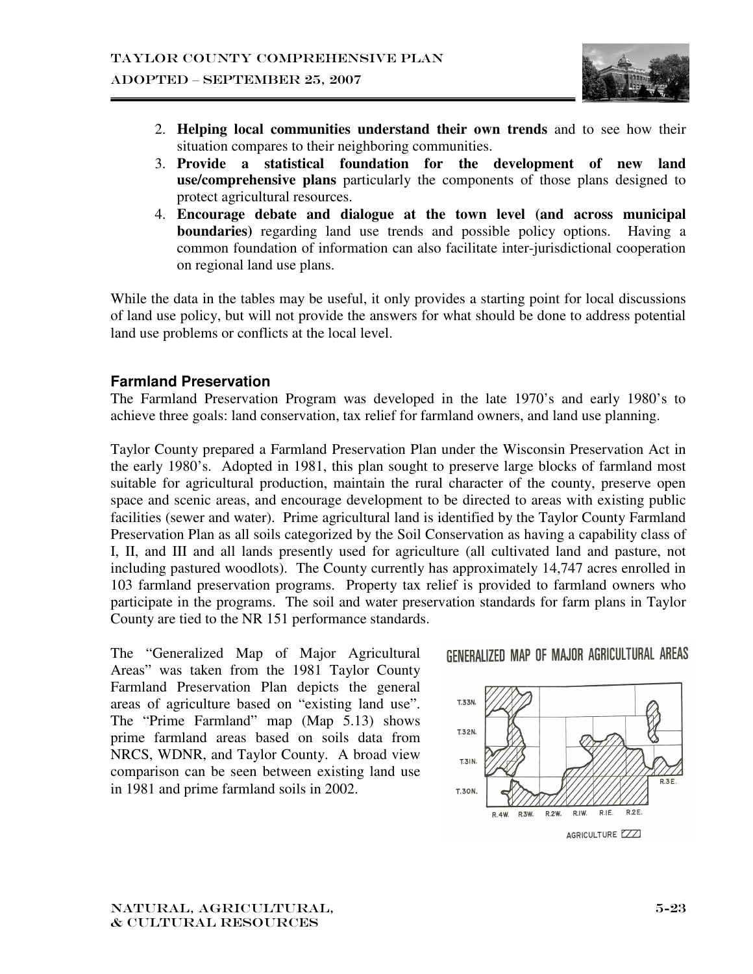

- 2. **Helping local communities understand their own trends** and to see how their situation compares to their neighboring communities.
- 3. **Provide a statistical foundation for the development of new land use/comprehensive plans** particularly the components of those plans designed to protect agricultural resources.
- 4. **Encourage debate and dialogue at the town level (and across municipal boundaries**) regarding land use trends and possible policy options. Having a common foundation of information can also facilitate inter-jurisdictional cooperation on regional land use plans.

While the data in the tables may be useful, it only provides a starting point for local discussions of land use policy, but will not provide the answers for what should be done to address potential land use problems or conflicts at the local level.

## **Farmland Preservation**

The Farmland Preservation Program was developed in the late 1970's and early 1980's to achieve three goals: land conservation, tax relief for farmland owners, and land use planning.

Taylor County prepared a Farmland Preservation Plan under the Wisconsin Preservation Act in the early 1980's. Adopted in 1981, this plan sought to preserve large blocks of farmland most suitable for agricultural production, maintain the rural character of the county, preserve open space and scenic areas, and encourage development to be directed to areas with existing public facilities (sewer and water). Prime agricultural land is identified by the Taylor County Farmland Preservation Plan as all soils categorized by the Soil Conservation as having a capability class of I, II, and III and all lands presently used for agriculture (all cultivated land and pasture, not including pastured woodlots). The County currently has approximately 14,747 acres enrolled in 103 farmland preservation programs. Property tax relief is provided to farmland owners who participate in the programs. The soil and water preservation standards for farm plans in Taylor County are tied to the NR 151 performance standards.

The "Generalized Map of Major Agricultural Areas" was taken from the 1981 Taylor County Farmland Preservation Plan depicts the general areas of agriculture based on "existing land use". The "Prime Farmland" map (Map 5.13) shows prime farmland areas based on soils data from NRCS, WDNR, and Taylor County. A broad view comparison can be seen between existing land use in 1981 and prime farmland soils in 2002.



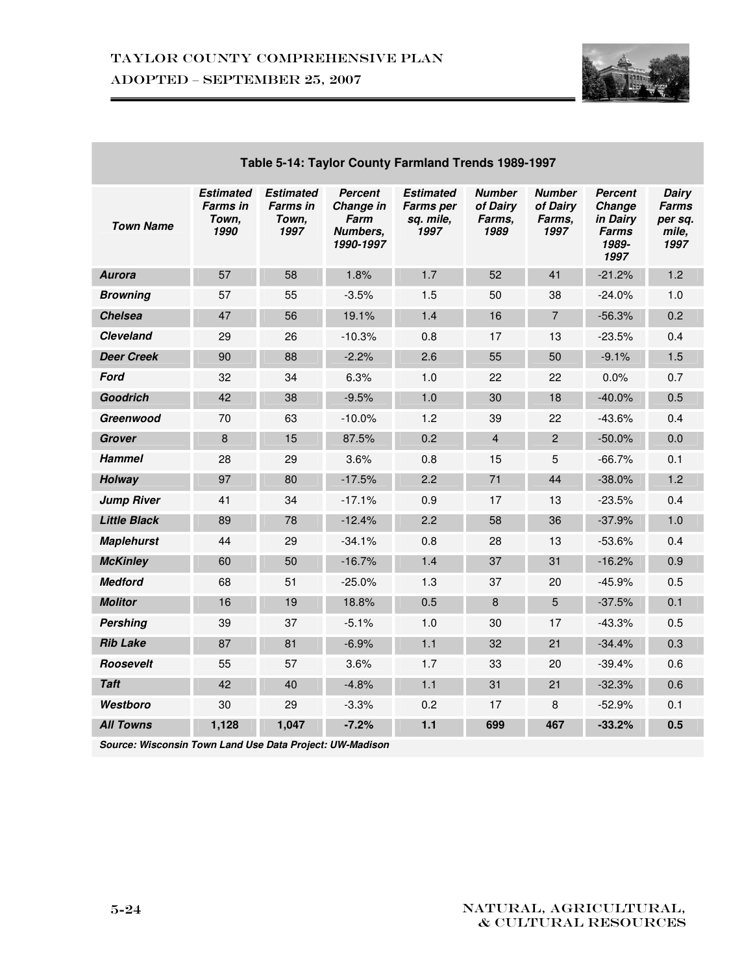

| Table 5-14: Taylor County Farmland Trends 1989-1997 |                                                      |                                                      |                                                              |                                                           |                                             |                                             |                                                         |                                                   |
|-----------------------------------------------------|------------------------------------------------------|------------------------------------------------------|--------------------------------------------------------------|-----------------------------------------------------------|---------------------------------------------|---------------------------------------------|---------------------------------------------------------|---------------------------------------------------|
| <b>Town Name</b>                                    | <b>Estimated</b><br><b>Farms in</b><br>Town,<br>1990 | <b>Estimated</b><br><b>Farms</b> in<br>Town,<br>1997 | <b>Percent</b><br>Change in<br>Farm<br>Numbers,<br>1990-1997 | <b>Estimated</b><br><b>Farms per</b><br>sq. mile,<br>1997 | <b>Number</b><br>of Dairy<br>Farms.<br>1989 | <b>Number</b><br>of Dairy<br>Farms.<br>1997 | Percent<br>Change<br>in Dairv<br>Farms<br>1989-<br>1997 | Dairy<br><b>Farms</b><br>per sq.<br>mile,<br>1997 |
| <b>Aurora</b>                                       | 57                                                   | 58                                                   | 1.8%                                                         | 1.7                                                       | 52                                          | 41                                          | $-21.2%$                                                | 1.2                                               |
| <b>Browning</b>                                     | 57                                                   | 55                                                   | $-3.5%$                                                      | 1.5                                                       | 50                                          | 38                                          | $-24.0%$                                                | 1.0                                               |
| <b>Chelsea</b>                                      | 47                                                   | 56                                                   | 19.1%                                                        | 1.4                                                       | 16                                          | $\overline{7}$                              | $-56.3%$                                                | 0.2                                               |
| <b>Cleveland</b>                                    | 29                                                   | 26                                                   | $-10.3%$                                                     | 0.8                                                       | 17                                          | 13                                          | $-23.5%$                                                | 0.4                                               |
| <b>Deer Creek</b>                                   | 90                                                   | 88                                                   | $-2.2%$                                                      | 2.6                                                       | 55                                          | 50                                          | $-9.1%$                                                 | 1.5                                               |
| Ford                                                | 32                                                   | 34                                                   | 6.3%                                                         | 1.0                                                       | 22                                          | 22                                          | 0.0%                                                    | 0.7                                               |
| <b>Goodrich</b>                                     | 42                                                   | 38                                                   | $-9.5%$                                                      | 1.0                                                       | 30                                          | 18                                          | $-40.0%$                                                | 0.5                                               |
| Greenwood                                           | 70                                                   | 63                                                   | $-10.0%$                                                     | 1.2                                                       | 39                                          | 22                                          | $-43.6%$                                                | 0.4                                               |
| <b>Grover</b>                                       | 8                                                    | 15                                                   | 87.5%                                                        | 0.2                                                       | $\overline{4}$                              | $\overline{2}$                              | $-50.0\%$                                               | 0.0                                               |
| <b>Hammel</b>                                       | 28                                                   | 29                                                   | 3.6%                                                         | 0.8                                                       | 15                                          | 5                                           | $-66.7%$                                                | 0.1                                               |
| Holway                                              | 97                                                   | 80                                                   | $-17.5%$                                                     | 2.2                                                       | 71                                          | 44                                          | $-38.0%$                                                | 1.2                                               |
| <b>Jump River</b>                                   | 41                                                   | 34                                                   | $-17.1%$                                                     | 0.9                                                       | 17                                          | 13                                          | $-23.5%$                                                | 0.4                                               |
| <b>Little Black</b>                                 | 89                                                   | 78                                                   | $-12.4%$                                                     | 2.2                                                       | 58                                          | 36                                          | $-37.9%$                                                | 1.0                                               |
| <b>Maplehurst</b>                                   | 44                                                   | 29                                                   | $-34.1%$                                                     | 0.8                                                       | 28                                          | 13                                          | $-53.6%$                                                | 0.4                                               |
| <b>McKinley</b>                                     | 60                                                   | 50                                                   | $-16.7%$                                                     | 1.4                                                       | 37                                          | 31                                          | $-16.2%$                                                | 0.9                                               |
| <b>Medford</b>                                      | 68                                                   | 51                                                   | $-25.0%$                                                     | 1.3                                                       | 37                                          | 20                                          | $-45.9%$                                                | 0.5                                               |
| <b>Molitor</b>                                      | 16                                                   | 19                                                   | 18.8%                                                        | 0.5                                                       | 8                                           | 5                                           | $-37.5%$                                                | 0.1                                               |
| <b>Pershing</b>                                     | 39                                                   | 37                                                   | $-5.1%$                                                      | 1.0                                                       | 30                                          | 17                                          | $-43.3%$                                                | 0.5                                               |
| <b>Rib Lake</b>                                     | 87                                                   | 81                                                   | $-6.9%$                                                      | 1.1                                                       | 32                                          | 21                                          | $-34.4%$                                                | 0.3                                               |
| Roosevelt                                           | 55                                                   | 57                                                   | 3.6%                                                         | 1.7                                                       | 33                                          | 20                                          | $-39.4%$                                                | 0.6                                               |
| <b>Taft</b>                                         | 42                                                   | 40                                                   | $-4.8%$                                                      | 1.1                                                       | 31                                          | 21                                          | $-32.3%$                                                | 0.6                                               |
| Westboro                                            | 30                                                   | 29                                                   | $-3.3%$                                                      | 0.2                                                       | 17                                          | 8                                           | $-52.9%$                                                | 0.1                                               |
| <b>All Towns</b>                                    | 1,128                                                | 1,047                                                | $-7.2%$                                                      | $1.1$                                                     | 699                                         | 467                                         | $-33.2%$                                                | 0.5                                               |

**Source: Wisconsin Town Land Use Data Project: UW-Madison**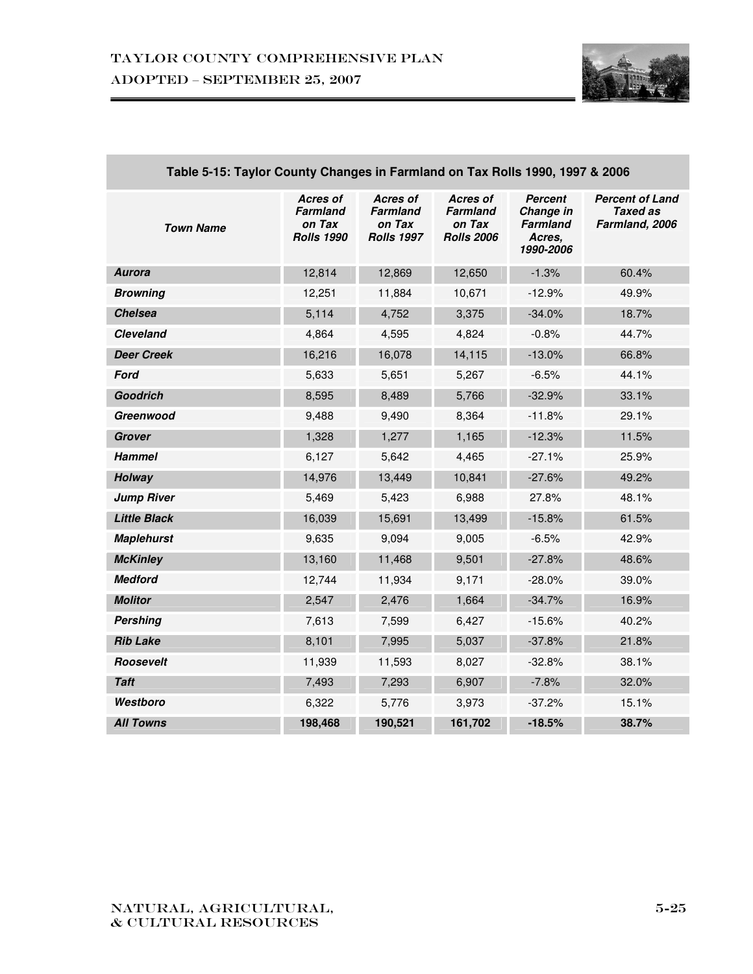

| <b>Town Name</b>    | Acres of<br><b>Farmland</b><br>on Tax<br><b>Rolls 1990</b> | <b>Acres of</b><br><b>Farmland</b><br>on Tax<br><b>Rolls 1997</b> | Acres of<br><b>Farmland</b><br>on Tax<br><b>Rolls 2006</b> | <b>Percent</b><br>Change in<br><b>Farmland</b><br>Acres,<br>1990-2006 | <b>Percent of Land</b><br><b>Taxed as</b><br>Farmland, 2006 |
|---------------------|------------------------------------------------------------|-------------------------------------------------------------------|------------------------------------------------------------|-----------------------------------------------------------------------|-------------------------------------------------------------|
| <b>Aurora</b>       | 12,814                                                     | 12,869                                                            | 12,650                                                     | $-1.3%$                                                               | 60.4%                                                       |
| <b>Browning</b>     | 12,251                                                     | 11,884                                                            | 10,671                                                     | $-12.9%$                                                              | 49.9%                                                       |
| <b>Chelsea</b>      | 5,114                                                      | 4,752                                                             | 3,375                                                      | $-34.0%$                                                              | 18.7%                                                       |
| <b>Cleveland</b>    | 4,864                                                      | 4,595                                                             | 4,824                                                      | $-0.8%$                                                               | 44.7%                                                       |
| <b>Deer Creek</b>   | 16,216                                                     | 16,078                                                            | 14,115                                                     | $-13.0%$                                                              | 66.8%                                                       |
| Ford                | 5,633                                                      | 5,651                                                             | 5,267                                                      | $-6.5%$                                                               | 44.1%                                                       |
| <b>Goodrich</b>     | 8,595                                                      | 8,489                                                             | 5,766                                                      | $-32.9%$                                                              | 33.1%                                                       |
| Greenwood           | 9,488                                                      | 9,490                                                             | 8,364                                                      | $-11.8%$                                                              | 29.1%                                                       |
| Grover              | 1,328                                                      | 1,277                                                             | 1,165                                                      | $-12.3%$                                                              | 11.5%                                                       |
| <b>Hammel</b>       | 6,127                                                      | 5,642                                                             | 4,465                                                      | $-27.1%$                                                              | 25.9%                                                       |
| Holway              | 14,976                                                     | 13,449                                                            | 10,841                                                     | $-27.6%$                                                              | 49.2%                                                       |
| <b>Jump River</b>   | 5,469                                                      | 5,423                                                             | 6,988                                                      | 27.8%                                                                 | 48.1%                                                       |
| <b>Little Black</b> | 16,039                                                     | 15,691                                                            | 13,499                                                     | $-15.8%$                                                              | 61.5%                                                       |
| <b>Maplehurst</b>   | 9,635                                                      | 9,094                                                             | 9,005                                                      | $-6.5%$                                                               | 42.9%                                                       |
| <b>McKinley</b>     | 13,160                                                     | 11,468                                                            | 9,501                                                      | $-27.8%$                                                              | 48.6%                                                       |
| <b>Medford</b>      | 12,744                                                     | 11,934                                                            | 9,171                                                      | $-28.0%$                                                              | 39.0%                                                       |
| <b>Molitor</b>      | 2,547                                                      | 2,476                                                             | 1,664                                                      | $-34.7%$                                                              | 16.9%                                                       |
| <b>Pershing</b>     | 7,613                                                      | 7,599                                                             | 6,427                                                      | $-15.6%$                                                              | 40.2%                                                       |
| <b>Rib Lake</b>     | 8,101                                                      | 7,995                                                             | 5,037                                                      | $-37.8%$                                                              | 21.8%                                                       |
| Roosevelt           | 11,939                                                     | 11,593                                                            | 8,027                                                      | $-32.8%$                                                              | 38.1%                                                       |
| <b>Taft</b>         | 7,493                                                      | 7,293                                                             | 6,907                                                      | $-7.8%$                                                               | 32.0%                                                       |
| Westboro            | 6,322                                                      | 5,776                                                             | 3,973                                                      | $-37.2%$                                                              | 15.1%                                                       |
| <b>All Towns</b>    | 198,468                                                    | 190,521                                                           | 161,702                                                    | $-18.5%$                                                              | 38.7%                                                       |

#### **Table 5-15: Taylor County Changes in Farmland on Tax Rolls 1990, 1997 & 2006**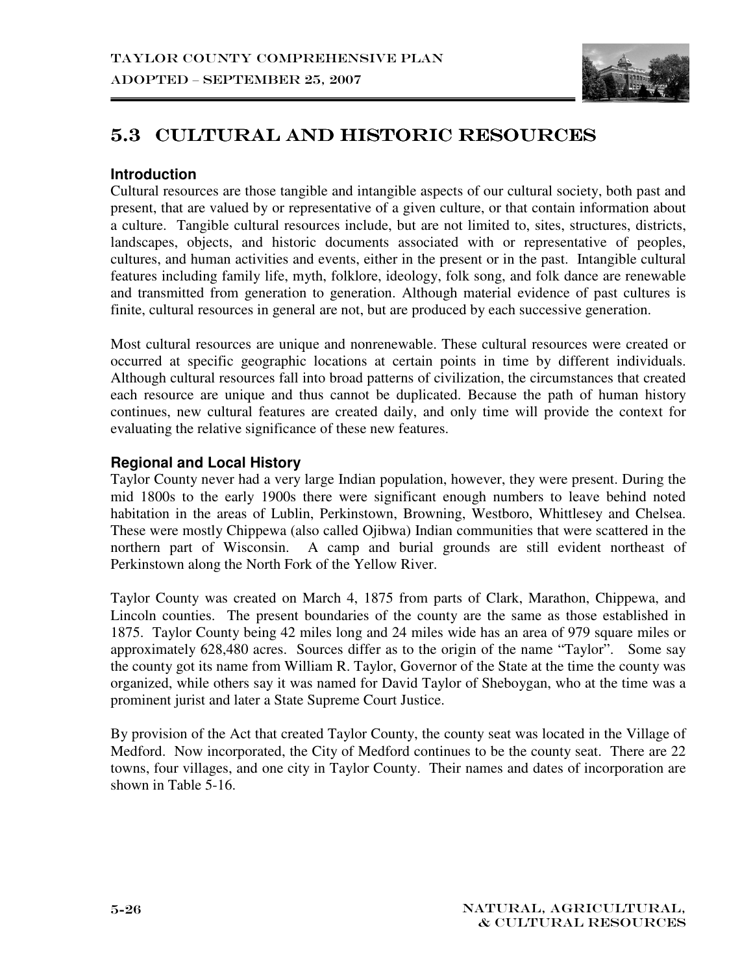

# 5.3 CULTURAL AND HISTORIC RESOURCES

## **Introduction**

Cultural resources are those tangible and intangible aspects of our cultural society, both past and present, that are valued by or representative of a given culture, or that contain information about a culture. Tangible cultural resources include, but are not limited to, sites, structures, districts, landscapes, objects, and historic documents associated with or representative of peoples, cultures, and human activities and events, either in the present or in the past. Intangible cultural features including family life, myth, folklore, ideology, folk song, and folk dance are renewable and transmitted from generation to generation. Although material evidence of past cultures is finite, cultural resources in general are not, but are produced by each successive generation.

Most cultural resources are unique and nonrenewable. These cultural resources were created or occurred at specific geographic locations at certain points in time by different individuals. Although cultural resources fall into broad patterns of civilization, the circumstances that created each resource are unique and thus cannot be duplicated. Because the path of human history continues, new cultural features are created daily, and only time will provide the context for evaluating the relative significance of these new features.

#### **Regional and Local History**

Taylor County never had a very large Indian population, however, they were present. During the mid 1800s to the early 1900s there were significant enough numbers to leave behind noted habitation in the areas of Lublin, Perkinstown, Browning, Westboro, Whittlesey and Chelsea. These were mostly Chippewa (also called Ojibwa) Indian communities that were scattered in the northern part of Wisconsin. A camp and burial grounds are still evident northeast of Perkinstown along the North Fork of the Yellow River.

Taylor County was created on March 4, 1875 from parts of Clark, Marathon, Chippewa, and Lincoln counties. The present boundaries of the county are the same as those established in 1875. Taylor County being 42 miles long and 24 miles wide has an area of 979 square miles or approximately 628,480 acres. Sources differ as to the origin of the name "Taylor". Some say the county got its name from William R. Taylor, Governor of the State at the time the county was organized, while others say it was named for David Taylor of Sheboygan, who at the time was a prominent jurist and later a State Supreme Court Justice.

By provision of the Act that created Taylor County, the county seat was located in the Village of Medford. Now incorporated, the City of Medford continues to be the county seat. There are 22 towns, four villages, and one city in Taylor County. Their names and dates of incorporation are shown in Table 5-16.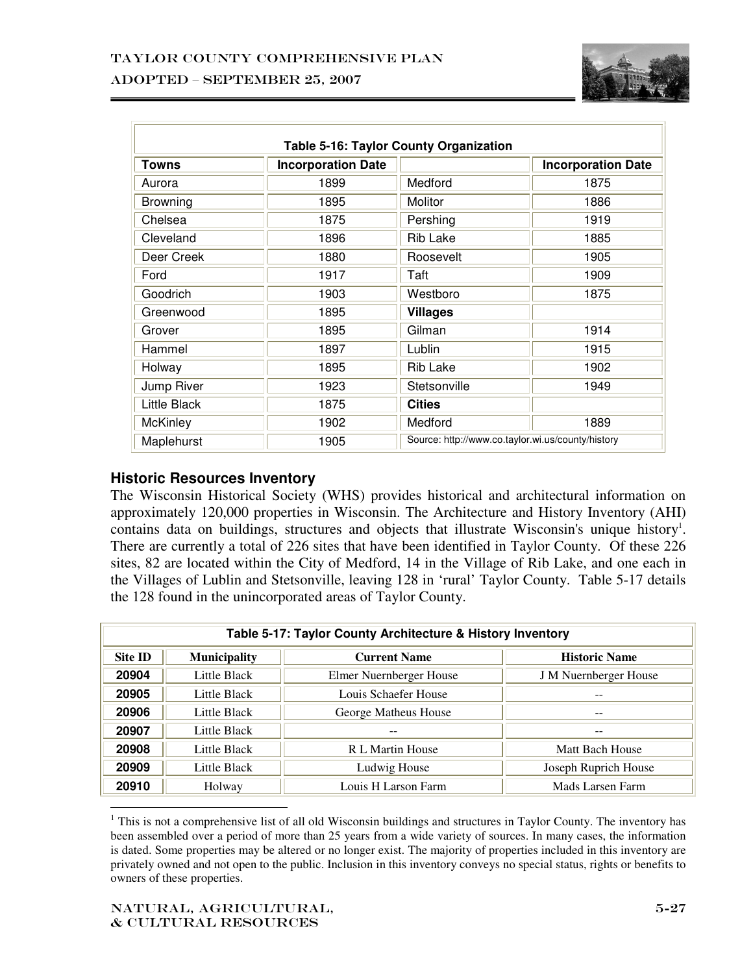

| <b>Table 5-16: Taylor County Organization</b> |                           |                                                   |                           |  |  |  |
|-----------------------------------------------|---------------------------|---------------------------------------------------|---------------------------|--|--|--|
| Towns                                         | <b>Incorporation Date</b> |                                                   | <b>Incorporation Date</b> |  |  |  |
| Aurora                                        | 1899                      | Medford                                           | 1875                      |  |  |  |
| Browning                                      | 1895                      | Molitor                                           | 1886                      |  |  |  |
| Chelsea                                       | 1875                      | Pershing                                          | 1919                      |  |  |  |
| Cleveland                                     | 1896                      | Rib Lake                                          | 1885                      |  |  |  |
| Deer Creek                                    | 1880                      | Roosevelt                                         | 1905                      |  |  |  |
| Ford                                          | 1917                      | Taft                                              | 1909                      |  |  |  |
| Goodrich                                      | 1903                      | Westboro                                          | 1875                      |  |  |  |
| Greenwood                                     | 1895                      | <b>Villages</b>                                   |                           |  |  |  |
| Grover                                        | 1895                      | Gilman                                            | 1914                      |  |  |  |
| Hammel                                        | 1897                      | Lublin                                            | 1915                      |  |  |  |
| Holway                                        | 1895                      | Rib Lake                                          | 1902                      |  |  |  |
| Jump River                                    | 1923                      | Stetsonville                                      | 1949                      |  |  |  |
| Little Black                                  | 1875                      | <b>Cities</b>                                     |                           |  |  |  |
| <b>McKinley</b>                               | 1902                      | Medford                                           | 1889                      |  |  |  |
| Maplehurst                                    | 1905                      | Source: http://www.co.taylor.wi.us/county/history |                           |  |  |  |

#### **Historic Resources Inventory**

The Wisconsin Historical Society (WHS) provides historical and architectural information on approximately 120,000 properties in Wisconsin. The Architecture and History Inventory (AHI) contains data on buildings, structures and objects that illustrate Wisconsin's unique history<sup>1</sup>. There are currently a total of 226 sites that have been identified in Taylor County. Of these 226 sites, 82 are located within the City of Medford, 14 in the Village of Rib Lake, and one each in the Villages of Lublin and Stetsonville, leaving 128 in 'rural' Taylor County. Table 5-17 details the 128 found in the unincorporated areas of Taylor County.

| Table 5-17: Taylor County Architecture & History Inventory |                                                                    |                         |                              |  |  |  |
|------------------------------------------------------------|--------------------------------------------------------------------|-------------------------|------------------------------|--|--|--|
| <b>Site ID</b>                                             | <b>Municipality</b><br><b>Current Name</b><br><b>Historic Name</b> |                         |                              |  |  |  |
| 20904                                                      | Little Black                                                       | Elmer Nuernberger House | <b>J</b> M Nuernberger House |  |  |  |
| 20905                                                      | Little Black                                                       | Louis Schaefer House    |                              |  |  |  |
| 20906                                                      | Little Black                                                       | George Matheus House    | --                           |  |  |  |
| 20907                                                      | Little Black                                                       |                         | --                           |  |  |  |
| 20908                                                      | Little Black                                                       | R L Martin House        | Matt Bach House              |  |  |  |
| 20909                                                      | Little Black                                                       | Ludwig House            | Joseph Ruprich House         |  |  |  |
| 20910                                                      | Holway                                                             | Louis H Larson Farm     | Mads Larsen Farm             |  |  |  |

 $\overline{a}$ <sup>1</sup> This is not a comprehensive list of all old Wisconsin buildings and structures in Taylor County. The inventory has been assembled over a period of more than 25 years from a wide variety of sources. In many cases, the information is dated. Some properties may be altered or no longer exist. The majority of properties included in this inventory are privately owned and not open to the public. Inclusion in this inventory conveys no special status, rights or benefits to owners of these properties.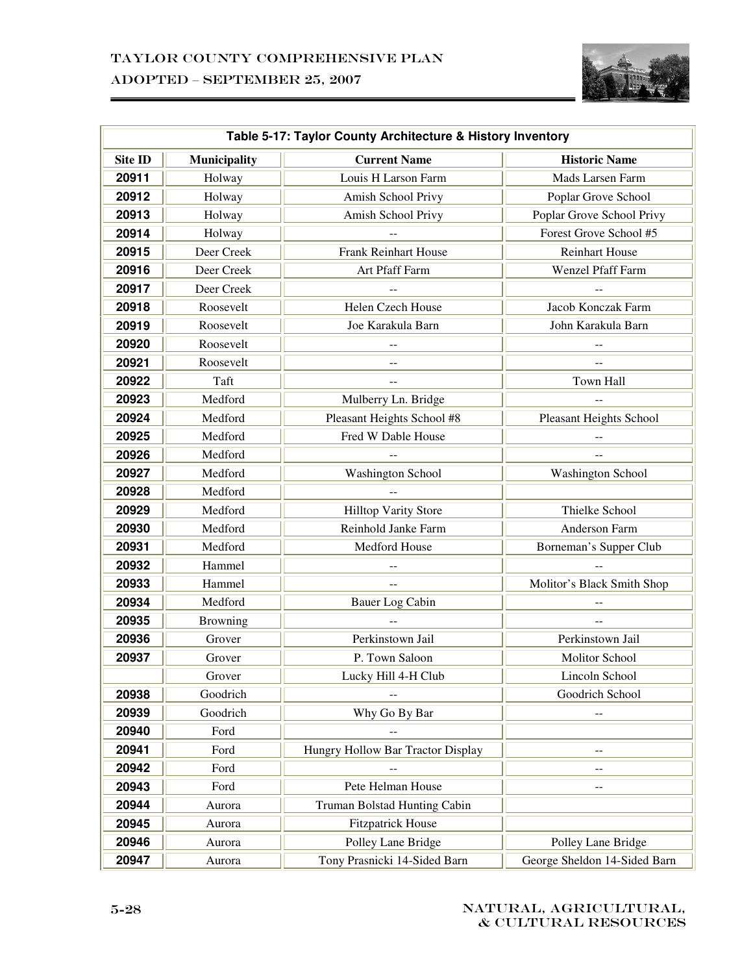

|                | Table 5-17: Taylor County Architecture & History Inventory |                                   |                              |  |  |
|----------------|------------------------------------------------------------|-----------------------------------|------------------------------|--|--|
| <b>Site ID</b> | Municipality                                               | <b>Current Name</b>               | <b>Historic Name</b>         |  |  |
| 20911          | Holway                                                     | Louis H Larson Farm               | Mads Larsen Farm             |  |  |
| 20912          | Holway                                                     | Amish School Privy                | Poplar Grove School          |  |  |
| 20913          | Holway                                                     | Amish School Privy                | Poplar Grove School Privy    |  |  |
| 20914          | Holway                                                     |                                   | Forest Grove School #5       |  |  |
| 20915          | Deer Creek                                                 | Frank Reinhart House              | <b>Reinhart House</b>        |  |  |
| 20916          | Deer Creek                                                 | Art Pfaff Farm                    | Wenzel Pfaff Farm            |  |  |
| 20917          | Deer Creek                                                 |                                   |                              |  |  |
| 20918          | Roosevelt                                                  | Helen Czech House                 | Jacob Konczak Farm           |  |  |
| 20919          | Roosevelt                                                  | Joe Karakula Barn                 | John Karakula Barn           |  |  |
| 20920          | Roosevelt                                                  |                                   |                              |  |  |
| 20921          | Roosevelt                                                  |                                   |                              |  |  |
| 20922          | Taft                                                       |                                   | Town Hall                    |  |  |
| 20923          | Medford                                                    | Mulberry Ln. Bridge               |                              |  |  |
| 20924          | Medford                                                    | Pleasant Heights School #8        | Pleasant Heights School      |  |  |
| 20925          | Medford                                                    | Fred W Dable House                |                              |  |  |
| 20926          | Medford                                                    |                                   |                              |  |  |
| 20927          | Medford                                                    | <b>Washington School</b>          | <b>Washington School</b>     |  |  |
| 20928          | Medford                                                    |                                   |                              |  |  |
| 20929          | Medford                                                    | Hilltop Varity Store              | Thielke School               |  |  |
| 20930          | Medford                                                    | Reinhold Janke Farm               | Anderson Farm                |  |  |
| 20931          | Medford                                                    | Medford House                     | Borneman's Supper Club       |  |  |
| 20932          | Hammel                                                     |                                   |                              |  |  |
| 20933          | Hammel                                                     |                                   | Molitor's Black Smith Shop   |  |  |
| 20934          | Medford                                                    | Bauer Log Cabin                   |                              |  |  |
| 20935          | Browning                                                   |                                   | $\overline{\phantom{a}}$     |  |  |
| 20936          | Grover                                                     | Perkinstown Jail                  | Perkinstown Jail             |  |  |
| 20937          | Grover                                                     | P. Town Saloon                    | Molitor School               |  |  |
|                | Grover                                                     | Lucky Hill 4-H Club               | Lincoln School               |  |  |
| 20938          | Goodrich                                                   |                                   | Goodrich School              |  |  |
| 20939          | Goodrich                                                   | Why Go By Bar                     |                              |  |  |
| 20940          | Ford                                                       |                                   |                              |  |  |
| 20941          | Ford                                                       | Hungry Hollow Bar Tractor Display | $-$                          |  |  |
| 20942          | Ford                                                       |                                   |                              |  |  |
| 20943          | Ford                                                       | Pete Helman House                 |                              |  |  |
| 20944          | Aurora                                                     | Truman Bolstad Hunting Cabin      |                              |  |  |
| 20945          | Aurora                                                     | <b>Fitzpatrick House</b>          |                              |  |  |
| 20946          | Aurora                                                     | Polley Lane Bridge                | Polley Lane Bridge           |  |  |
| 20947          | Aurora                                                     | Tony Prasnicki 14-Sided Barn      | George Sheldon 14-Sided Barn |  |  |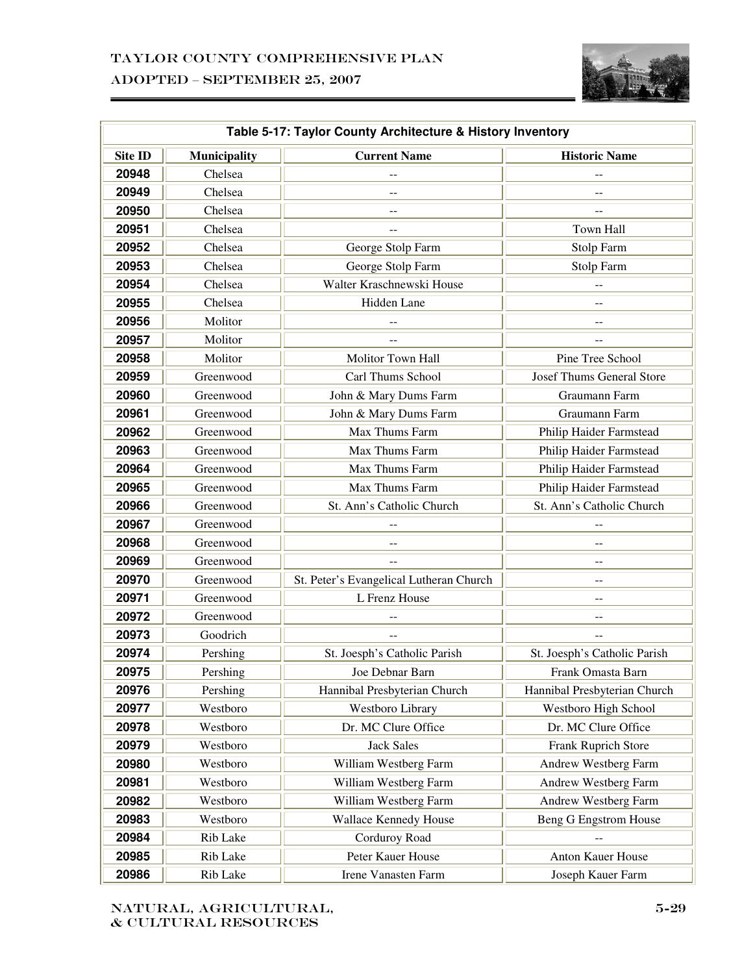

|                | Table 5-17: Taylor County Architecture & History Inventory |                                         |                                  |  |  |
|----------------|------------------------------------------------------------|-----------------------------------------|----------------------------------|--|--|
| <b>Site ID</b> | Municipality                                               | <b>Current Name</b>                     | <b>Historic Name</b>             |  |  |
| 20948          | Chelsea                                                    |                                         |                                  |  |  |
| 20949          | Chelsea                                                    |                                         |                                  |  |  |
| 20950          | Chelsea                                                    |                                         |                                  |  |  |
| 20951          | Chelsea                                                    |                                         | Town Hall                        |  |  |
| 20952          | Chelsea                                                    | George Stolp Farm                       | Stolp Farm                       |  |  |
| 20953          | Chelsea                                                    | George Stolp Farm                       | Stolp Farm                       |  |  |
| 20954          | Chelsea                                                    | Walter Kraschnewski House               |                                  |  |  |
| 20955          | Chelsea                                                    | Hidden Lane                             | $-$                              |  |  |
| 20956          | Molitor                                                    |                                         |                                  |  |  |
| 20957          | Molitor                                                    |                                         |                                  |  |  |
| 20958          | Molitor                                                    | Molitor Town Hall                       | Pine Tree School                 |  |  |
| 20959          | Greenwood                                                  | Carl Thums School                       | <b>Josef Thums General Store</b> |  |  |
| 20960          | Greenwood                                                  | John & Mary Dums Farm                   | Graumann Farm                    |  |  |
| 20961          | Greenwood                                                  | John & Mary Dums Farm                   | Graumann Farm                    |  |  |
| 20962          | Greenwood                                                  | Max Thums Farm                          | Philip Haider Farmstead          |  |  |
| 20963          | Greenwood                                                  | Max Thums Farm                          | Philip Haider Farmstead          |  |  |
| 20964          | Greenwood                                                  | Max Thums Farm                          | Philip Haider Farmstead          |  |  |
| 20965          | Greenwood                                                  | Max Thums Farm                          | Philip Haider Farmstead          |  |  |
| 20966          | Greenwood                                                  | St. Ann's Catholic Church               | St. Ann's Catholic Church        |  |  |
| 20967          | Greenwood                                                  |                                         |                                  |  |  |
| 20968          | Greenwood                                                  |                                         |                                  |  |  |
| 20969          | Greenwood                                                  |                                         | --                               |  |  |
| 20970          | Greenwood                                                  | St. Peter's Evangelical Lutheran Church |                                  |  |  |
| 20971          | Greenwood                                                  | L Frenz House                           | $-$                              |  |  |
| 20972          | Greenwood                                                  |                                         |                                  |  |  |
| 20973          | Goodrich                                                   | $-$                                     | --                               |  |  |
| 20974          | Pershing                                                   | St. Joesph's Catholic Parish            | St. Joesph's Catholic Parish     |  |  |
| 20975          | Pershing                                                   | Joe Debnar Barn                         | Frank Omasta Barn                |  |  |
| 20976          | Pershing                                                   | Hannibal Presbyterian Church            | Hannibal Presbyterian Church     |  |  |
| 20977          | Westboro                                                   | Westboro Library                        | Westboro High School             |  |  |
| 20978          | Westboro                                                   | Dr. MC Clure Office                     | Dr. MC Clure Office              |  |  |
| 20979          | Westboro                                                   | <b>Jack Sales</b>                       | Frank Ruprich Store              |  |  |
| 20980          | Westboro                                                   | William Westberg Farm                   | Andrew Westberg Farm             |  |  |
| 20981          | Westboro                                                   | William Westberg Farm                   | Andrew Westberg Farm             |  |  |
| 20982          | Westboro                                                   | William Westberg Farm                   | Andrew Westberg Farm             |  |  |
| 20983          | Westboro                                                   | Wallace Kennedy House                   | <b>Beng G Engstrom House</b>     |  |  |
| 20984          | Rib Lake                                                   | Corduroy Road                           |                                  |  |  |
| 20985          | Rib Lake                                                   | Peter Kauer House                       | Anton Kauer House                |  |  |
| 20986          | Rib Lake                                                   | Irene Vanasten Farm                     | Joseph Kauer Farm                |  |  |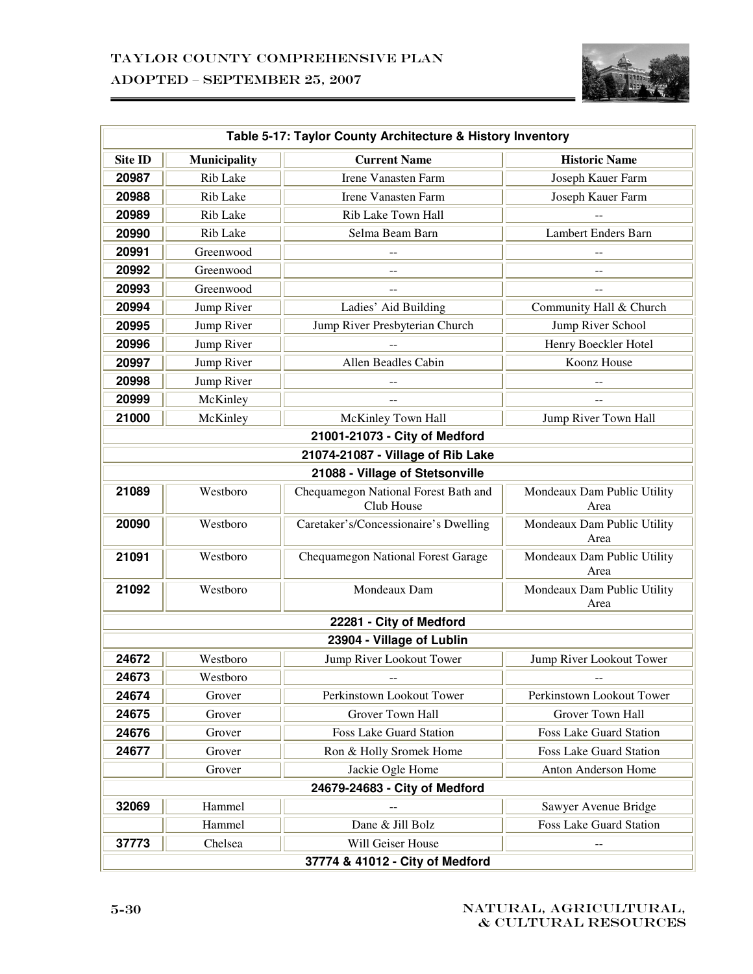

|                |              | Table 5-17: Taylor County Architecture & History Inventory |                                     |
|----------------|--------------|------------------------------------------------------------|-------------------------------------|
| <b>Site ID</b> | Municipality | <b>Current Name</b>                                        | <b>Historic Name</b>                |
| 20987          | Rib Lake     | <b>Irene Vanasten Farm</b>                                 | Joseph Kauer Farm                   |
| 20988          | Rib Lake     | <b>Irene Vanasten Farm</b>                                 | Joseph Kauer Farm                   |
| 20989          | Rib Lake     | Rib Lake Town Hall                                         |                                     |
| 20990          | Rib Lake     | Selma Beam Barn                                            | Lambert Enders Barn                 |
| 20991          | Greenwood    |                                                            |                                     |
| 20992          | Greenwood    | $-$                                                        | $-$                                 |
| 20993          | Greenwood    |                                                            |                                     |
| 20994          | Jump River   | Ladies' Aid Building                                       | Community Hall & Church             |
| 20995          | Jump River   | Jump River Presbyterian Church                             | Jump River School                   |
| 20996          | Jump River   |                                                            | Henry Boeckler Hotel                |
| 20997          | Jump River   | Allen Beadles Cabin                                        | Koonz House                         |
| 20998          | Jump River   |                                                            |                                     |
| 20999          | McKinley     |                                                            |                                     |
| 21000          | McKinley     | McKinley Town Hall                                         | Jump River Town Hall                |
|                |              | 21001-21073 - City of Medford                              |                                     |
|                |              | 21074-21087 - Village of Rib Lake                          |                                     |
|                |              | 21088 - Village of Stetsonville                            |                                     |
| 21089          | Westboro     | Chequamegon National Forest Bath and<br>Club House         | Mondeaux Dam Public Utility<br>Area |
| 20090          | Westboro     | Caretaker's/Concessionaire's Dwelling                      | Mondeaux Dam Public Utility<br>Area |
| 21091          | Westboro     | Chequamegon National Forest Garage                         | Mondeaux Dam Public Utility<br>Area |
| 21092          | Westboro     | Mondeaux Dam                                               | Mondeaux Dam Public Utility<br>Area |
|                |              | 22281 - City of Medford                                    |                                     |
|                |              | 23904 - Village of Lublin                                  |                                     |
| 24672          | Westboro     | Jump River Lookout Tower                                   | Jump River Lookout Tower            |
| 24673          | Westboro     |                                                            |                                     |
| 24674          | Grover       | Perkinstown Lookout Tower                                  | Perkinstown Lookout Tower           |
| 24675          | Grover       | Grover Town Hall                                           | <b>Grover Town Hall</b>             |
| 24676          | Grover       | <b>Foss Lake Guard Station</b>                             | Foss Lake Guard Station             |
| 24677          | Grover       | Ron & Holly Sromek Home                                    | <b>Foss Lake Guard Station</b>      |
|                | Grover       | Jackie Ogle Home                                           | Anton Anderson Home                 |
|                |              | 24679-24683 - City of Medford                              |                                     |
| 32069          | Hammel       |                                                            | Sawyer Avenue Bridge                |
|                | Hammel       | Dane & Jill Bolz                                           | Foss Lake Guard Station             |
| 37773          | Chelsea      | Will Geiser House                                          |                                     |
|                |              | 37774 & 41012 - City of Medford                            |                                     |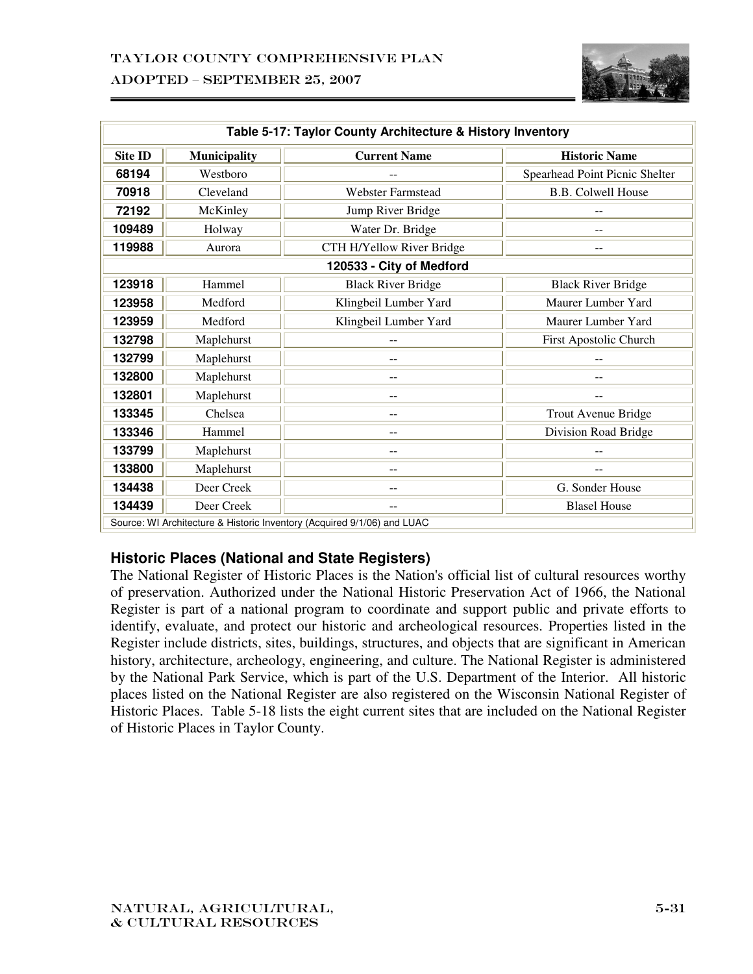

| Table 5-17: Taylor County Architecture & History Inventory              |                     |                           |                                |  |
|-------------------------------------------------------------------------|---------------------|---------------------------|--------------------------------|--|
| <b>Site ID</b>                                                          | <b>Municipality</b> | <b>Current Name</b>       | <b>Historic Name</b>           |  |
| 68194                                                                   | Westboro            |                           | Spearhead Point Picnic Shelter |  |
| 70918                                                                   | Cleveland           | <b>Webster Farmstead</b>  | <b>B.B. Colwell House</b>      |  |
| 72192                                                                   | McKinley            | Jump River Bridge         |                                |  |
| 109489                                                                  | Holway              | Water Dr. Bridge          |                                |  |
| 119988                                                                  | Aurora              | CTH H/Yellow River Bridge |                                |  |
|                                                                         |                     | 120533 - City of Medford  |                                |  |
| 123918                                                                  | Hammel              | <b>Black River Bridge</b> | <b>Black River Bridge</b>      |  |
| 123958                                                                  | Medford             | Klingbeil Lumber Yard     | Maurer Lumber Yard             |  |
| 123959                                                                  | Medford             | Klingbeil Lumber Yard     | Maurer Lumber Yard             |  |
| 132798                                                                  | Maplehurst          |                           | First Apostolic Church         |  |
| 132799                                                                  | Maplehurst          |                           |                                |  |
| 132800                                                                  | Maplehurst          |                           |                                |  |
| 132801                                                                  | Maplehurst          |                           | --                             |  |
| 133345                                                                  | Chelsea             |                           | Trout Avenue Bridge            |  |
| 133346                                                                  | Hammel              |                           | Division Road Bridge           |  |
| 133799                                                                  | Maplehurst          |                           |                                |  |
| 133800                                                                  | Maplehurst          |                           |                                |  |
| 134438                                                                  | Deer Creek          | --                        | G. Sonder House                |  |
| 134439                                                                  | Deer Creek          |                           | <b>Blasel House</b>            |  |
| Source: WI Architecture & Historic Inventory (Acquired 9/1/06) and LUAC |                     |                           |                                |  |

## **Historic Places (National and State Registers)**

The National Register of Historic Places is the Nation's official list of cultural resources worthy of preservation. Authorized under the National Historic Preservation Act of 1966, the National Register is part of a national program to coordinate and support public and private efforts to identify, evaluate, and protect our historic and archeological resources. Properties listed in the Register include districts, sites, buildings, structures, and objects that are significant in American history, architecture, archeology, engineering, and culture. The National Register is administered by the National Park Service, which is part of the U.S. Department of the Interior. All historic places listed on the National Register are also registered on the Wisconsin National Register of Historic Places. Table 5-18 lists the eight current sites that are included on the National Register of Historic Places in Taylor County.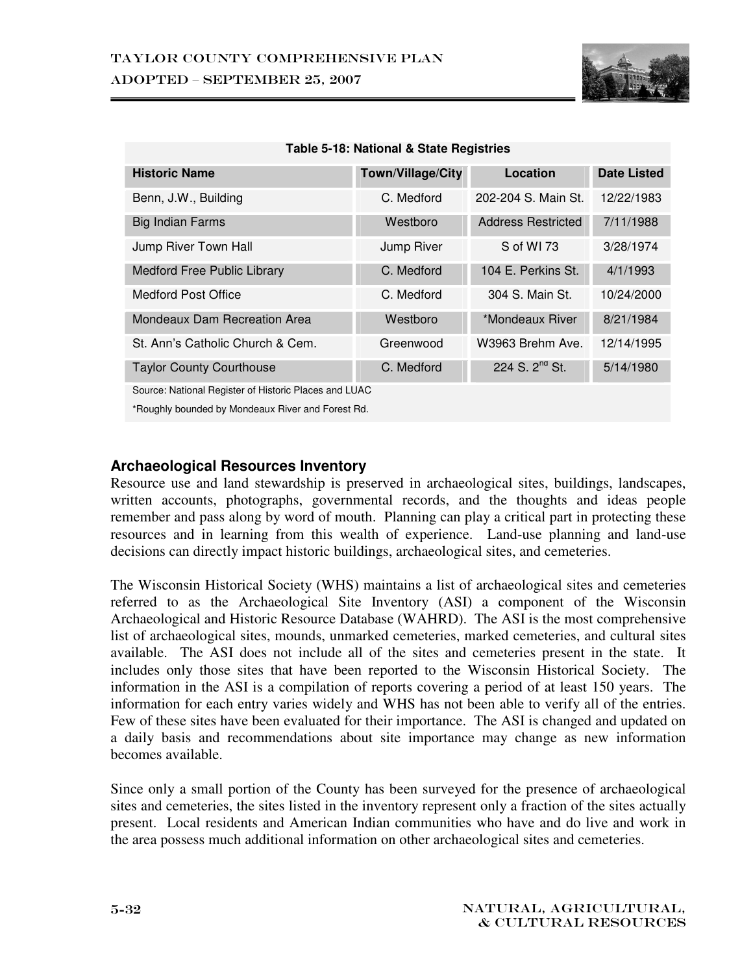

| <b>Historic Name</b>             | Town/Village/City | Location                  | <b>Date Listed</b>                                    |  |  |  |  |  |  |
|----------------------------------|-------------------|---------------------------|-------------------------------------------------------|--|--|--|--|--|--|
| Benn, J.W., Building             | C. Medford        | 202-204 S. Main St.       | 12/22/1983                                            |  |  |  |  |  |  |
| <b>Big Indian Farms</b>          | Westboro          | <b>Address Restricted</b> | 7/11/1988                                             |  |  |  |  |  |  |
| Jump River Town Hall             | Jump River        | S of WI 73                | 3/28/1974                                             |  |  |  |  |  |  |
| Medford Free Public Library      | C. Medford        | 104 E. Perkins St.        | 4/1/1993                                              |  |  |  |  |  |  |
| <b>Medford Post Office</b>       | C. Medford        | 304 S. Main St.           | 10/24/2000                                            |  |  |  |  |  |  |
| Mondeaux Dam Recreation Area     | Westboro          | *Mondeaux River           | 8/21/1984                                             |  |  |  |  |  |  |
| St. Ann's Catholic Church & Cem. | Greenwood         | W3963 Brehm Ave.          | 12/14/1995                                            |  |  |  |  |  |  |
| <b>Taylor County Courthouse</b>  | C. Medford        | 224 S. $2^{nd}$ St.       | 5/14/1980                                             |  |  |  |  |  |  |
|                                  |                   |                           | Source: National Register of Historic Places and LUAC |  |  |  |  |  |  |

**Table 5-18: National & State Registries** 

\*Roughly bounded by Mondeaux River and Forest Rd.

#### **Archaeological Resources Inventory**

Resource use and land stewardship is preserved in archaeological sites, buildings, landscapes, written accounts, photographs, governmental records, and the thoughts and ideas people remember and pass along by word of mouth. Planning can play a critical part in protecting these resources and in learning from this wealth of experience. Land-use planning and land-use decisions can directly impact historic buildings, archaeological sites, and cemeteries.

The Wisconsin Historical Society (WHS) maintains a list of archaeological sites and cemeteries referred to as the Archaeological Site Inventory (ASI) a component of the Wisconsin Archaeological and Historic Resource Database (WAHRD). The ASI is the most comprehensive list of archaeological sites, mounds, unmarked cemeteries, marked cemeteries, and cultural sites available. The ASI does not include all of the sites and cemeteries present in the state. It includes only those sites that have been reported to the Wisconsin Historical Society. The information in the ASI is a compilation of reports covering a period of at least 150 years. The information for each entry varies widely and WHS has not been able to verify all of the entries. Few of these sites have been evaluated for their importance. The ASI is changed and updated on a daily basis and recommendations about site importance may change as new information becomes available.

Since only a small portion of the County has been surveyed for the presence of archaeological sites and cemeteries, the sites listed in the inventory represent only a fraction of the sites actually present. Local residents and American Indian communities who have and do live and work in the area possess much additional information on other archaeological sites and cemeteries.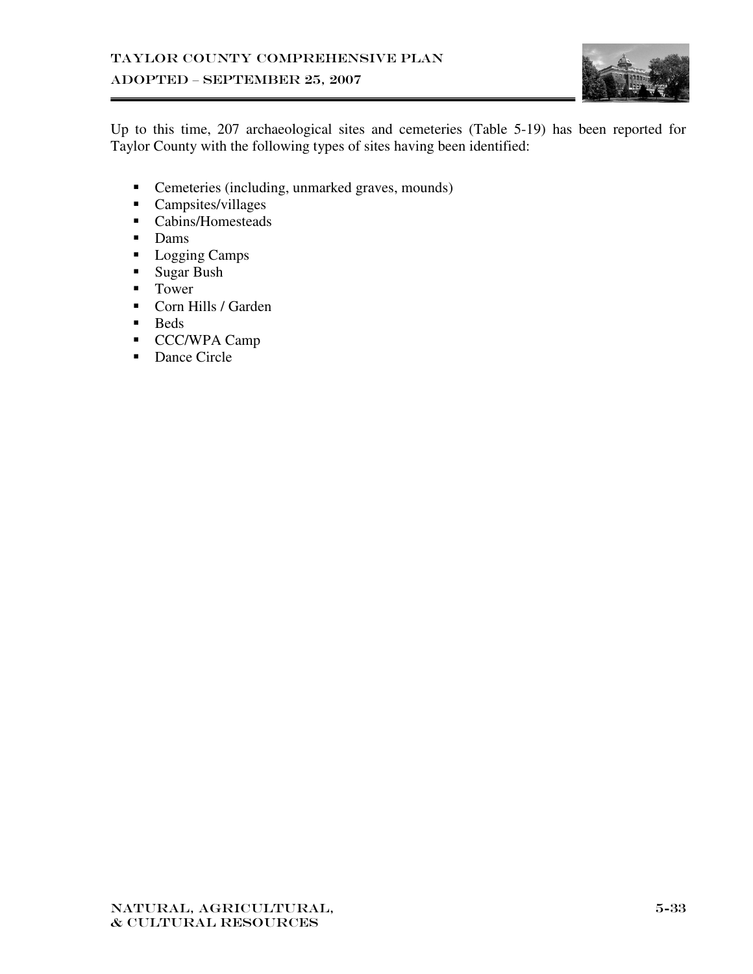

Up to this time, 207 archaeological sites and cemeteries (Table 5-19) has been reported for Taylor County with the following types of sites having been identified:

- Cemeteries (including, unmarked graves, mounds)
- **Campsites/villages**
- Cabins/Homesteads
- **Dams**
- Logging Camps
- Sugar Bush
- **Tower**
- Corn Hills / Garden
- **Beds**
- CCC/WPA Camp
- Dance Circle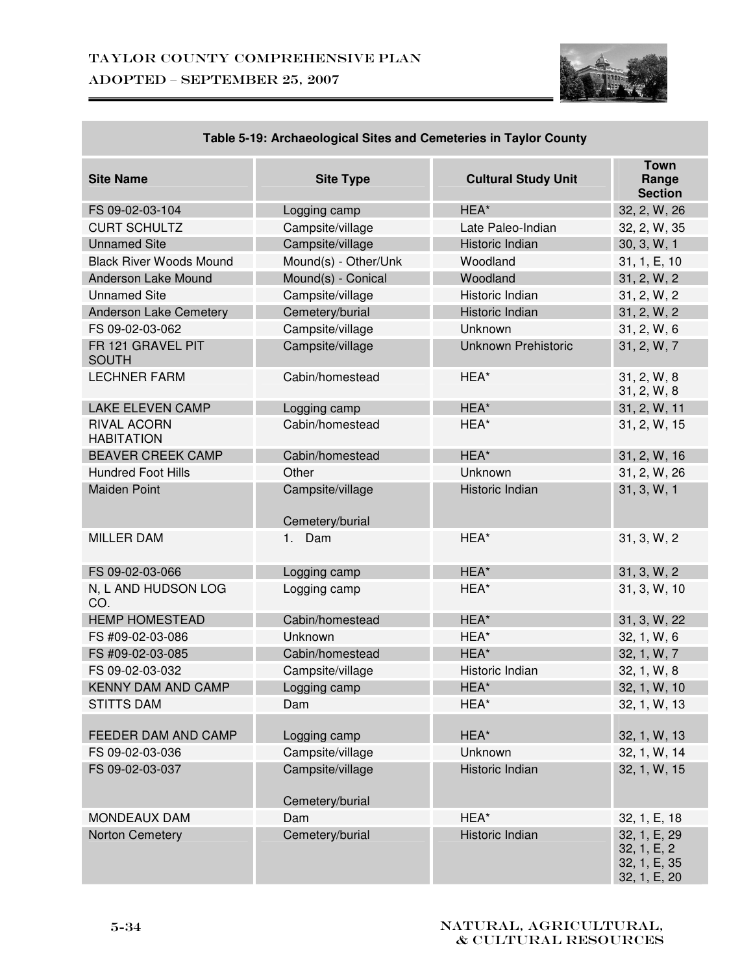

| <b>Site Name</b>                        | <b>Site Type</b>                    | <b>Cultural Study Unit</b> | <b>Town</b><br>Range<br><b>Section</b>                      |
|-----------------------------------------|-------------------------------------|----------------------------|-------------------------------------------------------------|
| FS 09-02-03-104                         | Logging camp                        | HEA*                       | 32, 2, W, 26                                                |
| <b>CURT SCHULTZ</b>                     | Campsite/village                    | Late Paleo-Indian          | 32, 2, W, 35                                                |
| <b>Unnamed Site</b>                     | Campsite/village                    | Historic Indian            | 30, 3, W, 1                                                 |
| <b>Black River Woods Mound</b>          | Mound(s) - Other/Unk                | Woodland                   | 31, 1, E, 10                                                |
| <b>Anderson Lake Mound</b>              | Mound(s) - Conical                  | Woodland                   | 31, 2, W, 2                                                 |
| <b>Unnamed Site</b>                     | Campsite/village                    | Historic Indian            | 31, 2, W, 2                                                 |
| Anderson Lake Cemetery                  | Cemetery/burial                     | Historic Indian            | 31, 2, W, 2                                                 |
| FS 09-02-03-062                         | Campsite/village                    | Unknown                    | 31, 2, W, 6                                                 |
| FR 121 GRAVEL PIT<br><b>SOUTH</b>       | Campsite/village                    | <b>Unknown Prehistoric</b> | 31, 2, W, 7                                                 |
| <b>LECHNER FARM</b>                     | Cabin/homestead                     | HEA*                       | 31, 2, W, 8<br>31, 2, W, 8                                  |
| <b>LAKE ELEVEN CAMP</b>                 | Logging camp                        | HEA*                       | 31, 2, W, 11                                                |
| <b>RIVAL ACORN</b><br><b>HABITATION</b> | Cabin/homestead                     | HEA*                       | 31, 2, W, 15                                                |
| <b>BEAVER CREEK CAMP</b>                | Cabin/homestead                     | HEA*                       | 31, 2, W, 16                                                |
| <b>Hundred Foot Hills</b>               | Other                               | Unknown                    | 31, 2, W, 26                                                |
| <b>Maiden Point</b>                     | Campsite/village<br>Cemetery/burial | Historic Indian            | 31, 3, W, 1                                                 |
| <b>MILLER DAM</b>                       | 1. Dam                              | HEA*                       | 31, 3, W, 2                                                 |
| FS 09-02-03-066                         | Logging camp                        | HEA*                       | 31, 3, W, 2                                                 |
| N, L AND HUDSON LOG<br>CO.              | Logging camp                        | HEA*                       | 31, 3, W, 10                                                |
| <b>HEMP HOMESTEAD</b>                   | Cabin/homestead                     | HEA*                       | 31, 3, W, 22                                                |
| FS #09-02-03-086                        | Unknown                             | HEA*                       | 32, 1, W, 6                                                 |
| FS #09-02-03-085                        | Cabin/homestead                     | HEA*                       | 32, 1, W, 7                                                 |
| FS 09-02-03-032                         | Campsite/village                    | Historic Indian            | 32, 1, W, 8                                                 |
| <b>KENNY DAM AND CAMP</b>               | Logging camp                        | HEA*                       | 32, 1, W, 10                                                |
| <b>STITTS DAM</b>                       | Dam                                 | HEA*                       | 32, 1, W, 13                                                |
|                                         |                                     |                            |                                                             |
| FEEDER DAM AND CAMP                     | Logging camp                        | HEA*                       | 32, 1, W, 13                                                |
| FS 09-02-03-036                         | Campsite/village                    | Unknown                    | 32, 1, W, 14                                                |
| FS 09-02-03-037                         | Campsite/village<br>Cemetery/burial | Historic Indian            | 32, 1, W, 15                                                |
| <b>MONDEAUX DAM</b>                     | Dam                                 | HEA*                       | 32, 1, E, 18                                                |
| Norton Cemetery                         | Cemetery/burial                     | Historic Indian            | 32, 1, E, 29<br>32, 1, E, 2<br>32, 1, E, 35<br>32, 1, E, 20 |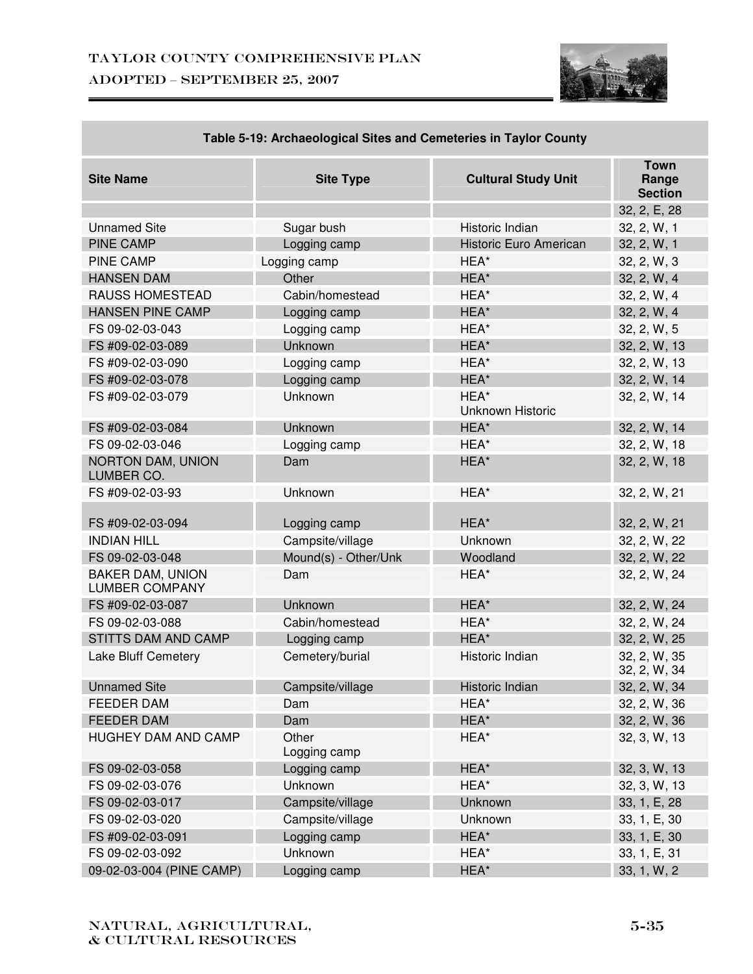

| <b>19. ADDITIONAL STRESS AND OCTIVIONIES IN TRAIDE ODDING</b> |                       |                            |                                        |
|---------------------------------------------------------------|-----------------------|----------------------------|----------------------------------------|
| <b>Site Name</b>                                              | <b>Site Type</b>      | <b>Cultural Study Unit</b> | <b>Town</b><br>Range<br><b>Section</b> |
|                                                               |                       |                            | 32, 2, E, 28                           |
| <b>Unnamed Site</b>                                           | Sugar bush            | Historic Indian            | 32, 2, W, 1                            |
| <b>PINE CAMP</b>                                              | Logging camp          | Historic Euro American     | 32, 2, W, 1                            |
| <b>PINE CAMP</b>                                              | Logging camp          | HEA*                       | 32, 2, W, 3                            |
| <b>HANSEN DAM</b>                                             | Other                 | HEA*                       | 32, 2, W, 4                            |
| RAUSS HOMESTEAD                                               | Cabin/homestead       | HEA*                       | 32, 2, W, 4                            |
| <b>HANSEN PINE CAMP</b>                                       | Logging camp          | HEA*                       | 32, 2, W, 4                            |
| FS 09-02-03-043                                               | Logging camp          | HEA*                       | 32, 2, W, 5                            |
| FS #09-02-03-089                                              | <b>Unknown</b>        | HEA*                       | 32, 2, W, 13                           |
| FS #09-02-03-090                                              | Logging camp          | HEA*                       | 32, 2, W, 13                           |
| FS #09-02-03-078                                              | Logging camp          | HEA*                       | 32, 2, W, 14                           |
| FS #09-02-03-079                                              | Unknown               | HEA*<br>Unknown Historic   | 32, 2, W, 14                           |
| FS #09-02-03-084                                              | Unknown               | HEA*                       | 32, 2, W, 14                           |
| FS 09-02-03-046                                               | Logging camp          | HEA*                       | 32, 2, W, 18                           |
| NORTON DAM, UNION<br>LUMBER CO.                               | Dam                   | HEA*                       | 32, 2, W, 18                           |
| FS #09-02-03-93                                               | Unknown               | HEA*                       | 32, 2, W, 21                           |
| FS #09-02-03-094                                              | Logging camp          | HEA*                       | 32, 2, W, 21                           |
| <b>INDIAN HILL</b>                                            | Campsite/village      | Unknown                    | 32, 2, W, 22                           |
| FS 09-02-03-048                                               | Mound(s) - Other/Unk  | Woodland                   | 32, 2, W, 22                           |
| <b>BAKER DAM, UNION</b><br><b>LUMBER COMPANY</b>              | Dam                   | HEA*                       | 32, 2, W, 24                           |
| FS #09-02-03-087                                              | <b>Unknown</b>        | HEA*                       | 32, 2, W, 24                           |
| FS 09-02-03-088                                               | Cabin/homestead       | HEA*                       | 32, 2, W, 24                           |
| STITTS DAM AND CAMP                                           | Logging camp          | HEA*                       | 32, 2, W, 25                           |
| Lake Bluff Cemetery                                           | Cemetery/burial       | Historic Indian            | 32, 2, W, 35<br>32, 2, W, 34           |
| <b>Unnamed Site</b>                                           | Campsite/village      | Historic Indian            | 32, 2, W, 34                           |
| <b>FEEDER DAM</b>                                             | Dam                   | HEA*                       | 32, 2, W, 36                           |
| <b>FEEDER DAM</b>                                             | Dam                   | HEA*                       | 32, 2, W, 36                           |
| <b>HUGHEY DAM AND CAMP</b>                                    | Other<br>Logging camp | HEA*                       | 32, 3, W, 13                           |
| FS 09-02-03-058                                               | Logging camp          | HEA*                       | 32, 3, W, 13                           |
| FS 09-02-03-076                                               | Unknown               | HEA*                       | 32, 3, W, 13                           |
| FS 09-02-03-017                                               | Campsite/village      | Unknown                    | 33, 1, E, 28                           |
| FS 09-02-03-020                                               | Campsite/village      | Unknown                    | 33, 1, E, 30                           |
| FS #09-02-03-091                                              | Logging camp          | HEA*                       | 33, 1, E, 30                           |
| FS 09-02-03-092                                               | Unknown               | HEA*                       | 33, 1, E, 31                           |
| 09-02-03-004 (PINE CAMP)                                      | Logging camp          | HEA*                       | 33, 1, W, 2                            |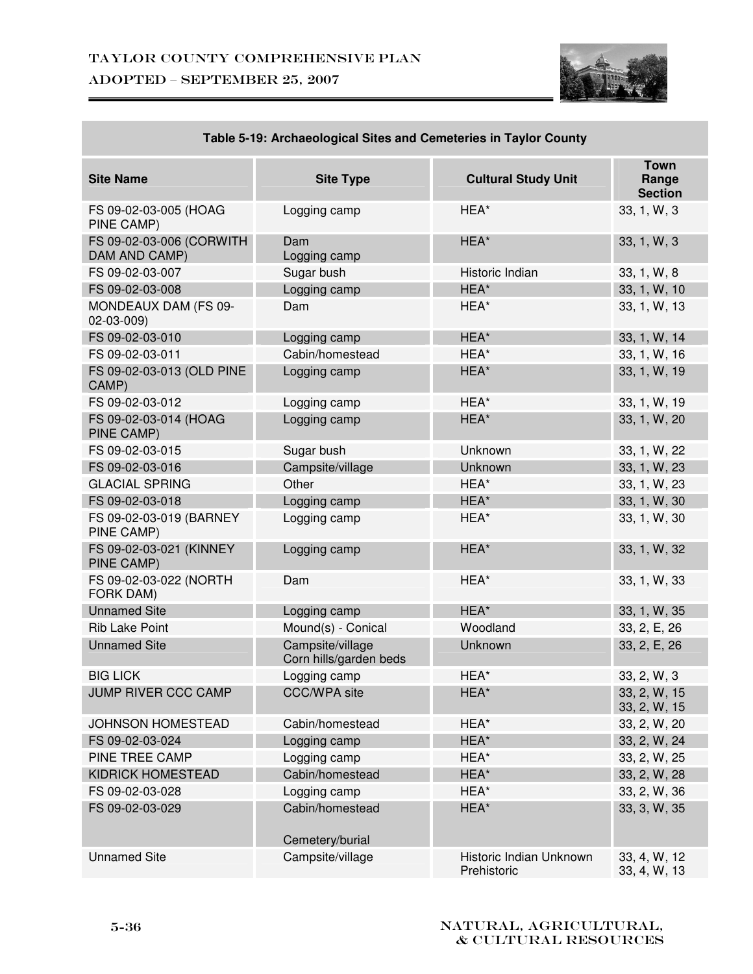

| <b>Site Name</b>                          | <b>Site Type</b>                           | <b>Cultural Study Unit</b>             | <b>Town</b><br>Range<br><b>Section</b> |
|-------------------------------------------|--------------------------------------------|----------------------------------------|----------------------------------------|
| FS 09-02-03-005 (HOAG<br>PINE CAMP)       | Logging camp                               | HEA*                                   | 33, 1, W, 3                            |
| FS 09-02-03-006 (CORWITH<br>DAM AND CAMP) | Dam<br>Logging camp                        | HEA*                                   | 33, 1, W, 3                            |
| FS 09-02-03-007                           | Sugar bush                                 | Historic Indian                        | 33, 1, W, 8                            |
| FS 09-02-03-008                           | Logging camp                               | HEA*                                   | 33, 1, W, 10                           |
| MONDEAUX DAM (FS 09-<br>02-03-009)        | Dam                                        | HEA*                                   | 33, 1, W, 13                           |
| FS 09-02-03-010                           | Logging camp                               | HEA*                                   | 33, 1, W, 14                           |
| FS 09-02-03-011                           | Cabin/homestead                            | HEA*                                   | 33, 1, W, 16                           |
| FS 09-02-03-013 (OLD PINE<br>CAMP)        | Logging camp                               | HEA*                                   | 33, 1, W, 19                           |
| FS 09-02-03-012                           | Logging camp                               | HEA*                                   | 33, 1, W, 19                           |
| FS 09-02-03-014 (HOAG<br>PINE CAMP)       | Logging camp                               | HEA*                                   | 33, 1, W, 20                           |
| FS 09-02-03-015                           | Sugar bush                                 | Unknown                                | 33, 1, W, 22                           |
| FS 09-02-03-016                           | Campsite/village                           | Unknown                                | 33, 1, W, 23                           |
| <b>GLACIAL SPRING</b>                     | Other                                      | HEA*                                   | 33, 1, W, 23                           |
| FS 09-02-03-018                           | Logging camp                               | HEA*                                   | 33, 1, W, 30                           |
| FS 09-02-03-019 (BARNEY<br>PINE CAMP)     | Logging camp                               | HEA*                                   | 33, 1, W, 30                           |
| FS 09-02-03-021 (KINNEY<br>PINE CAMP)     | Logging camp                               | HEA*                                   | 33, 1, W, 32                           |
| FS 09-02-03-022 (NORTH<br>FORK DAM)       | Dam                                        | HEA*                                   | 33, 1, W, 33                           |
| <b>Unnamed Site</b>                       | Logging camp                               | HEA*                                   | 33, 1, W, 35                           |
| <b>Rib Lake Point</b>                     | Mound(s) - Conical                         | Woodland                               | 33, 2, E, 26                           |
| <b>Unnamed Site</b>                       | Campsite/village<br>Corn hills/garden beds | Unknown                                | 33, 2, E, 26                           |
| <b>BIG LICK</b>                           | Logging camp                               | HEA*                                   | 33, 2, W, 3                            |
| JUMP RIVER CCC CAMP                       | <b>CCC/WPA site</b>                        | HEA*                                   | 33, 2, W, 15<br>33, 2, W, 15           |
| <b>JOHNSON HOMESTEAD</b>                  | Cabin/homestead                            | HEA*                                   | 33, 2, W, 20                           |
| FS 09-02-03-024                           | Logging camp                               | HEA*                                   | 33, 2, W, 24                           |
| PINE TREE CAMP                            | Logging camp                               | HEA*                                   | 33, 2, W, 25                           |
| KIDRICK HOMESTEAD                         | Cabin/homestead                            | HEA*                                   | 33, 2, W, 28                           |
| FS 09-02-03-028                           | Logging camp                               | HEA*                                   | 33, 2, W, 36                           |
| FS 09-02-03-029                           | Cabin/homestead                            | HEA*                                   | 33, 3, W, 35                           |
|                                           | Cemetery/burial                            |                                        |                                        |
| <b>Unnamed Site</b>                       | Campsite/village                           | Historic Indian Unknown<br>Prehistoric | 33, 4, W, 12<br>33, 4, W, 13           |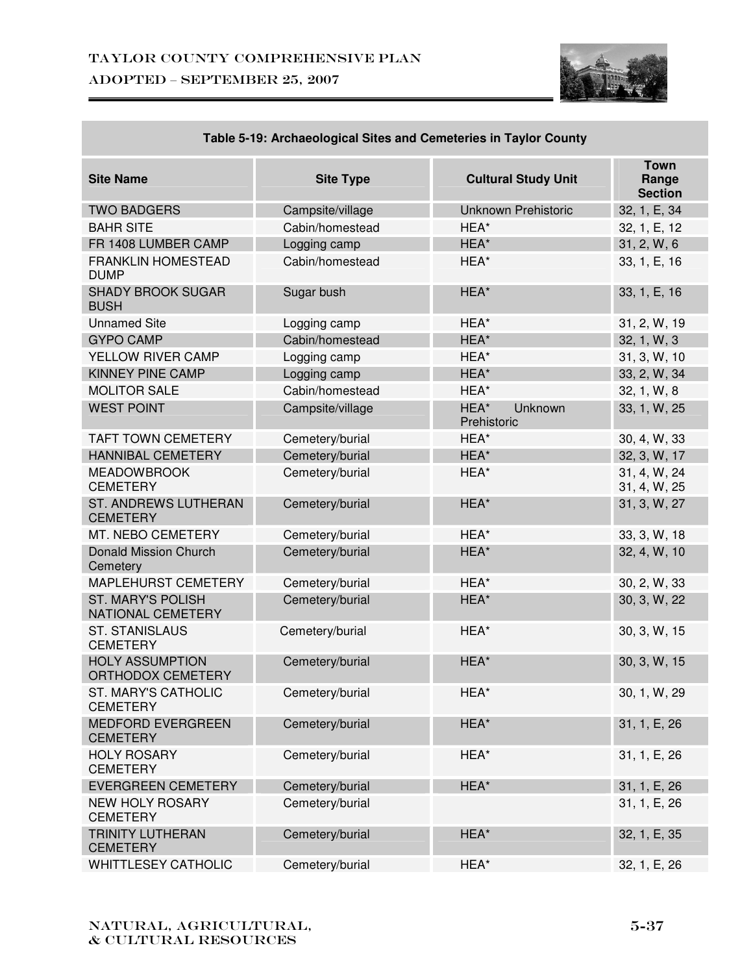

| <b>Site Name</b>                              | <b>Site Type</b> | <b>Cultural Study Unit</b>     | <b>Town</b><br>Range<br><b>Section</b> |
|-----------------------------------------------|------------------|--------------------------------|----------------------------------------|
| <b>TWO BADGERS</b>                            | Campsite/village | <b>Unknown Prehistoric</b>     | 32, 1, E, 34                           |
| <b>BAHR SITE</b>                              | Cabin/homestead  | HEA*                           | 32, 1, E, 12                           |
| FR 1408 LUMBER CAMP                           | Logging camp     | HEA*                           | 31, 2, W, 6                            |
| <b>FRANKLIN HOMESTEAD</b><br><b>DUMP</b>      | Cabin/homestead  | HEA*                           | 33, 1, E, 16                           |
| <b>SHADY BROOK SUGAR</b><br><b>BUSH</b>       | Sugar bush       | HEA*                           | 33, 1, E, 16                           |
| <b>Unnamed Site</b>                           | Logging camp     | HEA*                           | 31, 2, W, 19                           |
| <b>GYPO CAMP</b>                              | Cabin/homestead  | HEA*                           | 32, 1, W, 3                            |
| YELLOW RIVER CAMP                             | Logging camp     | HEA*                           | 31, 3, W, 10                           |
| <b>KINNEY PINE CAMP</b>                       | Logging camp     | HEA*                           | 33, 2, W, 34                           |
| <b>MOLITOR SALE</b>                           | Cabin/homestead  | HEA*                           | 32, 1, W, 8                            |
| <b>WEST POINT</b>                             | Campsite/village | HEA*<br>Unknown<br>Prehistoric | 33, 1, W, 25                           |
| <b>TAFT TOWN CEMETERY</b>                     | Cemetery/burial  | HEA*                           | 30, 4, W, 33                           |
| <b>HANNIBAL CEMETERY</b>                      | Cemetery/burial  | HEA*                           | 32, 3, W, 17                           |
| <b>MEADOWBROOK</b><br><b>CEMETERY</b>         | Cemetery/burial  | HEA*                           | 31, 4, W, 24<br>31, 4, W, 25           |
| ST. ANDREWS LUTHERAN<br><b>CEMETERY</b>       | Cemetery/burial  | HEA*                           | 31, 3, W, 27                           |
| MT. NEBO CEMETERY                             | Cemetery/burial  | HEA*                           | 33, 3, W, 18                           |
| <b>Donald Mission Church</b><br>Cemetery      | Cemetery/burial  | HEA*                           | 32, 4, W, 10                           |
| <b>MAPLEHURST CEMETERY</b>                    | Cemetery/burial  | HEA*                           | 30, 2, W, 33                           |
| <b>ST. MARY'S POLISH</b><br>NATIONAL CEMETERY | Cemetery/burial  | HEA*                           | 30, 3, W, 22                           |
| <b>ST. STANISLAUS</b><br><b>CEMETERY</b>      | Cemetery/burial  | HEA*                           | 30, 3, W, 15                           |
| <b>HOLY ASSUMPTION</b><br>ORTHODOX CEMETERY   | Cemetery/burial  | HEA*                           | 30, 3, W, 15                           |
| ST. MARY'S CATHOLIC<br><b>CEMETERY</b>        | Cemetery/burial  | HEA*                           | 30, 1, W, 29                           |
| <b>MEDFORD EVERGREEN</b><br><b>CEMETERY</b>   | Cemetery/burial  | HEA*                           | 31, 1, E, 26                           |
| <b>HOLY ROSARY</b><br><b>CEMETERY</b>         | Cemetery/burial  | HEA*                           | 31, 1, E, 26                           |
| <b>EVERGREEN CEMETERY</b>                     | Cemetery/burial  | HEA*                           | 31, 1, E, 26                           |
| <b>NEW HOLY ROSARY</b><br><b>CEMETERY</b>     | Cemetery/burial  |                                | 31, 1, E, 26                           |
| <b>TRINITY LUTHERAN</b><br><b>CEMETERY</b>    | Cemetery/burial  | HEA*                           | 32, 1, E, 35                           |
| <b>WHITTLESEY CATHOLIC</b>                    | Cemetery/burial  | HEA*                           | 32, 1, E, 26                           |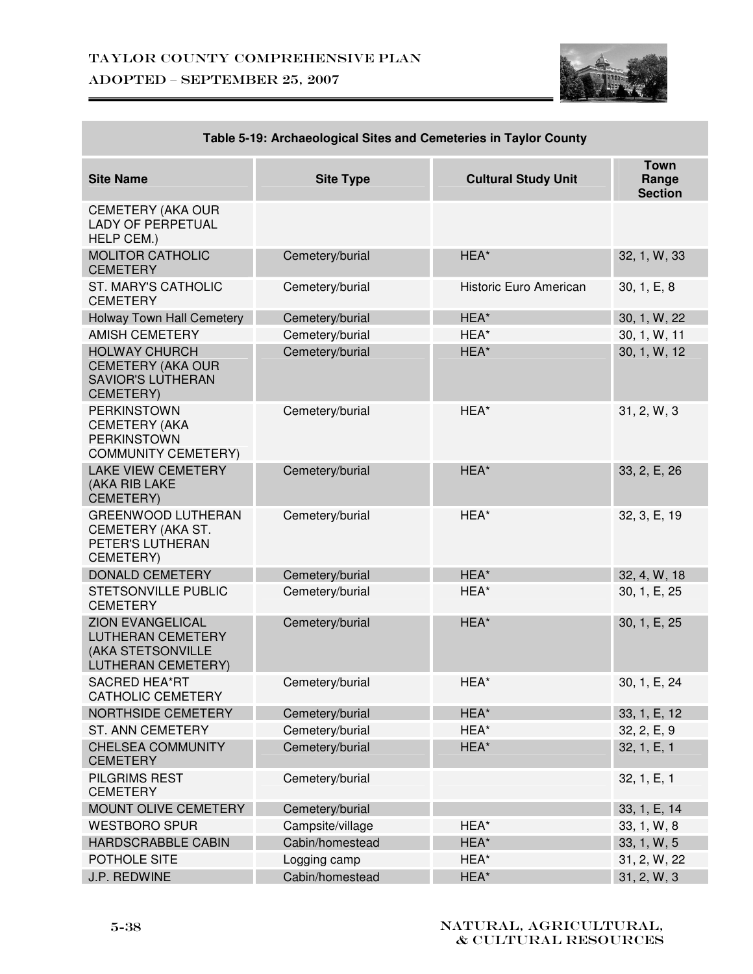## Taylor County Comprehensive Plan ADOPTED – SEPTEMBER 25, 2007



| rapic J-19. Archaeological Olles and Oemetenes in Taylor Oounty                                       |                  |                            |                                        |  |
|-------------------------------------------------------------------------------------------------------|------------------|----------------------------|----------------------------------------|--|
| <b>Site Name</b>                                                                                      | <b>Site Type</b> | <b>Cultural Study Unit</b> | <b>Town</b><br>Range<br><b>Section</b> |  |
| <b>CEMETERY (AKA OUR</b><br><b>LADY OF PERPETUAL</b><br>HELP CEM.)                                    |                  |                            |                                        |  |
| <b>MOLITOR CATHOLIC</b><br><b>CEMETERY</b>                                                            | Cemetery/burial  | HEA*                       | 32, 1, W, 33                           |  |
| <b>ST. MARY'S CATHOLIC</b><br><b>CEMETERY</b>                                                         | Cemetery/burial  | Historic Euro American     | 30, 1, E, 8                            |  |
| <b>Holway Town Hall Cemetery</b>                                                                      | Cemetery/burial  | HEA*                       | 30, 1, W, 22                           |  |
| <b>AMISH CEMETERY</b>                                                                                 | Cemetery/burial  | HEA*                       | 30, 1, W, 11                           |  |
| <b>HOLWAY CHURCH</b><br><b>CEMETERY (AKA OUR</b><br><b>SAVIOR'S LUTHERAN</b><br>CEMETERY)             | Cemetery/burial  | HEA*                       | 30, 1, W, 12                           |  |
| <b>PERKINSTOWN</b><br><b>CEMETERY (AKA</b><br><b>PERKINSTOWN</b><br><b>COMMUNITY CEMETERY)</b>        | Cemetery/burial  | HEA*                       | 31, 2, W, 3                            |  |
| <b>LAKE VIEW CEMETERY</b><br>(AKA RIB LAKE<br>CEMETERY)                                               | Cemetery/burial  | HEA*                       | 33, 2, E, 26                           |  |
| <b>GREENWOOD LUTHERAN</b><br>CEMETERY (AKA ST.<br>PETER'S LUTHERAN<br>CEMETERY)                       | Cemetery/burial  | HEA*                       | 32, 3, E, 19                           |  |
| <b>DONALD CEMETERY</b>                                                                                | Cemetery/burial  | HEA*                       | 32, 4, W, 18                           |  |
| STETSONVILLE PUBLIC<br><b>CEMETERY</b>                                                                | Cemetery/burial  | HEA*                       | 30, 1, E, 25                           |  |
| <b>ZION EVANGELICAL</b><br><b>LUTHERAN CEMETERY</b><br>(AKA STETSONVILLE<br><b>LUTHERAN CEMETERY)</b> | Cemetery/burial  | HEA*                       | 30, 1, E, 25                           |  |
| <b>SACRED HEA*RT</b><br><b>CATHOLIC CEMETERY</b>                                                      | Cemetery/burial  | HEA*                       | 30, 1, E, 24                           |  |
| <b>NORTHSIDE CEMETERY</b>                                                                             | Cemetery/burial  | HEA*                       | 33, 1, E, 12                           |  |
| <b>ST. ANN CEMETERY</b>                                                                               | Cemetery/burial  | HEA*                       | 32, 2, E, 9                            |  |
| <b>CHELSEA COMMUNITY</b><br><b>CEMETERY</b>                                                           | Cemetery/burial  | HEA*                       | 32, 1, E, 1                            |  |
| PILGRIMS REST<br><b>CEMETERY</b>                                                                      | Cemetery/burial  |                            | 32, 1, E, 1                            |  |
| <b>MOUNT OLIVE CEMETERY</b>                                                                           | Cemetery/burial  |                            | 33, 1, E, 14                           |  |
| <b>WESTBORO SPUR</b>                                                                                  | Campsite/village | HEA*                       | 33, 1, W, 8                            |  |
| HARDSCRABBLE CABIN                                                                                    | Cabin/homestead  | HEA*                       | 33, 1, W, 5                            |  |
| POTHOLE SITE                                                                                          | Logging camp     | HEA*                       | 31, 2, W, 22                           |  |
| J.P. REDWINE                                                                                          | Cabin/homestead  | HEA*                       | 31, 2, W, 3                            |  |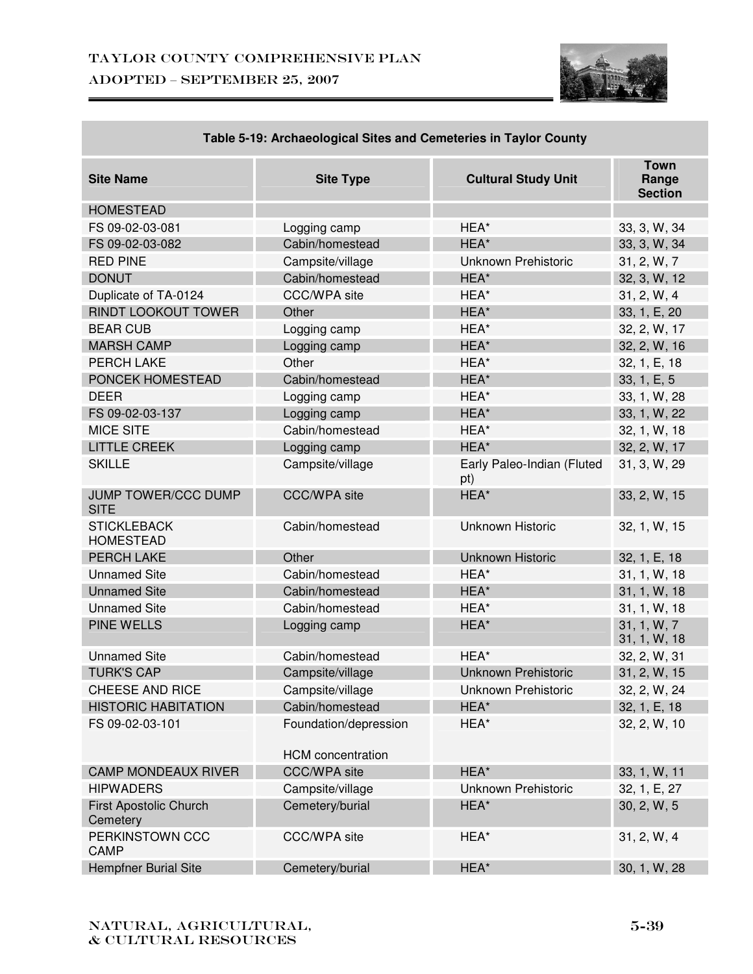

| <b>Site Name</b>                       | <b>Site Type</b>                                  | <b>Cultural Study Unit</b>        | <b>Town</b><br>Range<br><b>Section</b> |
|----------------------------------------|---------------------------------------------------|-----------------------------------|----------------------------------------|
| <b>HOMESTEAD</b>                       |                                                   |                                   |                                        |
| FS 09-02-03-081                        | Logging camp                                      | HEA*                              | 33, 3, W, 34                           |
| FS 09-02-03-082                        | Cabin/homestead                                   | HEA*                              | 33, 3, W, 34                           |
| <b>RED PINE</b>                        | Campsite/village                                  | <b>Unknown Prehistoric</b>        | 31, 2, W, 7                            |
| <b>DONUT</b>                           | Cabin/homestead                                   | HEA*                              | 32, 3, W, 12                           |
| Duplicate of TA-0124                   | <b>CCC/WPA site</b>                               | HEA*                              | 31, 2, W, 4                            |
| <b>RINDT LOOKOUT TOWER</b>             | Other                                             | HEA*                              | 33, 1, E, 20                           |
| <b>BEAR CUB</b>                        | Logging camp                                      | HEA*                              | 32, 2, W, 17                           |
| <b>MARSH CAMP</b>                      | Logging camp                                      | HEA*                              | 32, 2, W, 16                           |
| PERCH LAKE                             | Other                                             | HEA*                              | 32, 1, E, 18                           |
| PONCEK HOMESTEAD                       | Cabin/homestead                                   | HEA*                              | 33, 1, E, 5                            |
| <b>DEER</b>                            | Logging camp                                      | HEA*                              | 33, 1, W, 28                           |
| FS 09-02-03-137                        | Logging camp                                      | HEA*                              | 33, 1, W, 22                           |
| <b>MICE SITE</b>                       | Cabin/homestead                                   | HEA*                              | 32, 1, W, 18                           |
| <b>LITTLE CREEK</b>                    | Logging camp                                      | HEA*                              | 32, 2, W, 17                           |
| <b>SKILLE</b>                          | Campsite/village                                  | Early Paleo-Indian (Fluted<br>pt) | 31, 3, W, 29                           |
| JUMP TOWER/CCC DUMP<br><b>SITE</b>     | <b>CCC/WPA site</b>                               | HEA*                              | 33, 2, W, 15                           |
| <b>STICKLEBACK</b><br><b>HOMESTEAD</b> | Cabin/homestead                                   | <b>Unknown Historic</b>           | 32, 1, W, 15                           |
| <b>PERCH LAKE</b>                      | Other                                             | <b>Unknown Historic</b>           | 32, 1, E, 18                           |
| <b>Unnamed Site</b>                    | Cabin/homestead                                   | HEA*                              | 31, 1, W, 18                           |
| <b>Unnamed Site</b>                    | Cabin/homestead                                   | HEA*                              | 31, 1, W, 18                           |
| <b>Unnamed Site</b>                    | Cabin/homestead                                   | HEA*                              | 31, 1, W, 18                           |
| <b>PINE WELLS</b>                      | Logging camp                                      | HEA*                              | 31, 1, W, 7<br>31, 1, W, 18            |
| <b>Unnamed Site</b>                    | Cabin/homestead                                   | HEA*                              | 32, 2, W, 31                           |
| <b>TURK'S CAP</b>                      | Campsite/village                                  | <b>Unknown Prehistoric</b>        | 31, 2, W, 15                           |
| <b>CHEESE AND RICE</b>                 | Campsite/village                                  | Unknown Prehistoric               | 32, 2, W, 24                           |
| <b>HISTORIC HABITATION</b>             | Cabin/homestead                                   | HEA*                              | 32, 1, E, 18                           |
| FS 09-02-03-101                        | Foundation/depression<br><b>HCM</b> concentration | HEA*                              | 32, 2, W, 10                           |
| <b>CAMP MONDEAUX RIVER</b>             | <b>CCC/WPA site</b>                               | HEA*                              | 33, 1, W, 11                           |
| <b>HIPWADERS</b>                       | Campsite/village                                  | <b>Unknown Prehistoric</b>        | 32, 1, E, 27                           |
| First Apostolic Church<br>Cemetery     | Cemetery/burial                                   | HEA*                              | 30, 2, W, 5                            |
| PERKINSTOWN CCC<br>CAMP                | <b>CCC/WPA site</b>                               | HEA*                              | 31, 2, W, 4                            |
| <b>Hempfner Burial Site</b>            | Cemetery/burial                                   | HEA*                              | 30, 1, W, 28                           |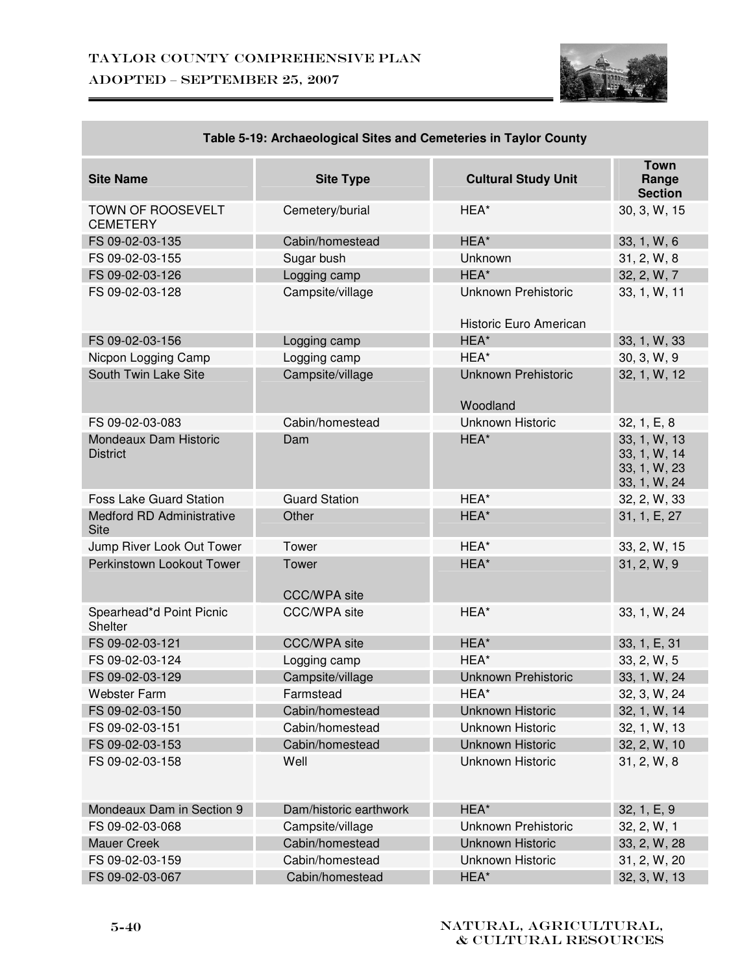

| 00 0-13. AIGHACOIOGIGAI OILGS AND OCHIGLOICS IN TAYIOI OOANLY |                              |                                                      |                                                              |
|---------------------------------------------------------------|------------------------------|------------------------------------------------------|--------------------------------------------------------------|
| <b>Site Name</b>                                              | <b>Site Type</b>             | <b>Cultural Study Unit</b>                           | <b>Town</b><br>Range<br><b>Section</b>                       |
| TOWN OF ROOSEVELT<br><b>CEMETERY</b>                          | Cemetery/burial              | HEA*                                                 | 30, 3, W, 15                                                 |
| FS 09-02-03-135                                               | Cabin/homestead              | HEA*                                                 | 33, 1, W, 6                                                  |
| FS 09-02-03-155                                               | Sugar bush                   | Unknown                                              | 31, 2, W, 8                                                  |
| FS 09-02-03-126                                               | Logging camp                 | HEA*                                                 | 32, 2, W, 7                                                  |
| FS 09-02-03-128                                               | Campsite/village             | <b>Unknown Prehistoric</b><br>Historic Euro American | 33, 1, W, 11                                                 |
| FS 09-02-03-156                                               | Logging camp                 | HEA*                                                 | 33, 1, W, 33                                                 |
| Nicpon Logging Camp                                           | Logging camp                 | HEA*                                                 | 30, 3, W, 9                                                  |
| South Twin Lake Site                                          | Campsite/village             | <b>Unknown Prehistoric</b><br>Woodland               | 32, 1, W, 12                                                 |
| FS 09-02-03-083                                               | Cabin/homestead              | Unknown Historic                                     | 32, 1, E, 8                                                  |
| Mondeaux Dam Historic<br><b>District</b>                      | Dam                          | HEA*                                                 | 33, 1, W, 13<br>33, 1, W, 14<br>33, 1, W, 23<br>33, 1, W, 24 |
| <b>Foss Lake Guard Station</b>                                | <b>Guard Station</b>         | HEA*                                                 | 32, 2, W, 33                                                 |
| Medford RD Administrative<br><b>Site</b>                      | Other                        | HEA*                                                 | 31, 1, E, 27                                                 |
| Jump River Look Out Tower                                     | Tower                        | HEA*                                                 | 33, 2, W, 15                                                 |
| Perkinstown Lookout Tower                                     | Tower<br><b>CCC/WPA site</b> | HEA*                                                 | 31, 2, W, 9                                                  |
| Spearhead*d Point Picnic<br>Shelter                           | <b>CCC/WPA</b> site          | HEA*                                                 | 33, 1, W, 24                                                 |
| FS 09-02-03-121                                               | <b>CCC/WPA site</b>          | HEA*                                                 | 33, 1, E, 31                                                 |
| FS 09-02-03-124                                               | Logging camp                 | HEA*                                                 | 33, 2, W, 5                                                  |
| FS 09-02-03-129                                               | Campsite/village             | <b>Unknown Prehistoric</b>                           | 33, 1, W, 24                                                 |
| <b>Webster Farm</b>                                           | Farmstead                    | HEA*                                                 | 32, 3, W, 24                                                 |
| FS 09-02-03-150                                               | Cabin/homestead              | <b>Unknown Historic</b>                              | 32, 1, W, 14                                                 |
| FS 09-02-03-151                                               | Cabin/homestead              | Unknown Historic                                     | 32, 1, W, 13                                                 |
| FS 09-02-03-153                                               | Cabin/homestead              | <b>Unknown Historic</b>                              | 32, 2, W, 10                                                 |
| FS 09-02-03-158                                               | Well                         | Unknown Historic                                     | 31, 2, W, 8                                                  |
| Mondeaux Dam in Section 9                                     | Dam/historic earthwork       | HEA*                                                 | 32, 1, E, 9                                                  |
| FS 09-02-03-068                                               | Campsite/village             | Unknown Prehistoric                                  | 32, 2, W, 1                                                  |
| <b>Mauer Creek</b>                                            | Cabin/homestead              | <b>Unknown Historic</b>                              | 33, 2, W, 28                                                 |
| FS 09-02-03-159                                               | Cabin/homestead              | Unknown Historic                                     | 31, 2, W, 20                                                 |
| FS 09-02-03-067                                               | Cabin/homestead              | HEA*                                                 | 32, 3, W, 13                                                 |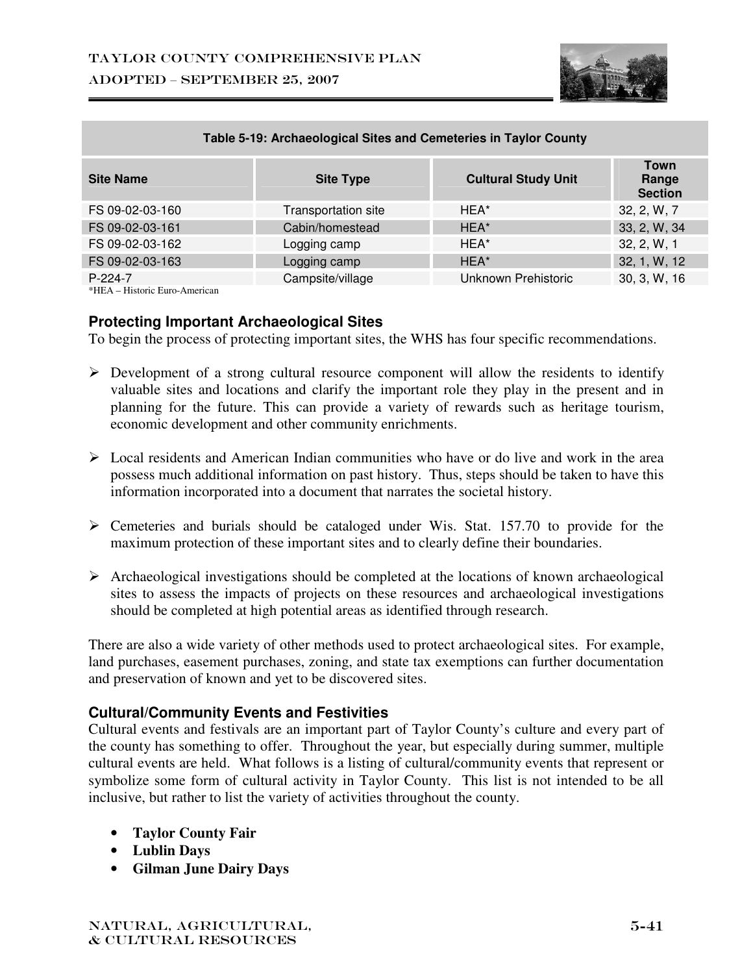

| <b>TANIO 6 TOT ATOMOOD GIORI UNOO AND OUNCION NO IN TAYIOI OURINY</b> |                     |                            |                                 |
|-----------------------------------------------------------------------|---------------------|----------------------------|---------------------------------|
| <b>Site Name</b>                                                      | <b>Site Type</b>    | <b>Cultural Study Unit</b> | Town<br>Range<br><b>Section</b> |
| FS 09-02-03-160                                                       | Transportation site | HEA*                       | 32, 2, W, 7                     |
| FS 09-02-03-161                                                       | Cabin/homestead     | HEA*                       | 33, 2, W, 34                    |
| FS 09-02-03-162                                                       | Logging camp        | HEA*                       | 32, 2, W, 1                     |
| FS 09-02-03-163                                                       | Logging camp        | HEA*                       | 32, 1, W, 12                    |
| $P-224-7$                                                             | Campsite/village    | Unknown Prehistoric        | 30, 3, W, 16                    |

\*HEA – Historic Euro-American

#### **Protecting Important Archaeological Sites**

To begin the process of protecting important sites, the WHS has four specific recommendations.

- > Development of a strong cultural resource component will allow the residents to identify valuable sites and locations and clarify the important role they play in the present and in planning for the future. This can provide a variety of rewards such as heritage tourism, economic development and other community enrichments.
- > Local residents and American Indian communities who have or do live and work in the area possess much additional information on past history. Thus, steps should be taken to have this information incorporated into a document that narrates the societal history.
- > Cemeteries and burials should be cataloged under Wis. Stat. 157.70 to provide for the maximum protection of these important sites and to clearly define their boundaries.
- > Archaeological investigations should be completed at the locations of known archaeological sites to assess the impacts of projects on these resources and archaeological investigations should be completed at high potential areas as identified through research.

There are also a wide variety of other methods used to protect archaeological sites. For example, land purchases, easement purchases, zoning, and state tax exemptions can further documentation and preservation of known and yet to be discovered sites.

#### **Cultural/Community Events and Festivities**

Cultural events and festivals are an important part of Taylor County's culture and every part of the county has something to offer. Throughout the year, but especially during summer, multiple cultural events are held. What follows is a listing of cultural/community events that represent or symbolize some form of cultural activity in Taylor County. This list is not intended to be all inclusive, but rather to list the variety of activities throughout the county.

- **Taylor County Fair**
- **Lublin Days**
- **Gilman June Dairy Days**